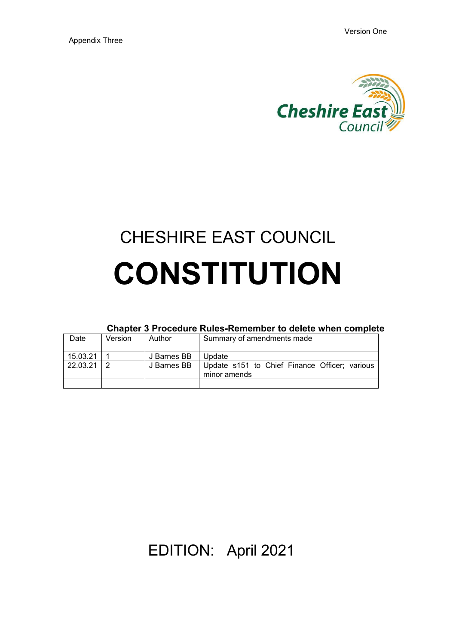

# CHESHIRE EAST COUNCIL **CONSTITUTION**

#### **Chapter 3 Procedure Rules-Remember to delete when complete**

| Date     | Version | Author      | Summary of amendments made                                    |
|----------|---------|-------------|---------------------------------------------------------------|
| 15.03.21 |         | J Barnes BB | Update                                                        |
| 22.03.21 |         | J Barnes BB | Update s151 to Chief Finance Officer; various<br>minor amends |
|          |         |             |                                                               |

# EDITION: April 2021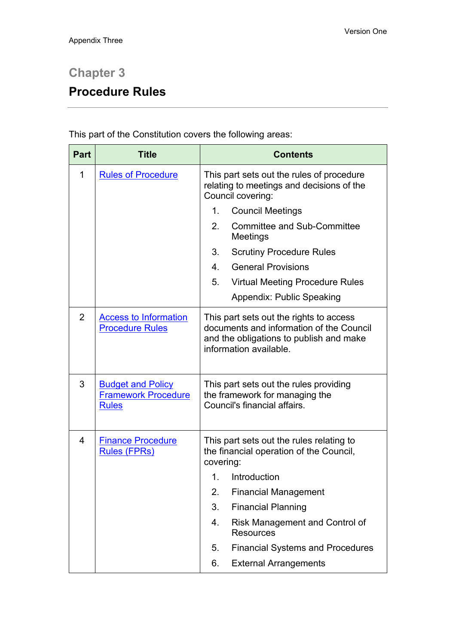# **Chapter 3 Procedure Rules**

This part of the Constitution covers the following areas:

| Part           | <b>Title</b>                                                           | <b>Contents</b>                                                                                                                                          |  |
|----------------|------------------------------------------------------------------------|----------------------------------------------------------------------------------------------------------------------------------------------------------|--|
| 1              | <b>Rules of Procedure</b>                                              | This part sets out the rules of procedure<br>relating to meetings and decisions of the<br>Council covering:                                              |  |
|                |                                                                        | 1.<br><b>Council Meetings</b>                                                                                                                            |  |
|                |                                                                        | $2_{-}$<br><b>Committee and Sub-Committee</b><br>Meetings                                                                                                |  |
|                |                                                                        | 3.<br><b>Scrutiny Procedure Rules</b>                                                                                                                    |  |
|                |                                                                        | <b>General Provisions</b><br>$4_{\cdot}$                                                                                                                 |  |
|                |                                                                        | 5.<br><b>Virtual Meeting Procedure Rules</b>                                                                                                             |  |
|                |                                                                        | <b>Appendix: Public Speaking</b>                                                                                                                         |  |
| $\overline{2}$ | <b>Access to Information</b><br><b>Procedure Rules</b>                 | This part sets out the rights to access<br>documents and information of the Council<br>and the obligations to publish and make<br>information available. |  |
| 3              | <b>Budget and Policy</b><br><b>Framework Procedure</b><br><b>Rules</b> | This part sets out the rules providing<br>the framework for managing the<br>Council's financial affairs.                                                 |  |
| 4              | <b>Finance Procedure</b><br><b>Rules (FPRs)</b>                        | This part sets out the rules relating to<br>the financial operation of the Council,<br>covering:                                                         |  |
|                |                                                                        | 1.<br>Introduction                                                                                                                                       |  |
|                |                                                                        | 2.<br><b>Financial Management</b>                                                                                                                        |  |
|                |                                                                        | 3.<br><b>Financial Planning</b>                                                                                                                          |  |
|                |                                                                        | 4.<br>Risk Management and Control of<br><b>Resources</b>                                                                                                 |  |
|                |                                                                        | 5.<br><b>Financial Systems and Procedures</b>                                                                                                            |  |
|                |                                                                        | 6.<br><b>External Arrangements</b>                                                                                                                       |  |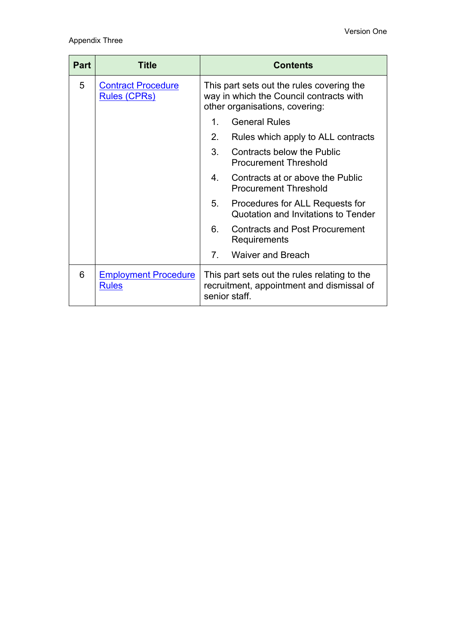| <b>Part</b> | <b>Title</b>                                     | <b>Contents</b>                                                                                                        |  |
|-------------|--------------------------------------------------|------------------------------------------------------------------------------------------------------------------------|--|
| 5           | <b>Contract Procedure</b><br><b>Rules (CPRs)</b> | This part sets out the rules covering the<br>way in which the Council contracts with<br>other organisations, covering: |  |
|             |                                                  | <b>General Rules</b><br>$1_{-}$                                                                                        |  |
|             |                                                  | 2.<br>Rules which apply to ALL contracts                                                                               |  |
|             |                                                  | 3<br>Contracts below the Public<br><b>Procurement Threshold</b>                                                        |  |
|             |                                                  | Contracts at or above the Public<br>4<br><b>Procurement Threshold</b>                                                  |  |
|             |                                                  | Procedures for ALL Requests for<br>5.<br>Quotation and Invitations to Tender                                           |  |
|             |                                                  | 6.<br><b>Contracts and Post Procurement</b><br>Requirements                                                            |  |
|             |                                                  | <b>Waiver and Breach</b><br>$7^{\circ}$                                                                                |  |
| 6           | <b>Employment Procedure</b><br><b>Rules</b>      | This part sets out the rules relating to the<br>recruitment, appointment and dismissal of<br>senior staff.             |  |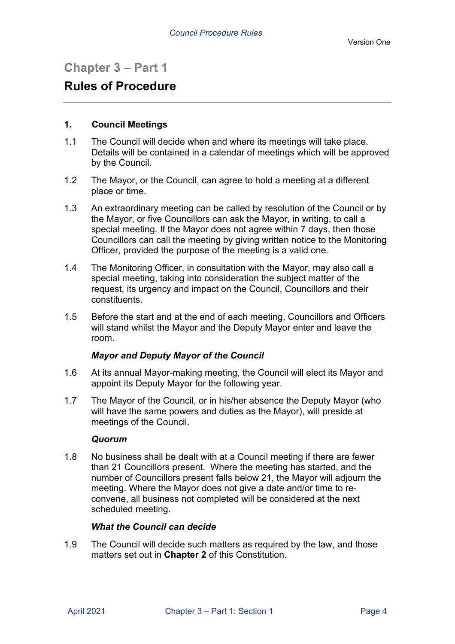# **Chapter 3 – Part 1**

# <span id="page-3-0"></span>**Rules of Procedure**

# **1. Council Meetings**

- 1.1 The Council will decide when and where its meetings will take place. Details will be contained in a calendar of meetings which will be approved by the Council.
- 1.2 The Mayor, or the Council, can agree to hold a meeting at a different place or time.
- 1.3 An extraordinary meeting can be called by resolution of the Council or by the Mayor, or five Councillors can ask the Mayor, in writing, to call a special meeting. If the Mayor does not agree within 7 days, then those Councillors can call the meeting by giving written notice to the Monitoring Officer, provided the purpose of the meeting is a valid one.
- 1.4 The Monitoring Officer, in consultation with the Mayor, may also call a special meeting, taking into consideration the subject matter of the request, its urgency and impact on the Council, Councillors and their constituents.
- 1.5 Before the start and at the end of each meeting, Councillors and Officers will stand whilst the Mayor and the Deputy Mayor enter and leave the room.

# *Mayor and Deputy Mayor of the Council*

- 1.6 At its annual Mayor-making meeting, the Council will elect its Mayor and appoint its Deputy Mayor for the following year.
- 1.7 The Mayor of the Council, or in his/her absence the Deputy Mayor (who will have the same powers and duties as the Mayor), will preside at meetings of the Council.

# *Quorum*

1.8 No business shall be dealt with at a Council meeting if there are fewer than 21 Councillors present. Where the meeting has started, and the number of Councillors present falls below 21, the Mayor will adjourn the meeting. Where the Mayor does not give a date and/or time to reconvene, all business not completed will be considered at the next scheduled meeting.

#### *What the Council can decide*

1.9 The Council will decide such matters as required by the law, and those matters set out in **Chapter 2** of this Constitution.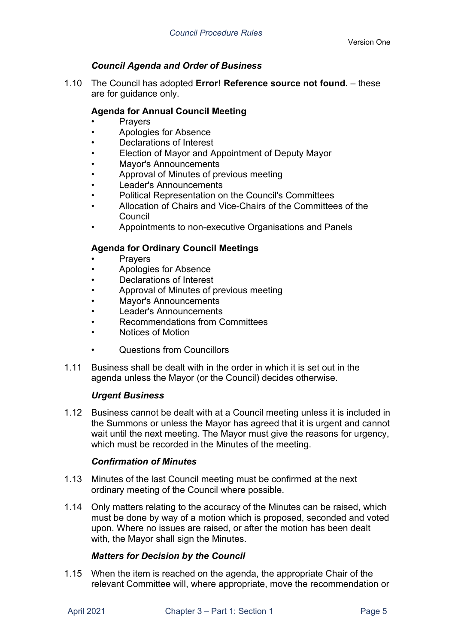# *Council Agenda and Order of Business*

1.10 The Council has adopted **Error! Reference source not found.** – these are for guidance only.

# **Agenda for Annual Council Meeting**

- **Prayers**
- Apologies for Absence
- Declarations of Interest
- Election of Mayor and Appointment of Deputy Mayor
- Mayor's Announcements
- Approval of Minutes of previous meeting
- Leader's Announcements
- Political Representation on the Council's Committees
- Allocation of Chairs and Vice-Chairs of the Committees of the **Council**
- Appointments to non-executive Organisations and Panels

# **Agenda for Ordinary Council Meetings**

- **Prayers**
- Apologies for Absence
- Declarations of Interest
- Approval of Minutes of previous meeting
- Mayor's Announcements
- Leader's Announcements
- Recommendations from Committees
- Notices of Motion
- Questions from Councillors
- 1.11 Business shall be dealt with in the order in which it is set out in the agenda unless the Mayor (or the Council) decides otherwise.

#### *Urgent Business*

1.12 Business cannot be dealt with at a Council meeting unless it is included in the Summons or unless the Mayor has agreed that it is urgent and cannot wait until the next meeting. The Mayor must give the reasons for urgency, which must be recorded in the Minutes of the meeting.

#### *Confirmation of Minutes*

- 1.13 Minutes of the last Council meeting must be confirmed at the next ordinary meeting of the Council where possible.
- 1.14 Only matters relating to the accuracy of the Minutes can be raised, which must be done by way of a motion which is proposed, seconded and voted upon. Where no issues are raised, or after the motion has been dealt with, the Mayor shall sign the Minutes.

#### *Matters for Decision by the Council*

1.15 When the item is reached on the agenda, the appropriate Chair of the relevant Committee will, where appropriate, move the recommendation or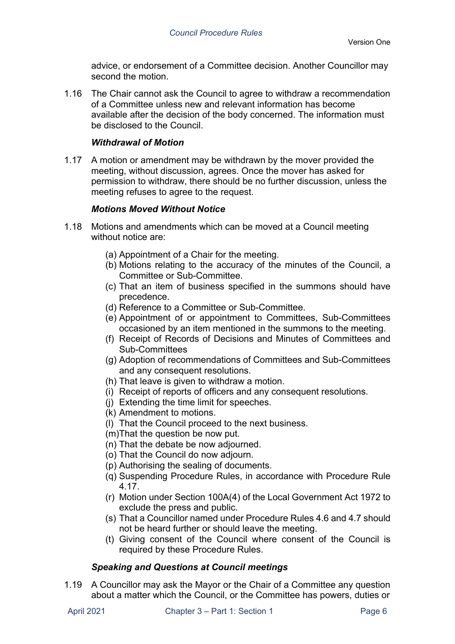advice, or endorsement of a Committee decision. Another Councillor may second the motion.

1.16 The Chair cannot ask the Council to agree to withdraw a recommendation of a Committee unless new and relevant information has become available after the decision of the body concerned. The information must be disclosed to the Council.

#### *Withdrawal of Motion*

1.17 A motion or amendment may be withdrawn by the mover provided the meeting, without discussion, agrees. Once the mover has asked for permission to withdraw, there should be no further discussion, unless the meeting refuses to agree to the request.

# *Motions Moved Without Notice*

- 1.18 Motions and amendments which can be moved at a Council meeting without notice are:
	- (a) Appointment of a Chair for the meeting.
	- (b) Motions relating to the accuracy of the minutes of the Council, a Committee or Sub-Committee.
	- (c) That an item of business specified in the summons should have precedence.
	- (d) Reference to a Committee or Sub-Committee.
	- (e) Appointment of or appointment to Committees, Sub-Committees occasioned by an item mentioned in the summons to the meeting.
	- (f) Receipt of Records of Decisions and Minutes of Committees and Sub-Committees
	- (g) Adoption of recommendations of Committees and Sub-Committees and any consequent resolutions.
	- (h) That leave is given to withdraw a motion.
	- (i) Receipt of reports of officers and any consequent resolutions.
	- (j) Extending the time limit for speeches.
	- (k) Amendment to motions.
	- (l) That the Council proceed to the next business.
	- (m)That the question be now put.
	- (n) That the debate be now adjourned.
	- (o) That the Council do now adjourn.
	- (p) Authorising the sealing of documents.
	- (q) Suspending Procedure Rules, in accordance with Procedure Rule 4.17.
	- (r) Motion under Section 100A(4) of the Local Government Act 1972 to exclude the press and public.
	- (s) That a Councillor named under Procedure Rules 4.6 and 4.7 should not be heard further or should leave the meeting.
	- (t) Giving consent of the Council where consent of the Council is required by these Procedure Rules.

# *Speaking and Questions at Council meetings*

1.19 A Councillor may ask the Mayor or the Chair of a Committee any question about a matter which the Council, or the Committee has powers, duties or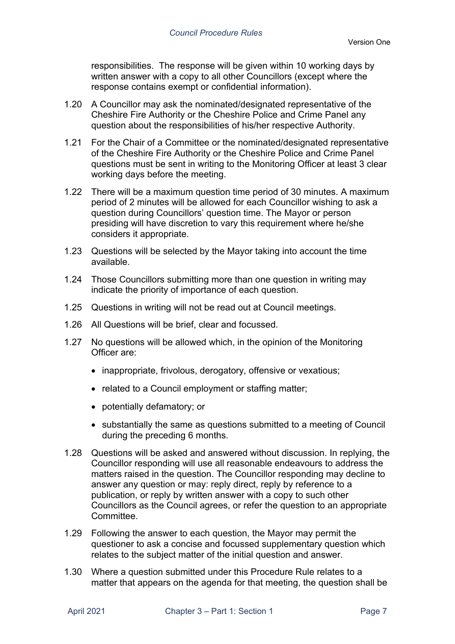responsibilities. The response will be given within 10 working days by written answer with a copy to all other Councillors (except where the response contains exempt or confidential information).

- 1.20 A Councillor may ask the nominated/designated representative of the Cheshire Fire Authority or the Cheshire Police and Crime Panel any question about the responsibilities of his/her respective Authority.
- 1.21 For the Chair of a Committee or the nominated/designated representative of the Cheshire Fire Authority or the Cheshire Police and Crime Panel questions must be sent in writing to the Monitoring Officer at least 3 clear working days before the meeting.
- 1.22 There will be a maximum question time period of 30 minutes. A maximum period of 2 minutes will be allowed for each Councillor wishing to ask a question during Councillors' question time. The Mayor or person presiding will have discretion to vary this requirement where he/she considers it appropriate.
- 1.23 Questions will be selected by the Mayor taking into account the time available.
- 1.24 Those Councillors submitting more than one question in writing may indicate the priority of importance of each question.
- 1.25 Questions in writing will not be read out at Council meetings.
- 1.26 All Questions will be brief, clear and focussed.
- 1.27 No questions will be allowed which, in the opinion of the Monitoring Officer are:
	- inappropriate, frivolous, derogatory, offensive or vexatious;
	- related to a Council employment or staffing matter;
	- potentially defamatory; or
	- substantially the same as questions submitted to a meeting of Council during the preceding 6 months.
- 1.28 Questions will be asked and answered without discussion. In replying, the Councillor responding will use all reasonable endeavours to address the matters raised in the question. The Councillor responding may decline to answer any question or may: reply direct, reply by reference to a publication, or reply by written answer with a copy to such other Councillors as the Council agrees, or refer the question to an appropriate Committee.
- 1.29 Following the answer to each question, the Mayor may permit the questioner to ask a concise and focussed supplementary question which relates to the subject matter of the initial question and answer.
- 1.30 Where a question submitted under this Procedure Rule relates to a matter that appears on the agenda for that meeting, the question shall be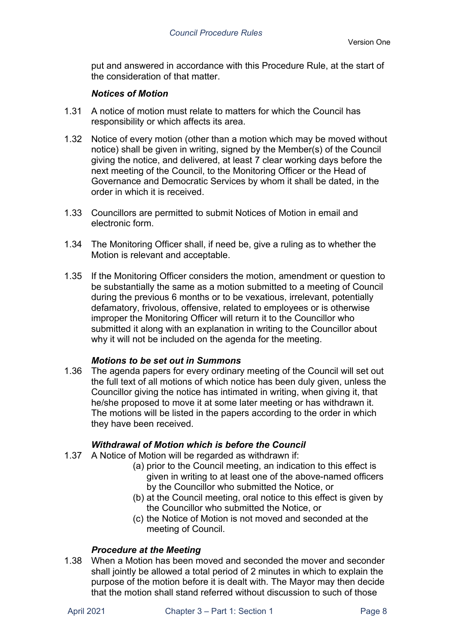put and answered in accordance with this Procedure Rule, at the start of the consideration of that matter.

#### *Notices of Motion*

- 1.31 A notice of motion must relate to matters for which the Council has responsibility or which affects its area.
- 1.32 Notice of every motion (other than a motion which may be moved without notice) shall be given in writing, signed by the Member(s) of the Council giving the notice, and delivered, at least 7 clear working days before the next meeting of the Council, to the Monitoring Officer or the Head of Governance and Democratic Services by whom it shall be dated, in the order in which it is received.
- 1.33 Councillors are permitted to submit Notices of Motion in email and electronic form.
- 1.34 The Monitoring Officer shall, if need be, give a ruling as to whether the Motion is relevant and acceptable.
- 1.35 If the Monitoring Officer considers the motion, amendment or question to be substantially the same as a motion submitted to a meeting of Council during the previous 6 months or to be vexatious, irrelevant, potentially defamatory, frivolous, offensive, related to employees or is otherwise improper the Monitoring Officer will return it to the Councillor who submitted it along with an explanation in writing to the Councillor about why it will not be included on the agenda for the meeting.

#### *Motions to be set out in Summons*

1.36 The agenda papers for every ordinary meeting of the Council will set out the full text of all motions of which notice has been duly given, unless the Councillor giving the notice has intimated in writing, when giving it, that he/she proposed to move it at some later meeting or has withdrawn it. The motions will be listed in the papers according to the order in which they have been received.

#### *Withdrawal of Motion which is before the Council*

- 1.37 A Notice of Motion will be regarded as withdrawn if:
	- (a) prior to the Council meeting, an indication to this effect is given in writing to at least one of the above-named officers by the Councillor who submitted the Notice, or
	- (b) at the Council meeting, oral notice to this effect is given by the Councillor who submitted the Notice, or
	- (c) the Notice of Motion is not moved and seconded at the meeting of Council.

#### *Procedure at the Meeting*

1.38 When a Motion has been moved and seconded the mover and seconder shall jointly be allowed a total period of 2 minutes in which to explain the purpose of the motion before it is dealt with. The Mayor may then decide that the motion shall stand referred without discussion to such of those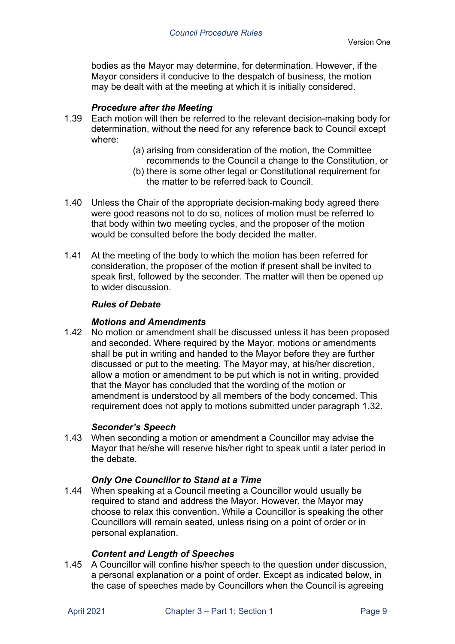bodies as the Mayor may determine, for determination. However, if the Mayor considers it conducive to the despatch of business, the motion may be dealt with at the meeting at which it is initially considered.

#### *Procedure after the Meeting*

- 1.39 Each motion will then be referred to the relevant decision-making body for determination, without the need for any reference back to Council except where:
	- (a) arising from consideration of the motion, the Committee recommends to the Council a change to the Constitution, or
	- (b) there is some other legal or Constitutional requirement for the matter to be referred back to Council.
- 1.40 Unless the Chair of the appropriate decision-making body agreed there were good reasons not to do so, notices of motion must be referred to that body within two meeting cycles, and the proposer of the motion would be consulted before the body decided the matter.
- 1.41 At the meeting of the body to which the motion has been referred for consideration, the proposer of the motion if present shall be invited to speak first, followed by the seconder. The matter will then be opened up to wider discussion.

### *Rules of Debate*

#### *Motions and Amendments*

1.42 No motion or amendment shall be discussed unless it has been proposed and seconded. Where required by the Mayor, motions or amendments shall be put in writing and handed to the Mayor before they are further discussed or put to the meeting. The Mayor may, at his/her discretion, allow a motion or amendment to be put which is not in writing, provided that the Mayor has concluded that the wording of the motion or amendment is understood by all members of the body concerned. This requirement does not apply to motions submitted under paragraph 1.32.

#### *Seconder's Speech*

1.43 When seconding a motion or amendment a Councillor may advise the Mayor that he/she will reserve his/her right to speak until a later period in the debate.

#### *Only One Councillor to Stand at a Time*

1.44 When speaking at a Council meeting a Councillor would usually be required to stand and address the Mayor. However, the Mayor may choose to relax this convention. While a Councillor is speaking the other Councillors will remain seated, unless rising on a point of order or in personal explanation.

#### *Content and Length of Speeches*

1.45 A Councillor will confine his/her speech to the question under discussion, a personal explanation or a point of order. Except as indicated below, in the case of speeches made by Councillors when the Council is agreeing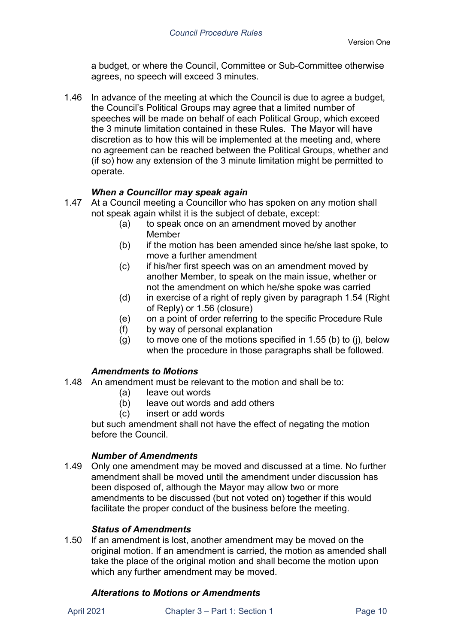a budget, or where the Council, Committee or Sub-Committee otherwise agrees, no speech will exceed 3 minutes.

1.46 In advance of the meeting at which the Council is due to agree a budget, the Council's Political Groups may agree that a limited number of speeches will be made on behalf of each Political Group, which exceed the 3 minute limitation contained in these Rules. The Mayor will have discretion as to how this will be implemented at the meeting and, where no agreement can be reached between the Political Groups, whether and (if so) how any extension of the 3 minute limitation might be permitted to operate.

#### *When a Councillor may speak again*

- 1.47 At a Council meeting a Councillor who has spoken on any motion shall not speak again whilst it is the subject of debate, except:
	- (a) to speak once on an amendment moved by another **Member**
	- (b) if the motion has been amended since he/she last spoke, to move a further amendment
	- (c) if his/her first speech was on an amendment moved by another Member, to speak on the main issue, whether or not the amendment on which he/she spoke was carried
	- (d) in exercise of a right of reply given by paragraph 1.54 (Right of Reply) or 1.56 (closure)
	- (e) on a point of order referring to the specific Procedure Rule
	- (f) by way of personal explanation
	- (g) to move one of the motions specified in 1.55 (b) to (j), below when the procedure in those paragraphs shall be followed.

#### *Amendments to Motions*

- 1.48 An amendment must be relevant to the motion and shall be to:
	- (a) leave out words
	- (b) leave out words and add others
	- (c) insert or add words

but such amendment shall not have the effect of negating the motion before the Council.

#### *Number of Amendments*

1.49 Only one amendment may be moved and discussed at a time. No further amendment shall be moved until the amendment under discussion has been disposed of, although the Mayor may allow two or more amendments to be discussed (but not voted on) together if this would facilitate the proper conduct of the business before the meeting.

#### *Status of Amendments*

1.50 If an amendment is lost, another amendment may be moved on the original motion. If an amendment is carried, the motion as amended shall take the place of the original motion and shall become the motion upon which any further amendment may be moved.

#### *Alterations to Motions or Amendments*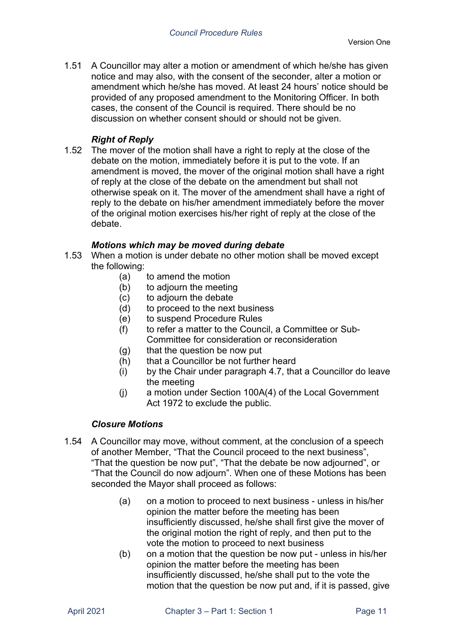1.51 A Councillor may alter a motion or amendment of which he/she has given notice and may also, with the consent of the seconder, alter a motion or amendment which he/she has moved. At least 24 hours' notice should be provided of any proposed amendment to the Monitoring Officer. In both cases, the consent of the Council is required. There should be no discussion on whether consent should or should not be given.

# *Right of Reply*

1.52 The mover of the motion shall have a right to reply at the close of the debate on the motion, immediately before it is put to the vote. If an amendment is moved, the mover of the original motion shall have a right of reply at the close of the debate on the amendment but shall not otherwise speak on it. The mover of the amendment shall have a right of reply to the debate on his/her amendment immediately before the mover of the original motion exercises his/her right of reply at the close of the debate.

# *Motions which may be moved during debate*

- 1.53 When a motion is under debate no other motion shall be moved except the following:
	- (a) to amend the motion
	- (b) to adjourn the meeting
	- (c) to adjourn the debate
	- (d) to proceed to the next business
	- (e) to suspend Procedure Rules
	- (f) to refer a matter to the Council, a Committee or Sub-Committee for consideration or reconsideration
	- (g) that the question be now put
	- (h) that a Councillor be not further heard
	- (i) by the Chair under paragraph 4.7, that a Councillor do leave the meeting
	- (j) a motion under Section 100A(4) of the Local Government Act 1972 to exclude the public.

# *Closure Motions*

- 1.54 A Councillor may move, without comment, at the conclusion of a speech of another Member, "That the Council proceed to the next business", "That the question be now put", "That the debate be now adjourned", or "That the Council do now adjourn". When one of these Motions has been seconded the Mayor shall proceed as follows:
	- (a) on a motion to proceed to next business unless in his/her opinion the matter before the meeting has been insufficiently discussed, he/she shall first give the mover of the original motion the right of reply, and then put to the vote the motion to proceed to next business
	- (b) on a motion that the question be now put unless in his/her opinion the matter before the meeting has been insufficiently discussed, he/she shall put to the vote the motion that the question be now put and, if it is passed, give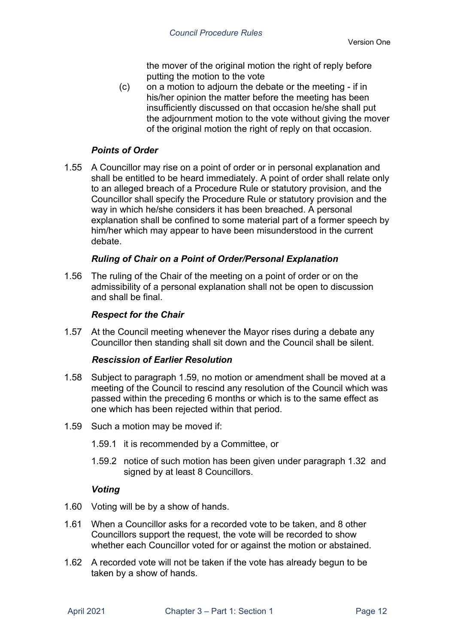the mover of the original motion the right of reply before putting the motion to the vote

(c) on a motion to adjourn the debate or the meeting - if in his/her opinion the matter before the meeting has been insufficiently discussed on that occasion he/she shall put the adjournment motion to the vote without giving the mover of the original motion the right of reply on that occasion.

#### *Points of Order*

1.55 A Councillor may rise on a point of order or in personal explanation and shall be entitled to be heard immediately. A point of order shall relate only to an alleged breach of a Procedure Rule or statutory provision, and the Councillor shall specify the Procedure Rule or statutory provision and the way in which he/she considers it has been breached. A personal explanation shall be confined to some material part of a former speech by him/her which may appear to have been misunderstood in the current debate.

# *Ruling of Chair on a Point of Order/Personal Explanation*

1.56 The ruling of the Chair of the meeting on a point of order or on the admissibility of a personal explanation shall not be open to discussion and shall be final.

#### *Respect for the Chair*

1.57 At the Council meeting whenever the Mayor rises during a debate any Councillor then standing shall sit down and the Council shall be silent.

#### *Rescission of Earlier Resolution*

- 1.58 Subject to paragraph 1.59, no motion or amendment shall be moved at a meeting of the Council to rescind any resolution of the Council which was passed within the preceding 6 months or which is to the same effect as one which has been rejected within that period.
- 1.59 Such a motion may be moved if:
	- 1.59.1 it is recommended by a Committee, or
	- 1.59.2 notice of such motion has been given under paragraph 1.32 and signed by at least 8 Councillors.

### *Voting*

- 1.60 Voting will be by a show of hands.
- 1.61 When a Councillor asks for a recorded vote to be taken, and 8 other Councillors support the request, the vote will be recorded to show whether each Councillor voted for or against the motion or abstained.
- 1.62 A recorded vote will not be taken if the vote has already begun to be taken by a show of hands.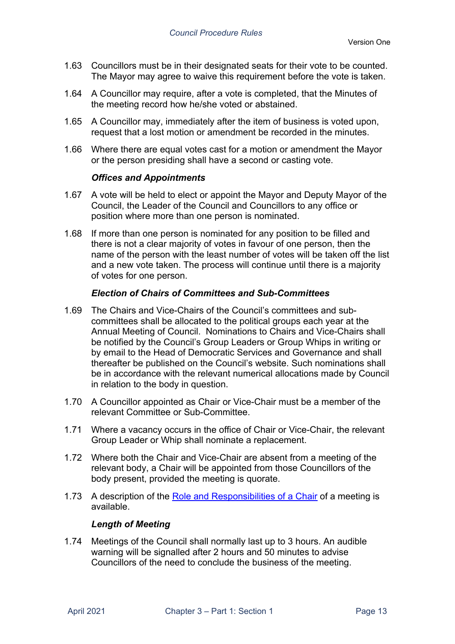- 1.63 Councillors must be in their designated seats for their vote to be counted. The Mayor may agree to waive this requirement before the vote is taken.
- 1.64 A Councillor may require, after a vote is completed, that the Minutes of the meeting record how he/she voted or abstained.
- 1.65 A Councillor may, immediately after the item of business is voted upon, request that a lost motion or amendment be recorded in the minutes.
- 1.66 Where there are equal votes cast for a motion or amendment the Mayor or the person presiding shall have a second or casting vote.

#### *Offices and Appointments*

- 1.67 A vote will be held to elect or appoint the Mayor and Deputy Mayor of the Council, the Leader of the Council and Councillors to any office or position where more than one person is nominated.
- 1.68 If more than one person is nominated for any position to be filled and there is not a clear majority of votes in favour of one person, then the name of the person with the least number of votes will be taken off the list and a new vote taken. The process will continue until there is a majority of votes for one person.

#### *Election of Chairs of Committees and Sub-Committees*

- 1.69 The Chairs and Vice-Chairs of the Council's committees and subcommittees shall be allocated to the political groups each year at the Annual Meeting of Council. Nominations to Chairs and Vice-Chairs shall be notified by the Council's Group Leaders or Group Whips in writing or by email to the Head of Democratic Services and Governance and shall thereafter be published on the Council's website. Such nominations shall be in accordance with the relevant numerical allocations made by Council in relation to the body in question.
- 1.70 A Councillor appointed as Chair or Vice-Chair must be a member of the relevant Committee or Sub-Committee.
- 1.71 Where a vacancy occurs in the office of Chair or Vice-Chair, the relevant Group Leader or Whip shall nominate a replacement.
- 1.72 Where both the Chair and Vice-Chair are absent from a meeting of the relevant body, a Chair will be appointed from those Councillors of the body present, provided the meeting is quorate.
- 1.73 A description of the Role and [Responsibilities](http://www.cheshireeast.gov.uk/pdf/Council-and-democracy/constitution/2017-18-constitution/Job-Description-of-Committee-Chairman.pdf) of a Chair of a meeting is available.

#### *Length of Meeting*

1.74 Meetings of the Council shall normally last up to 3 hours. An audible warning will be signalled after 2 hours and 50 minutes to advise Councillors of the need to conclude the business of the meeting.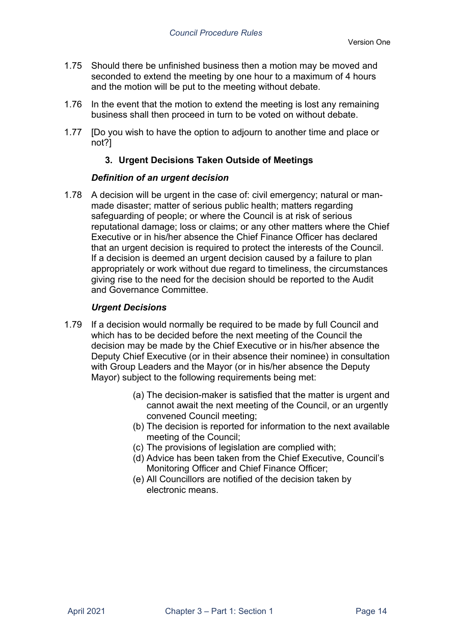- 1.75 Should there be unfinished business then a motion may be moved and seconded to extend the meeting by one hour to a maximum of 4 hours and the motion will be put to the meeting without debate.
- 1.76 In the event that the motion to extend the meeting is lost any remaining business shall then proceed in turn to be voted on without debate.
- 1.77 [Do you wish to have the option to adjourn to another time and place or not?]

# **3. Urgent Decisions Taken Outside of Meetings**

#### *Definition of an urgent decision*

1.78 A decision will be urgent in the case of: civil emergency; natural or manmade disaster; matter of serious public health; matters regarding safeguarding of people; or where the Council is at risk of serious reputational damage; loss or claims; or any other matters where the Chief Executive or in his/her absence the Chief Finance Officer has declared that an urgent decision is required to protect the interests of the Council. If a decision is deemed an urgent decision caused by a failure to plan appropriately or work without due regard to timeliness, the circumstances giving rise to the need for the decision should be reported to the Audit and Governance Committee.

#### *Urgent Decisions*

- 1.79 If a decision would normally be required to be made by full Council and which has to be decided before the next meeting of the Council the decision may be made by the Chief Executive or in his/her absence the Deputy Chief Executive (or in their absence their nominee) in consultation with Group Leaders and the Mayor (or in his/her absence the Deputy Mayor) subject to the following requirements being met:
	- (a) The decision-maker is satisfied that the matter is urgent and cannot await the next meeting of the Council, or an urgently convened Council meeting;
	- (b) The decision is reported for information to the next available meeting of the Council;
	- (c) The provisions of legislation are complied with;
	- (d) Advice has been taken from the Chief Executive, Council's Monitoring Officer and Chief Finance Officer;
	- (e) All Councillors are notified of the decision taken by electronic means.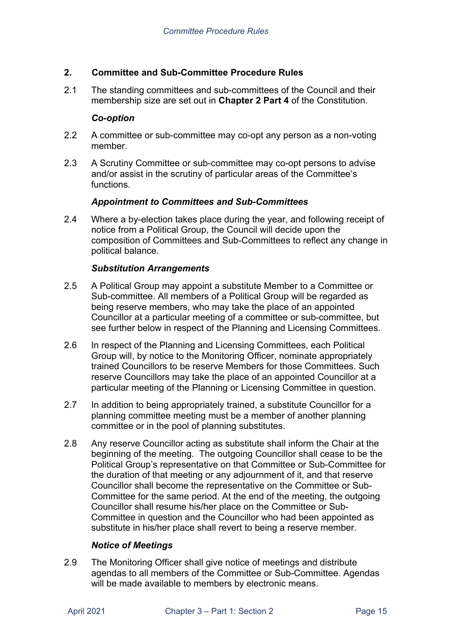#### **2. Committee and Sub-Committee Procedure Rules**

2.1 The standing committees and sub-committees of the Council and their membership size are set out in **Chapter 2 Part 4** of the Constitution.

#### *Co-option*

- 2.2 A committee or sub-committee may co-opt any person as a non-voting member.
- 2.3 A Scrutiny Committee or sub-committee may co-opt persons to advise and/or assist in the scrutiny of particular areas of the Committee's functions.

#### *Appointment to Committees and Sub-Committees*

2.4 Where a by-election takes place during the year, and following receipt of notice from a Political Group, the Council will decide upon the composition of Committees and Sub-Committees to reflect any change in political balance.

#### *Substitution Arrangements*

- 2.5 A Political Group may appoint a substitute Member to a Committee or Sub-committee. All members of a Political Group will be regarded as being reserve members, who may take the place of an appointed Councillor at a particular meeting of a committee or sub-committee, but see further below in respect of the Planning and Licensing Committees.
- 2.6 In respect of the Planning and Licensing Committees, each Political Group will, by notice to the Monitoring Officer, nominate appropriately trained Councillors to be reserve Members for those Committees. Such reserve Councillors may take the place of an appointed Councillor at a particular meeting of the Planning or Licensing Committee in question.
- 2.7 In addition to being appropriately trained, a substitute Councillor for a planning committee meeting must be a member of another planning committee or in the pool of planning substitutes.
- 2.8 Any reserve Councillor acting as substitute shall inform the Chair at the beginning of the meeting. The outgoing Councillor shall cease to be the Political Group's representative on that Committee or Sub-Committee for the duration of that meeting or any adjournment of it, and that reserve Councillor shall become the representative on the Committee or Sub-Committee for the same period. At the end of the meeting, the outgoing Councillor shall resume his/her place on the Committee or Sub-Committee in question and the Councillor who had been appointed as substitute in his/her place shall revert to being a reserve member.

#### *Notice of Meetings*

2.9 The Monitoring Officer shall give notice of meetings and distribute agendas to all members of the Committee or Sub-Committee. Agendas will be made available to members by electronic means.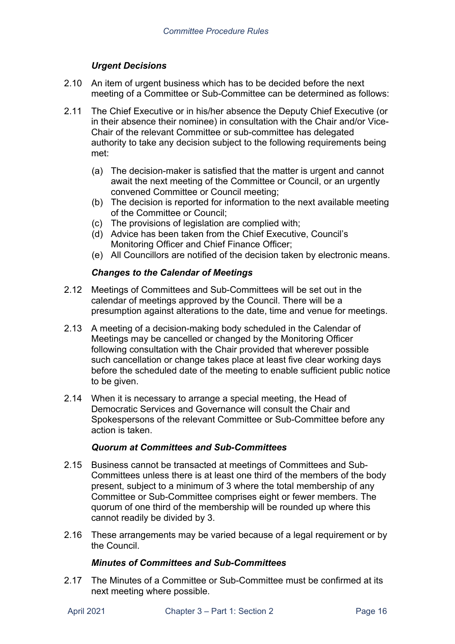# *Urgent Decisions*

- 2.10 An item of urgent business which has to be decided before the next meeting of a Committee or Sub-Committee can be determined as follows:
- 2.11 The Chief Executive or in his/her absence the Deputy Chief Executive (or in their absence their nominee) in consultation with the Chair and/or Vice-Chair of the relevant Committee or sub-committee has delegated authority to take any decision subject to the following requirements being met:
	- (a) The decision-maker is satisfied that the matter is urgent and cannot await the next meeting of the Committee or Council, or an urgently convened Committee or Council meeting;
	- (b) The decision is reported for information to the next available meeting of the Committee or Council;
	- (c) The provisions of legislation are complied with;
	- (d) Advice has been taken from the Chief Executive, Council's Monitoring Officer and Chief Finance Officer;
	- (e) All Councillors are notified of the decision taken by electronic means.

#### *Changes to the Calendar of Meetings*

- 2.12 Meetings of Committees and Sub-Committees will be set out in the calendar of meetings approved by the Council. There will be a presumption against alterations to the date, time and venue for meetings.
- 2.13 A meeting of a decision-making body scheduled in the Calendar of Meetings may be cancelled or changed by the Monitoring Officer following consultation with the Chair provided that wherever possible such cancellation or change takes place at least five clear working days before the scheduled date of the meeting to enable sufficient public notice to be given.
- 2.14 When it is necessary to arrange a special meeting, the Head of Democratic Services and Governance will consult the Chair and Spokespersons of the relevant Committee or Sub-Committee before any action is taken.

#### *Quorum at Committees and Sub-Committees*

- 2.15 Business cannot be transacted at meetings of Committees and Sub-Committees unless there is at least one third of the members of the body present, subject to a minimum of 3 where the total membership of any Committee or Sub-Committee comprises eight or fewer members. The quorum of one third of the membership will be rounded up where this cannot readily be divided by 3.
- 2.16 These arrangements may be varied because of a legal requirement or by the Council.

#### *Minutes of Committees and Sub-Committees*

2.17 The Minutes of a Committee or Sub-Committee must be confirmed at its next meeting where possible.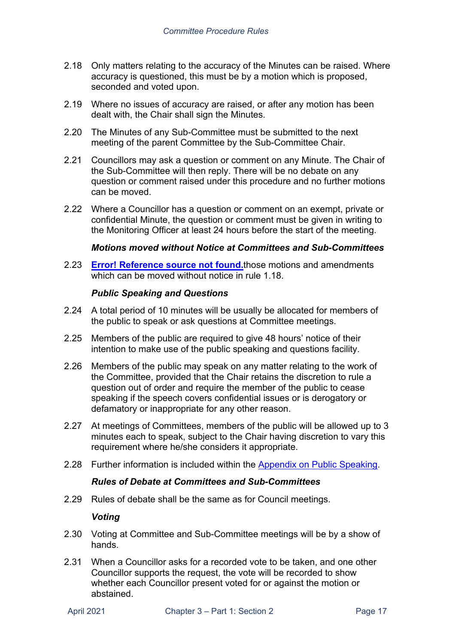- 2.18 Only matters relating to the accuracy of the Minutes can be raised. Where accuracy is questioned, this must be by a motion which is proposed, seconded and voted upon.
- 2.19 Where no issues of accuracy are raised, or after any motion has been dealt with, the Chair shall sign the Minutes.
- 2.20 The Minutes of any Sub-Committee must be submitted to the next meeting of the parent Committee by the Sub-Committee Chair.
- 2.21 Councillors may ask a question or comment on any Minute. The Chair of the Sub-Committee will then reply. There will be no debate on any question or comment raised under this procedure and no further motions can be moved.
- 2.22 Where a Councillor has a question or comment on an exempt, private or confidential Minute, the question or comment must be given in writing to the Monitoring Officer at least 24 hours before the start of the meeting.

#### *Motions moved without Notice at Committees and Sub-Committees*

2.23 **Error! Reference source not found.**those motions and amendments which can be moved without notice in rule 1.18.

#### *Public Speaking and Questions*

- 2.24 A total period of 10 minutes will be usually be allocated for members of the public to speak or ask questions at Committee meetings.
- 2.25 Members of the public are required to give 48 hours' notice of their intention to make use of the public speaking and questions facility.
- 2.26 Members of the public may speak on any matter relating to the work of the Committee, provided that the Chair retains the discretion to rule a question out of order and require the member of the public to cease speaking if the speech covers confidential issues or is derogatory or defamatory or inappropriate for any other reason.
- 2.27 At meetings of Committees, members of the public will be allowed up to 3 minutes each to speak, subject to the Chair having discretion to vary this requirement where he/she considers it appropriate.
- 2.28 Further information is included within the Appendix on Public Speaking.

#### *Rules of Debate at Committees and Sub-Committees*

2.29 Rules of debate shall be the same as for Council meetings.

#### *Voting*

- 2.30 Voting at Committee and Sub-Committee meetings will be by a show of hands.
- 2.31 When a Councillor asks for a recorded vote to be taken, and one other Councillor supports the request, the vote will be recorded to show whether each Councillor present voted for or against the motion or abstained.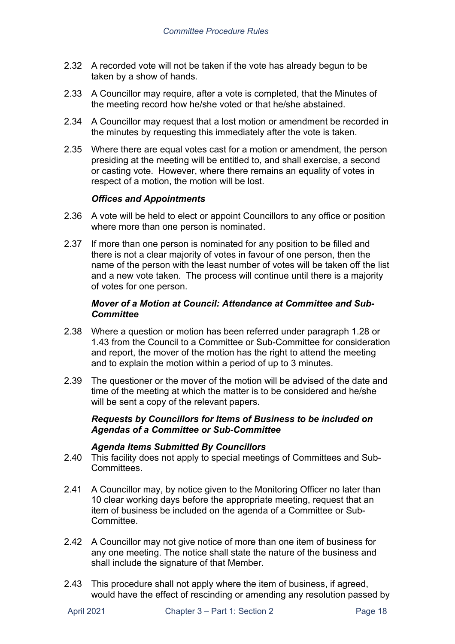- 2.32 A recorded vote will not be taken if the vote has already begun to be taken by a show of hands.
- 2.33 A Councillor may require, after a vote is completed, that the Minutes of the meeting record how he/she voted or that he/she abstained.
- 2.34 A Councillor may request that a lost motion or amendment be recorded in the minutes by requesting this immediately after the vote is taken.
- 2.35 Where there are equal votes cast for a motion or amendment, the person presiding at the meeting will be entitled to, and shall exercise, a second or casting vote. However, where there remains an equality of votes in respect of a motion, the motion will be lost.

#### *Offices and Appointments*

- 2.36 A vote will be held to elect or appoint Councillors to any office or position where more than one person is nominated.
- 2.37 If more than one person is nominated for any position to be filled and there is not a clear majority of votes in favour of one person, then the name of the person with the least number of votes will be taken off the list and a new vote taken. The process will continue until there is a majority of votes for one person.

#### *Mover of a Motion at Council: Attendance at Committee and Sub-Committee*

- 2.38 Where a question or motion has been referred under paragraph 1.28 or 1.43 from the Council to a Committee or Sub-Committee for consideration and report, the mover of the motion has the right to attend the meeting and to explain the motion within a period of up to 3 minutes.
- 2.39 The questioner or the mover of the motion will be advised of the date and time of the meeting at which the matter is to be considered and he/she will be sent a copy of the relevant papers.

#### *Requests by Councillors for Items of Business to be included on Agendas of a Committee or Sub-Committee*

#### *Agenda Items Submitted By Councillors*

- 2.40 This facility does not apply to special meetings of Committees and Sub-Committees.
- 2.41 A Councillor may, by notice given to the Monitoring Officer no later than 10 clear working days before the appropriate meeting, request that an item of business be included on the agenda of a Committee or Sub-Committee.
- 2.42 A Councillor may not give notice of more than one item of business for any one meeting. The notice shall state the nature of the business and shall include the signature of that Member.
- 2.43 This procedure shall not apply where the item of business, if agreed, would have the effect of rescinding or amending any resolution passed by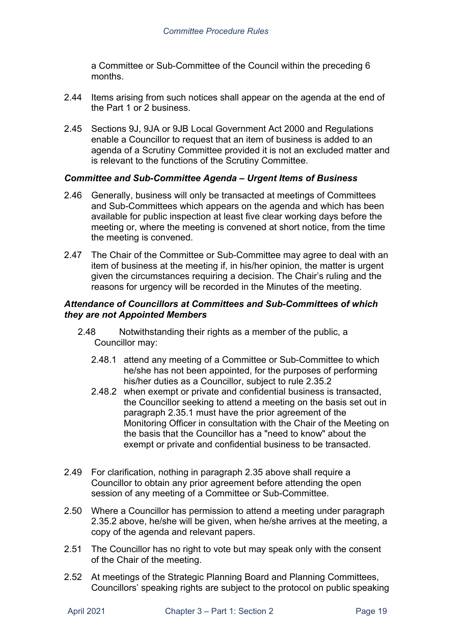a Committee or Sub-Committee of the Council within the preceding 6 months.

- 2.44 Items arising from such notices shall appear on the agenda at the end of the Part 1 or 2 business.
- 2.45 Sections 9J, 9JA or 9JB Local Government Act 2000 and Regulations enable a Councillor to request that an item of business is added to an agenda of a Scrutiny Committee provided it is not an excluded matter and is relevant to the functions of the Scrutiny Committee.

#### *Committee and Sub-Committee Agenda – Urgent Items of Business*

- 2.46 Generally, business will only be transacted at meetings of Committees and Sub-Committees which appears on the agenda and which has been available for public inspection at least five clear working days before the meeting or, where the meeting is convened at short notice, from the time the meeting is convened.
- 2.47 The Chair of the Committee or Sub-Committee may agree to deal with an item of business at the meeting if, in his/her opinion, the matter is urgent given the circumstances requiring a decision. The Chair's ruling and the reasons for urgency will be recorded in the Minutes of the meeting.

#### *Attendance of Councillors at Committees and Sub-Committees of which they are not Appointed Members*

- 2.48 Notwithstanding their rights as a member of the public, a Councillor may:
	- 2.48.1 attend any meeting of a Committee or Sub-Committee to which he/she has not been appointed, for the purposes of performing his/her duties as a Councillor, subject to rule 2.35.2
	- 2.48.2 when exempt or private and confidential business is transacted, the Councillor seeking to attend a meeting on the basis set out in paragraph 2.35.1 must have the prior agreement of the Monitoring Officer in consultation with the Chair of the Meeting on the basis that the Councillor has a "need to know" about the exempt or private and confidential business to be transacted.
- 2.49 For clarification, nothing in paragraph 2.35 above shall require a Councillor to obtain any prior agreement before attending the open session of any meeting of a Committee or Sub-Committee.
- 2.50 Where a Councillor has permission to attend a meeting under paragraph 2.35.2 above, he/she will be given, when he/she arrives at the meeting, a copy of the agenda and relevant papers.
- 2.51 The Councillor has no right to vote but may speak only with the consent of the Chair of the meeting.
- 2.52 At meetings of the Strategic Planning Board and Planning Committees, Councillors' speaking rights are subject to the protocol on public speaking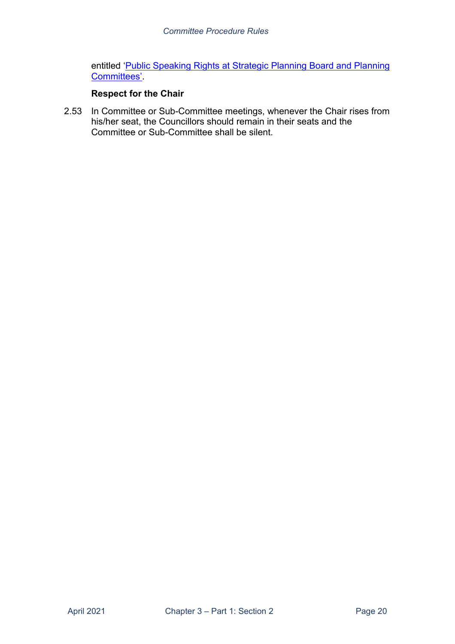entitled 'Public [Speaking](http://www.cheshireeast.gov.uk/pdf/Council-and-democracy/constitution/2017-18-constitution/Protocol-on-Public-Speaking-at-Planning-Meetings.pdf) Rights at Strategic Planning Board and Planning [Committees'](http://www.cheshireeast.gov.uk/pdf/Council-and-democracy/constitution/2017-18-constitution/Protocol-on-Public-Speaking-at-Planning-Meetings.pdf)

### **Respect for the Chair**

2.53 In Committee or Sub-Committee meetings, whenever the Chair rises from his/her seat, the Councillors should remain in their seats and the Committee or Sub-Committee shall be silent.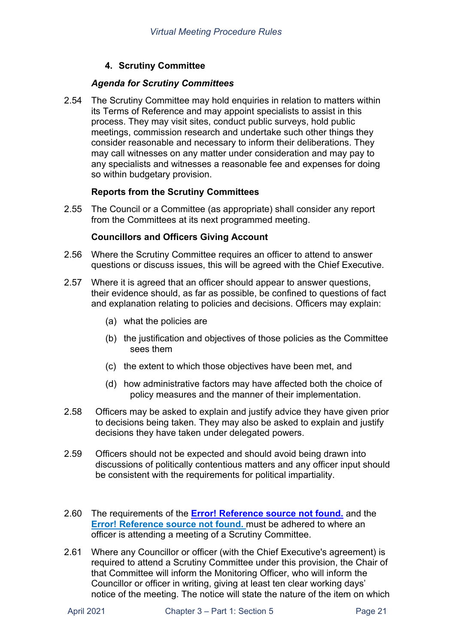# **4. Scrutiny Committee**

#### *Agenda for Scrutiny Committees*

2.54 The Scrutiny Committee may hold enquiries in relation to matters within its Terms of Reference and may appoint specialists to assist in this process. They may visit sites, conduct public surveys, hold public meetings, commission research and undertake such other things they consider reasonable and necessary to inform their deliberations. They may call witnesses on any matter under consideration and may pay to any specialists and witnesses a reasonable fee and expenses for doing so within budgetary provision.

#### **Reports from the Scrutiny Committees**

2.55 The Council or a Committee (as appropriate) shall consider any report from the Committees at its next programmed meeting.

#### **Councillors and Officers Giving Account**

- 2.56 Where the Scrutiny Committee requires an officer to attend to answer questions or discuss issues, this will be agreed with the Chief Executive.
- 2.57 Where it is agreed that an officer should appear to answer questions, their evidence should, as far as possible, be confined to questions of fact and explanation relating to policies and decisions. Officers may explain:
	- (a) what the policies are
	- (b) the justification and objectives of those policies as the Committee sees them
	- (c) the extent to which those objectives have been met, and
	- (d) how administrative factors may have affected both the choice of policy measures and the manner of their implementation.
- 2.58 Officers may be asked to explain and justify advice they have given prior to decisions being taken. They may also be asked to explain and justify decisions they have taken under delegated powers.
- 2.59 Officers should not be expected and should avoid being drawn into discussions of politically contentious matters and any officer input should be consistent with the requirements for political impartiality.
- 2.60 The requirements of the **Error! Reference source not found.** and the **Error! Reference source not found.** must be adhered to where an officer is attending a meeting of a Scrutiny Committee.
- 2.61 Where any Councillor or officer (with the Chief Executive's agreement) is required to attend a Scrutiny Committee under this provision, the Chair of that Committee will inform the Monitoring Officer, who will inform the Councillor or officer in writing, giving at least ten clear working days' notice of the meeting. The notice will state the nature of the item on which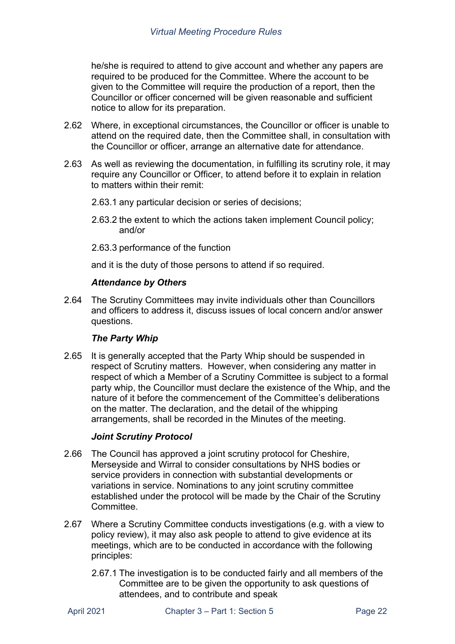he/she is required to attend to give account and whether any papers are required to be produced for the Committee. Where the account to be given to the Committee will require the production of a report, then the Councillor or officer concerned will be given reasonable and sufficient notice to allow for its preparation.

- 2.62 Where, in exceptional circumstances, the Councillor or officer is unable to attend on the required date, then the Committee shall, in consultation with the Councillor or officer, arrange an alternative date for attendance.
- 2.63 As well as reviewing the documentation, in fulfilling its scrutiny role, it may require any Councillor or Officer, to attend before it to explain in relation to matters within their remit:
	- 2.63.1 any particular decision or series of decisions;
	- 2.63.2 the extent to which the actions taken implement Council policy; and/or
	- 2.63.3 performance of the function

and it is the duty of those persons to attend if so required.

#### *Attendance by Others*

2.64 The Scrutiny Committees may invite individuals other than Councillors and officers to address it, discuss issues of local concern and/or answer questions.

#### *The Party Whip*

2.65 It is generally accepted that the Party Whip should be suspended in respect of Scrutiny matters. However, when considering any matter in respect of which a Member of a Scrutiny Committee is subject to a formal party whip, the Councillor must declare the existence of the Whip, and the nature of it before the commencement of the Committee's deliberations on the matter. The declaration, and the detail of the whipping arrangements, shall be recorded in the Minutes of the meeting.

#### *Joint Scrutiny Protocol*

- 2.66 The Council has approved a joint scrutiny [protocol](http://www.cheshireeast.gov.uk/pdf/Council-and-democracy/constitution/2017-18-constitution/Joint-Scrutiny-Arrangements.pdf) for Cheshire, Merseyside and Wirral to consider consultations by NHS bodies or service providers in connection with substantial developments or variations in service. Nominations to any joint scrutiny committee established under the protocol will be made by the Chair of the Scrutiny Committee.
- 2.67 Where a Scrutiny Committee conducts investigations (e.g. with a view to policy review), it may also ask people to attend to give evidence at its meetings, which are to be conducted in accordance with the following principles:
	- 2.67.1 The investigation is to be conducted fairly and all members of the Committee are to be given the opportunity to ask questions of attendees, and to contribute and speak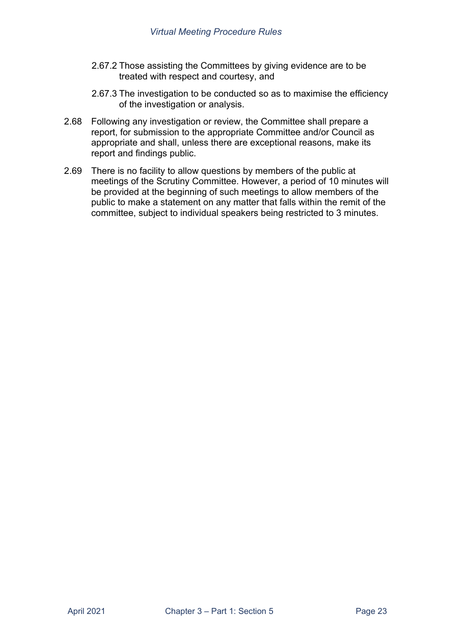- 2.67.2 Those assisting the Committees by giving evidence are to be treated with respect and courtesy, and
- 2.67.3 The investigation to be conducted so as to maximise the efficiency of the investigation or analysis.
- 2.68 Following any investigation or review, the Committee shall prepare a report, for submission to the appropriate Committee and/or Council as appropriate and shall, unless there are exceptional reasons, make its report and findings public.
- 2.69 There is no facility to allow questions by members of the public at meetings of the Scrutiny Committee. However, a period of 10 minutes will be provided at the beginning of such meetings to allow members of the public to make a statement on any matter that falls within the remit of the committee, subject to individual speakers being restricted to 3 minutes.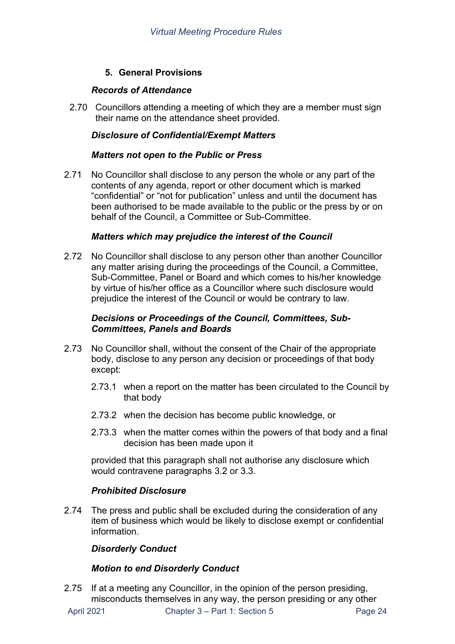# **5. General Provisions**

#### *Records of Attendance*

2.70 Councillors attending a meeting of which they are a member must sign their name on the attendance sheet provided.

#### *Disclosure of Confidential/Exempt Matters*

#### *Matters not open to the Public or Press*

2.71 No Councillor shall disclose to any person the whole or any part of the contents of any agenda, report or other document which is marked "confidential" or "not for publication" unless and until the document has been authorised to be made available to the public or the press by or on behalf of the Council, a Committee or Sub-Committee.

#### *Matters which may prejudice the interest of the Council*

2.72 No Councillor shall disclose to any person other than another Councillor any matter arising during the proceedings of the Council, a Committee, Sub-Committee, Panel or Board and which comes to his/her knowledge by virtue of his/her office as a Councillor where such disclosure would prejudice the interest of the Council or would be contrary to law.

#### *Decisions or Proceedings of the Council, Committees, Sub-Committees, Panels and Boards*

- 2.73 No Councillor shall, without the consent of the Chair of the appropriate body, disclose to any person any decision or proceedings of that body except:
	- 2.73.1 when a report on the matter has been circulated to the Council by that body
	- 2.73.2 when the decision has become public knowledge, or
	- 2.73.3 when the matter comes within the powers of that body and a final decision has been made upon it

provided that this paragraph shall not authorise any disclosure which would contravene paragraphs 3.2 or 3.3.

#### *Prohibited Disclosure*

2.74 The press and public shall be excluded during the consideration of any item of business which would be likely to disclose exempt or confidential information.

#### *Disorderly Conduct*

#### *Motion to end Disorderly Conduct*

2.75 If at a meeting any Councillor, in the opinion of the person presiding, misconducts themselves in any way, the person presiding or any other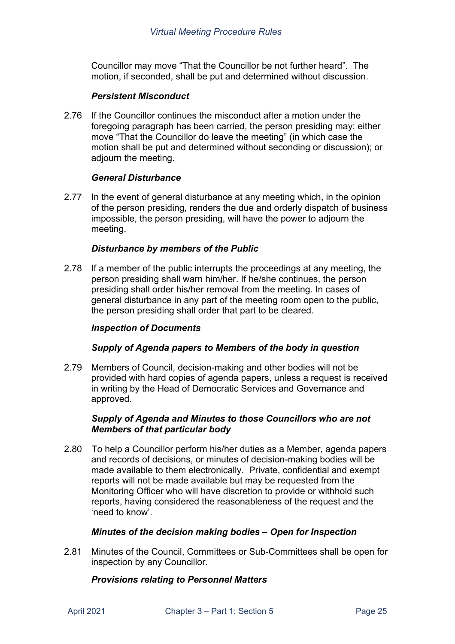Councillor may move "That the Councillor be not further heard". The motion, if seconded, shall be put and determined without discussion.

#### *Persistent Misconduct*

2.76 If the Councillor continues the misconduct after a motion under the foregoing paragraph has been carried, the person presiding may: either move "That the Councillor do leave the meeting" (in which case the motion shall be put and determined without seconding or discussion); or adjourn the meeting.

#### *General Disturbance*

2.77 In the event of general disturbance at any meeting which, in the opinion of the person presiding, renders the due and orderly dispatch of business impossible, the person presiding, will have the power to adjourn the meeting.

#### *Disturbance by members of the Public*

2.78 If a member of the public interrupts the proceedings at any meeting, the person presiding shall warn him/her. If he/she continues, the person presiding shall order his/her removal from the meeting. In cases of general disturbance in any part of the meeting room open to the public, the person presiding shall order that part to be cleared.

#### *Inspection of Documents*

#### *Supply of Agenda papers to Members of the body in question*

2.79 Members of Council, decision-making and other bodies will not be provided with hard copies of agenda papers, unless a request is received in writing by the Head of Democratic Services and Governance and approved.

#### *Supply of Agenda and Minutes to those Councillors who are not Members of that particular body*

2.80 To help a Councillor perform his/her duties as a Member, agenda papers and records of decisions, or minutes of decision-making bodies will be made available to them electronically. Private, confidential and exempt reports will not be made available but may be requested from the Monitoring Officer who will have discretion to provide or withhold such reports, having considered the reasonableness of the request and the 'need to know'.

#### *Minutes of the decision making bodies – Open for Inspection*

2.81 Minutes of the Council, Committees or Sub-Committees shall be open for inspection by any Councillor.

#### *Provisions relating to Personnel Matters*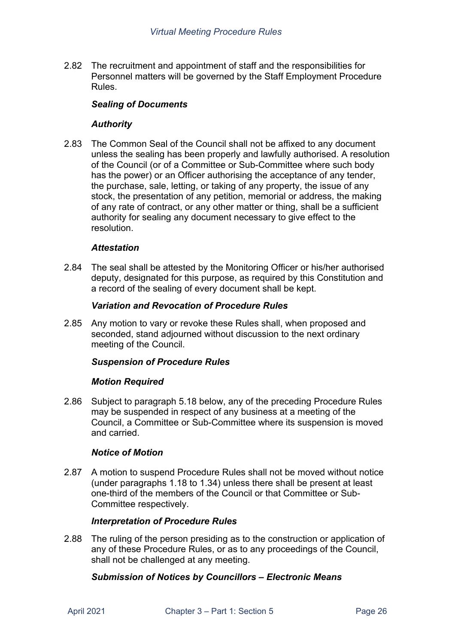2.82 The recruitment and appointment of staff and the responsibilities for Personnel matters will be governed by the Staff Employment Procedure Rules.

#### *Sealing of Documents*

#### *Authority*

2.83 The Common Seal of the Council shall not be affixed to any document unless the sealing has been properly and lawfully authorised. A resolution of the Council (or of a Committee or Sub-Committee where such body has the power) or an Officer authorising the acceptance of any tender, the purchase, sale, letting, or taking of any property, the issue of any stock, the presentation of any petition, memorial or address, the making of any rate of contract, or any other matter or thing, shall be a sufficient authority for sealing any document necessary to give effect to the resolution.

#### *Attestation*

2.84 The seal shall be attested by the Monitoring Officer or his/her authorised deputy, designated for this purpose, as required by this Constitution and a record of the sealing of every document shall be kept.

#### *Variation and Revocation of Procedure Rules*

2.85 Any motion to vary or revoke these Rules shall, when proposed and seconded, stand adjourned without discussion to the next ordinary meeting of the Council.

#### *Suspension of Procedure Rules*

#### *Motion Required*

2.86 Subject to paragraph 5.18 below, any of the preceding Procedure Rules may be suspended in respect of any business at a meeting of the Council, a Committee or Sub-Committee where its suspension is moved and carried.

#### *Notice of Motion*

2.87 A motion to suspend Procedure Rules shall not be moved without notice (under paragraphs 1.18 to 1.34) unless there shall be present at least one-third of the members of the Council or that Committee or Sub-Committee respectively.

#### *Interpretation of Procedure Rules*

2.88 The ruling of the person presiding as to the construction or application of any of these Procedure Rules, or as to any proceedings of the Council, shall not be challenged at any meeting.

#### *Submission of Notices by Councillors – Electronic Means*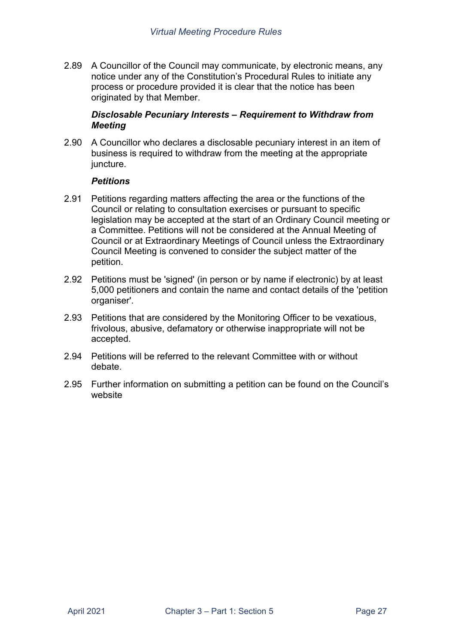2.89 A Councillor of the Council may communicate, by electronic means, any notice under any of the Constitution's Procedural Rules to initiate any process or procedure provided it is clear that the notice has been originated by that Member.

#### *Disclosable Pecuniary Interests – Requirement to Withdraw from Meeting*

2.90 A Councillor who declares a disclosable pecuniary interest in an item of business is required to withdraw from the meeting at the appropriate juncture.

#### *Petitions*

- 2.91 Petitions regarding matters affecting the area or the functions of the Council or relating to consultation exercises or pursuant to specific legislation may be accepted at the start of an Ordinary Council meeting or a Committee. Petitions will not be considered at the Annual Meeting of Council or at Extraordinary Meetings of Council unless the Extraordinary Council Meeting is convened to consider the subject matter of the petition.
- 2.92 Petitions must be 'signed' (in person or by name if electronic) by at least 5,000 petitioners and contain the name and contact details of the 'petition organiser'.
- 2.93 Petitions that are considered by the Monitoring Officer to be vexatious, frivolous, abusive, defamatory or otherwise inappropriate will not be accepted.
- 2.94 Petitions will be referred to the relevant Committee with or without debate.
- 2.95 Further information on submitting a petition can be found on the Council's website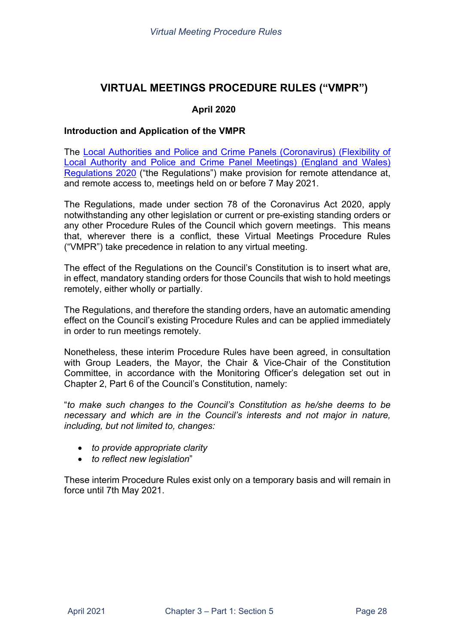# **VIRTUAL MEETINGS PROCEDURE RULES ("VMPR")**

#### **April 2020**

#### **Introduction and Application of the VMPR**

The Local Authorities and Police and Crime Panels [\(Coronavirus\)](https://www.legislation.gov.uk/uksi/2020/392/made) (Flexibility of Local Authority and Police and Crime Panel [Meetings\)](https://www.legislation.gov.uk/uksi/2020/392/made) (England and Wales) [Regulations](https://www.legislation.gov.uk/uksi/2020/392/made) 2020 ("the Regulations") make provision for remote attendance at, and remote access to, meetings held on or before 7 May 2021.

The Regulations, made under section 78 of the Coronavirus Act 2020, apply notwithstanding any other legislation or current or pre-existing standing orders or any other Procedure Rules of the Council which govern meetings. This means that, wherever there is a conflict, these Virtual Meetings Procedure Rules ("VMPR") take precedence in relation to any virtual meeting.

The effect of the Regulations on the Council's Constitution is to insert what are, in effect, mandatory standing orders for those Councils that wish to hold meetings remotely, either wholly or partially.

The Regulations, and therefore the standing orders, have an automatic amending effect on the Council's existing Procedure Rules and can be applied immediately in order to run meetings remotely.

Nonetheless, these interim Procedure Rules have been agreed, in consultation with Group Leaders, the Mayor, the Chair & Vice-Chair of the Constitution Committee, in accordance with the Monitoring Officer's delegation set out in Chapter 2, Part 6 of the Council's Constitution, namely:

"*to make such changes to the Council's Constitution as he/she deems to be necessary and which are in the Council's interests and not major in nature, including, but not limited to, changes:*

- *to provide appropriate clarity*
- *to reflect new legislation*"

These interim Procedure Rules exist only on a temporary basis and will remain in force until 7th May 2021.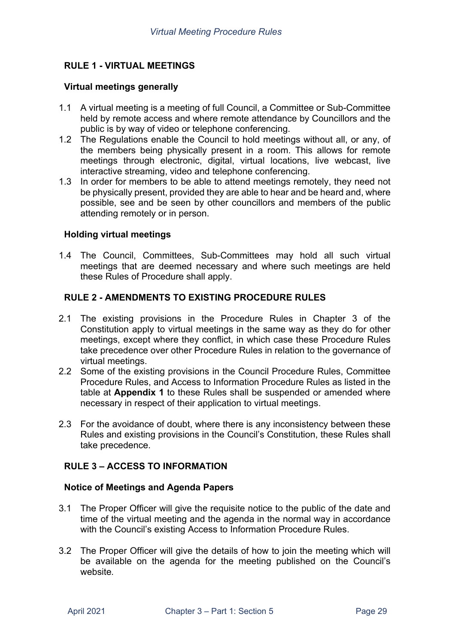# **RULE 1 - VIRTUAL MEETINGS**

#### **Virtual meetings generally**

- 1.1 A virtual meeting is a meeting of full Council, a Committee or Sub-Committee held by remote access and where remote attendance by Councillors and the public is by way of video or telephone conferencing.
- 1.2 The Regulations enable the Council to hold meetings without all, or any, of the members being physically present in a room. This allows for remote meetings through electronic, digital, virtual locations, live webcast, live interactive streaming, video and telephone conferencing.
- 1.3 In order for members to be able to attend meetings remotely, they need not be physically present, provided they are able to hear and be heard and, where possible, see and be seen by other councillors and members of the public attending remotely or in person.

#### **Holding virtual meetings**

1.4 The Council, Committees, Sub-Committees may hold all such virtual meetings that are deemed necessary and where such meetings are held these Rules of Procedure shall apply.

#### **RULE 2 - AMENDMENTS TO EXISTING PROCEDURE RULES**

- 2.1 The existing provisions in the Procedure Rules in Chapter 3 of the Constitution apply to virtual meetings in the same way as they do for other meetings, except where they conflict, in which case these Procedure Rules take precedence over other Procedure Rules in relation to the governance of virtual meetings.
- 2.2 Some of the existing provisions in the Council Procedure Rules, Committee Procedure Rules, and Access to Information Procedure Rules as listed in the table at **Appendix 1** to these Rules shall be suspended or amended where necessary in respect of their application to virtual meetings.
- 2.3 For the avoidance of doubt, where there is any inconsistency between these Rules and existing provisions in the Council's Constitution, these Rules shall take precedence.

#### **RULE 3 – ACCESS TO INFORMATION**

#### **Notice of Meetings and Agenda Papers**

- 3.1 The Proper Officer will give the requisite notice to the public of the date and time of the virtual meeting and the agenda in the normal way in accordance with the Council's existing Access to Information Procedure Rules.
- 3.2 The Proper Officer will give the details of how to join the meeting which will be available on the agenda for the meeting published on the Council's website*.*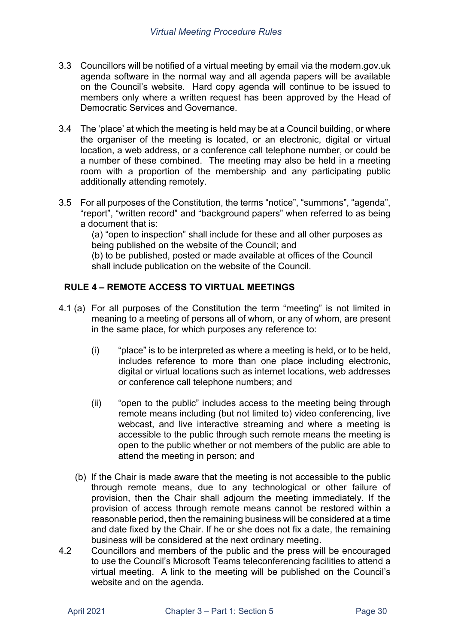- 3.3 Councillors will be notified of a virtual meeting by email via the modern.gov.uk agenda software in the normal way and all agenda papers will be available on the Council's website. Hard copy agenda will continue to be issued to members only where a written request has been approved by the Head of Democratic Services and Governance.
- 3.4 The 'place' at which the meeting is held may be at a Council building, or where the organiser of the meeting is located, or an electronic, digital or virtual location, a web address, or a conference call telephone number, or could be a number of these combined. The meeting may also be held in a meeting room with a proportion of the membership and any participating public additionally attending remotely.
- 3.5 For all purposes of the Constitution, the terms "notice", "summons", "agenda", "report", "written record" and "background papers" when referred to as being a document that is:

(a) "open to inspection" shall include for these and all other purposes as being published on the website of the Council; and

(b) to be published, posted or made available at offices of the Council shall include publication on the website of the Council.

# **RULE 4 – REMOTE ACCESS TO VIRTUAL MEETINGS**

- 4.1 (a) For all purposes of the Constitution the term "meeting" is not limited in meaning to a meeting of persons all of whom, or any of whom, are present in the same place, for which purposes any reference to:
	- (i) "place" is to be interpreted as where a meeting is held, or to be held, includes reference to more than one place including electronic, digital or virtual locations such as internet locations, web addresses or conference call telephone numbers; and
	- (ii) "open to the public" includes access to the meeting being through remote means including (but not limited to) video conferencing, live webcast, and live interactive streaming and where a meeting is accessible to the public through such remote means the meeting is open to the public whether or not members of the public are able to attend the meeting in person; and
	- (b) If the Chair is made aware that the meeting is not accessible to the public through remote means, due to any technological or other failure of provision, then the Chair shall adjourn the meeting immediately. If the provision of access through remote means cannot be restored within a reasonable period, then the remaining business will be considered at a time and date fixed by the Chair. If he or she does not fix a date, the remaining business will be considered at the next ordinary meeting.
- 4.2 Councillors and members of the public and the press will be encouraged to use the Council's Microsoft Teams teleconferencing facilities to attend a virtual meeting. A link to the meeting will be published on the Council's website and on the agenda.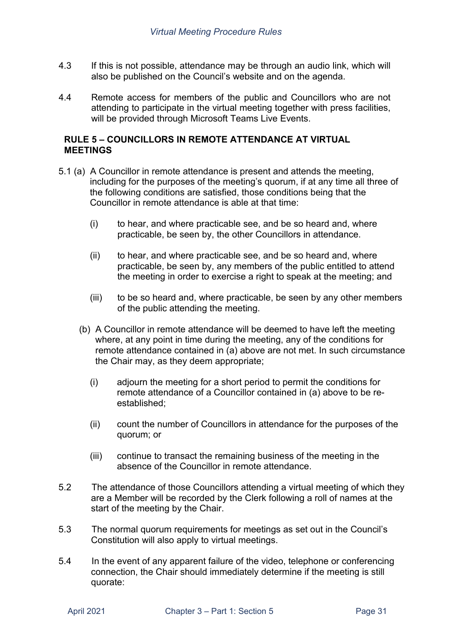- 4.3 If this is not possible, attendance may be through an audio link, which will also be published on the Council's website and on the agenda.
- 4.4 Remote access for members of the public and Councillors who are not attending to participate in the virtual meeting together with press facilities, will be provided through Microsoft Teams Live Events.

#### **RULE 5 – COUNCILLORS IN REMOTE ATTENDANCE AT VIRTUAL MEETINGS**

- 5.1 (a) A Councillor in remote attendance is present and attends the meeting, including for the purposes of the meeting's quorum, if at any time all three of the following conditions are satisfied, those conditions being that the Councillor in remote attendance is able at that time:
	- (i) to hear, and where practicable see, and be so heard and, where practicable, be seen by, the other Councillors in attendance.
	- (ii) to hear, and where practicable see, and be so heard and, where practicable, be seen by, any members of the public entitled to attend the meeting in order to exercise a right to speak at the meeting; and
	- (iii) to be so heard and, where practicable, be seen by any other members of the public attending the meeting.
	- (b) A Councillor in remote attendance will be deemed to have left the meeting where, at any point in time during the meeting, any of the conditions for remote attendance contained in (a) above are not met. In such circumstance the Chair may, as they deem appropriate;
		- (i) adjourn the meeting for a short period to permit the conditions for remote attendance of a Councillor contained in (a) above to be reestablished;
		- (ii) count the number of Councillors in attendance for the purposes of the quorum; or
		- (iii) continue to transact the remaining business of the meeting in the absence of the Councillor in remote attendance.
- 5.2 The attendance of those Councillors attending a virtual meeting of which they are a Member will be recorded by the Clerk following a roll of names at the start of the meeting by the Chair.
- 5.3 The normal quorum requirements for meetings as set out in the Council's Constitution will also apply to virtual meetings.
- 5.4 In the event of any apparent failure of the video, telephone or conferencing connection, the Chair should immediately determine if the meeting is still quorate: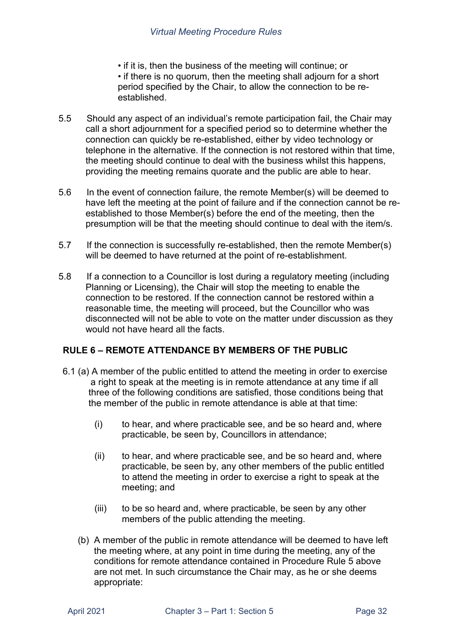• if it is, then the business of the meeting will continue; or

• if there is no quorum, then the meeting shall adjourn for a short period specified by the Chair, to allow the connection to be reestablished.

- 5.5 Should any aspect of an individual's remote participation fail, the Chair may call a short adjournment for a specified period so to determine whether the connection can quickly be re-established, either by video technology or telephone in the alternative. If the connection is not restored within that time, the meeting should continue to deal with the business whilst this happens, providing the meeting remains quorate and the public are able to hear.
- 5.6 In the event of connection failure, the remote Member(s) will be deemed to have left the meeting at the point of failure and if the connection cannot be reestablished to those Member(s) before the end of the meeting, then the presumption will be that the meeting should continue to deal with the item/s.
- 5.7 If the connection is successfully re-established, then the remote Member(s) will be deemed to have returned at the point of re-establishment.
- 5.8 If a connection to a Councillor is lost during a regulatory meeting (including Planning or Licensing), the Chair will stop the meeting to enable the connection to be restored. If the connection cannot be restored within a reasonable time, the meeting will proceed, but the Councillor who was disconnected will not be able to vote on the matter under discussion as they would not have heard all the facts.

# **RULE 6 – REMOTE ATTENDANCE BY MEMBERS OF THE PUBLIC**

- 6.1 (a) A member of the public entitled to attend the meeting in order to exercise a right to speak at the meeting is in remote attendance at any time if all three of the following conditions are satisfied, those conditions being that the member of the public in remote attendance is able at that time:
	- (i) to hear, and where practicable see, and be so heard and, where practicable, be seen by, Councillors in attendance;
	- (ii) to hear, and where practicable see, and be so heard and, where practicable, be seen by, any other members of the public entitled to attend the meeting in order to exercise a right to speak at the meeting; and
	- (iii) to be so heard and, where practicable, be seen by any other members of the public attending the meeting.
	- (b) A member of the public in remote attendance will be deemed to have left the meeting where, at any point in time during the meeting, any of the conditions for remote attendance contained in Procedure Rule 5 above are not met. In such circumstance the Chair may, as he or she deems appropriate: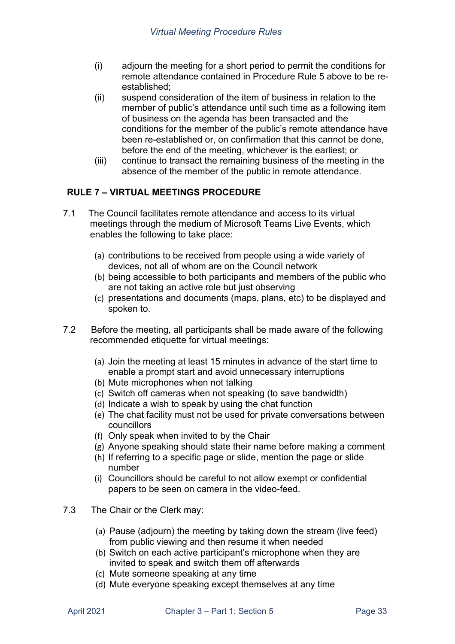- (i) adjourn the meeting for a short period to permit the conditions for remote attendance contained in Procedure Rule 5 above to be reestablished;
- (ii) suspend consideration of the item of business in relation to the member of public's attendance until such time as a following item of business on the agenda has been transacted and the conditions for the member of the public's remote attendance have been re-established or, on confirmation that this cannot be done, before the end of the meeting, whichever is the earliest; or
- (iii) continue to transact the remaining business of the meeting in the absence of the member of the public in remote attendance.

#### **RULE 7 – VIRTUAL MEETINGS PROCEDURE**

- 7.1 The Council facilitates remote attendance and access to its virtual meetings through the medium of Microsoft Teams Live Events, which enables the following to take place:
	- (a) contributions to be received from people using a wide variety of devices, not all of whom are on the Council network
	- (b) being accessible to both participants and members of the public who are not taking an active role but just observing
	- (c) presentations and documents (maps, plans, etc) to be displayed and spoken to.
- 7.2 Before the meeting, all participants shall be made aware of the following recommended etiquette for virtual meetings:
	- (a) Join the meeting at least 15 minutes in advance of the start time to enable a prompt start and avoid unnecessary interruptions
	- (b) Mute microphones when not talking
	- (c) Switch off cameras when not speaking (to save bandwidth)
	- (d) Indicate a wish to speak by using the chat function
	- (e) The chat facility must not be used for private conversations between councillors
	- (f) Only speak when invited to by the Chair
	- (g) Anyone speaking should state their name before making a comment
	- (h) If referring to a specific page or slide, mention the page or slide number
	- (i) Councillors should be careful to not allow exempt or confidential papers to be seen on camera in the video-feed.
- 7.3 The Chair or the Clerk may:
	- (a) Pause (adjourn) the meeting by taking down the stream (live feed) from public viewing and then resume it when needed
	- (b) Switch on each active participant's microphone when they are invited to speak and switch them off afterwards
	- (c) Mute someone speaking at any time
	- (d) Mute everyone speaking except themselves at any time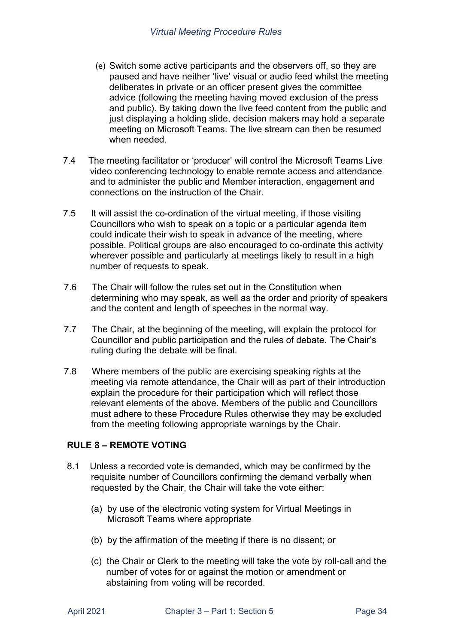- (e) Switch some active participants and the observers off, so they are paused and have neither 'live' visual or audio feed whilst the meeting deliberates in private or an officer present gives the committee advice (following the meeting having moved exclusion of the press and public). By taking down the live feed content from the public and just displaying a holding slide, decision makers may hold a separate meeting on Microsoft Teams. The live stream can then be resumed when needed.
- 7.4 The meeting facilitator or 'producer' will control the Microsoft Teams Live video conferencing technology to enable remote access and attendance and to administer the public and Member interaction, engagement and connections on the instruction of the Chair.
- 7.5 It will assist the co-ordination of the virtual meeting, if those visiting Councillors who wish to speak on a topic or a particular agenda item could indicate their wish to speak in advance of the meeting, where possible. Political groups are also encouraged to co-ordinate this activity wherever possible and particularly at meetings likely to result in a high number of requests to speak.
- 7.6 The Chair will follow the rules set out in the Constitution when determining who may speak, as well as the order and priority of speakers and the content and length of speeches in the normal way.
- 7.7 The Chair, at the beginning of the meeting, will explain the protocol for Councillor and public participation and the rules of debate. The Chair's ruling during the debate will be final.
- 7.8 Where members of the public are exercising speaking rights at the meeting via remote attendance, the Chair will as part of their introduction explain the procedure for their participation which will reflect those relevant elements of the above. Members of the public and Councillors must adhere to these Procedure Rules otherwise they may be excluded from the meeting following appropriate warnings by the Chair.

# **RULE 8 – REMOTE VOTING**

- 8.1 Unless a recorded vote is demanded, which may be confirmed by the requisite number of Councillors confirming the demand verbally when requested by the Chair, the Chair will take the vote either:
	- (a) by use of the electronic voting system for Virtual Meetings in Microsoft Teams where appropriate
	- (b) by the affirmation of the meeting if there is no dissent; or
	- (c) the Chair or Clerk to the meeting will take the vote by roll-call and the number of votes for or against the motion or amendment or abstaining from voting will be recorded.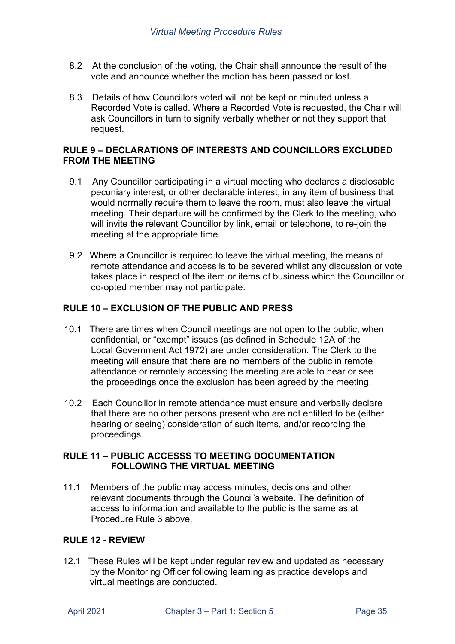- 8.2 At the conclusion of the voting, the Chair shall announce the result of the vote and announce whether the motion has been passed or lost.
- 8.3 Details of how Councillors voted will not be kept or minuted unless a Recorded Vote is called. Where a Recorded Vote is requested, the Chair will ask Councillors in turn to signify verbally whether or not they support that request.

#### **RULE 9 – DECLARATIONS OF INTERESTS AND COUNCILLORS EXCLUDED FROM THE MEETING**

- 9.1 Any Councillor participating in a virtual meeting who declares a disclosable pecuniary interest, or other declarable interest, in any item of business that would normally require them to leave the room, must also leave the virtual meeting. Their departure will be confirmed by the Clerk to the meeting, who will invite the relevant Councillor by link, email or telephone, to re-join the meeting at the appropriate time.
- 9.2 Where a Councillor is required to leave the virtual meeting, the means of remote attendance and access is to be severed whilst any discussion or vote takes place in respect of the item or items of business which the Councillor or co-opted member may not participate.

#### **RULE 10 – EXCLUSION OF THE PUBLIC AND PRESS**

- 10.1 There are times when Council meetings are not open to the public, when confidential, or "exempt" issues (as defined in Schedule 12A of the Local Government Act 1972) are under consideration. The Clerk to the meeting will ensure that there are no members of the public in remote attendance or remotely accessing the meeting are able to hear or see the proceedings once the exclusion has been agreed by the meeting.
- 10.2 Each Councillor in remote attendance must ensure and verbally declare that there are no other persons present who are not entitled to be (either hearing or seeing) consideration of such items, and/or recording the proceedings.

#### **RULE 11 – PUBLIC ACCESSS TO MEETING DOCUMENTATION FOLLOWING THE VIRTUAL MEETING**

11.1 Members of the public may access minutes, decisions and other relevant documents through the Council's website. The definition of access to information and available to the public is the same as at Procedure Rule 3 above.

#### **RULE 12 - REVIEW**

12.1 These Rules will be kept under regular review and updated as necessary by the Monitoring Officer following learning as practice develops and virtual meetings are conducted.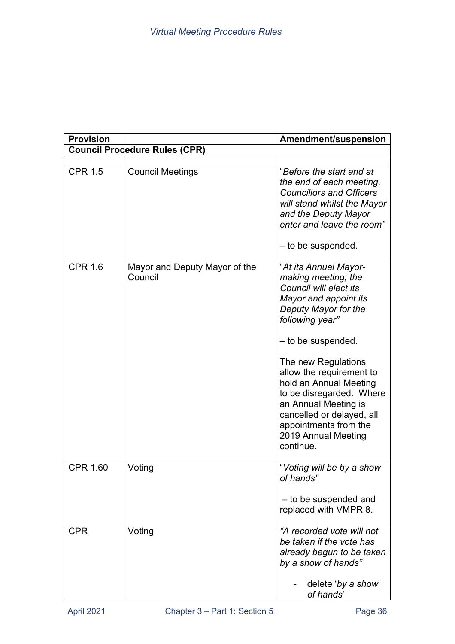| <b>Provision</b>                     |                                          | <b>Amendment/suspension</b>                                                                                                                                                                                                                                                                                                                                                                 |  |  |  |  |
|--------------------------------------|------------------------------------------|---------------------------------------------------------------------------------------------------------------------------------------------------------------------------------------------------------------------------------------------------------------------------------------------------------------------------------------------------------------------------------------------|--|--|--|--|
| <b>Council Procedure Rules (CPR)</b> |                                          |                                                                                                                                                                                                                                                                                                                                                                                             |  |  |  |  |
| <b>CPR 1.5</b>                       | <b>Council Meetings</b>                  | "Before the start and at<br>the end of each meeting,<br><b>Councillors and Officers</b><br>will stand whilst the Mayor<br>and the Deputy Mayor<br>enter and leave the room"<br>- to be suspended.                                                                                                                                                                                           |  |  |  |  |
| <b>CPR 1.6</b>                       | Mayor and Deputy Mayor of the<br>Council | "At its Annual Mayor-<br>making meeting, the<br>Council will elect its<br>Mayor and appoint its<br>Deputy Mayor for the<br>following year"<br>- to be suspended.<br>The new Regulations<br>allow the requirement to<br>hold an Annual Meeting<br>to be disregarded. Where<br>an Annual Meeting is<br>cancelled or delayed, all<br>appointments from the<br>2019 Annual Meeting<br>continue. |  |  |  |  |
| <b>CPR 1.60</b>                      | Voting                                   | "Voting will be by a show<br>of hands"<br>- to be suspended and<br>replaced with VMPR 8.                                                                                                                                                                                                                                                                                                    |  |  |  |  |
| <b>CPR</b>                           | Voting                                   | "A recorded vote will not<br>be taken if the vote has<br>already begun to be taken<br>by a show of hands"<br>delete 'by a show<br>of hands'                                                                                                                                                                                                                                                 |  |  |  |  |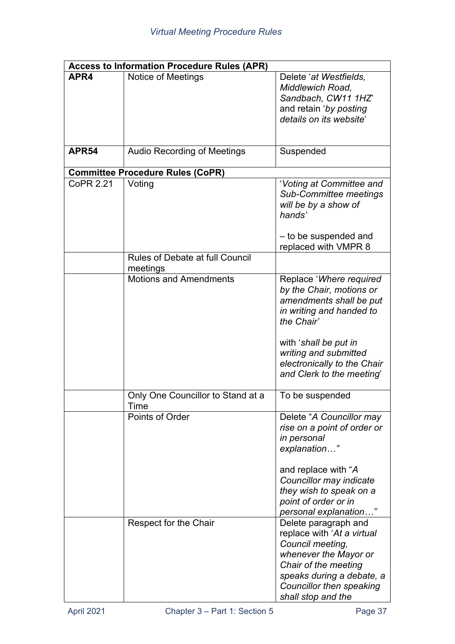|                  | <b>Access to Information Procedure Rules (APR)</b> |                                                                                                                                                                                                                      |
|------------------|----------------------------------------------------|----------------------------------------------------------------------------------------------------------------------------------------------------------------------------------------------------------------------|
| APR4             | <b>Notice of Meetings</b>                          | Delete 'at Westfields,<br><b>Middlewich Road,</b><br>Sandbach, CW11 1HZ'<br>and retain 'by posting<br>details on its website'                                                                                        |
| <b>APR54</b>     | <b>Audio Recording of Meetings</b>                 | Suspended                                                                                                                                                                                                            |
|                  | <b>Committee Procedure Rules (CoPR)</b>            |                                                                                                                                                                                                                      |
| <b>CoPR 2.21</b> | Voting                                             | 'Voting at Committee and<br><b>Sub-Committee meetings</b><br>will be by a show of<br>hands'<br>- to be suspended and<br>replaced with VMPR 8                                                                         |
|                  | <b>Rules of Debate at full Council</b>             |                                                                                                                                                                                                                      |
|                  | meetings                                           |                                                                                                                                                                                                                      |
|                  | <b>Motions and Amendments</b>                      | Replace 'Where required<br>by the Chair, motions or<br>amendments shall be put<br>in writing and handed to<br>the Chair'<br>with 'shall be put in<br>writing and submitted                                           |
|                  | Only One Councillor to Stand at a                  | electronically to the Chair<br>and Clerk to the meeting'<br>To be suspended                                                                                                                                          |
|                  | Time                                               |                                                                                                                                                                                                                      |
|                  | Points of Order                                    | Delete "A Councillor may<br>rise on a point of order or<br>in personal<br>explanation"<br>and replace with "A<br>Councillor may indicate<br>they wish to speak on a<br>point of order or in<br>personal explanation" |
|                  | Respect for the Chair                              | Delete paragraph and<br>replace with 'At a virtual<br>Council meeting,<br>whenever the Mayor or<br>Chair of the meeting<br>speaks during a debate, a<br>Councillor then speaking<br>shall stop and the               |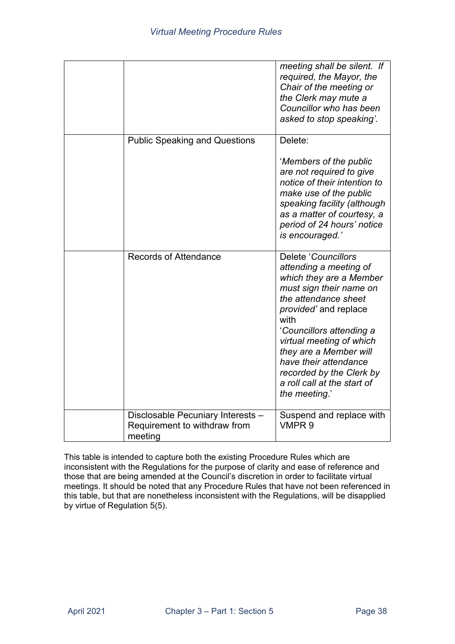|                                                                              | meeting shall be silent. If<br>required, the Mayor, the<br>Chair of the meeting or<br>the Clerk may mute a<br>Councillor who has been<br>asked to stop speaking'.                                                                                                                                                                                          |
|------------------------------------------------------------------------------|------------------------------------------------------------------------------------------------------------------------------------------------------------------------------------------------------------------------------------------------------------------------------------------------------------------------------------------------------------|
| <b>Public Speaking and Questions</b>                                         | Delete:<br>'Members of the public<br>are not required to give<br>notice of their intention to<br>make use of the public<br>speaking facility (although<br>as a matter of courtesy, a<br>period of 24 hours' notice<br>is encouraged.'                                                                                                                      |
| <b>Records of Attendance</b>                                                 | <b>Delete 'Councillors</b><br>attending a meeting of<br>which they are a Member<br>must sign their name on<br>the attendance sheet<br>provided' and replace<br>with<br>'Councillors attending a<br>virtual meeting of which<br>they are a Member will<br>have their attendance<br>recorded by the Clerk by<br>a roll call at the start of<br>the meeting.' |
| Disclosable Pecuniary Interests -<br>Requirement to withdraw from<br>meeting | Suspend and replace with<br>VMPR <sub>9</sub>                                                                                                                                                                                                                                                                                                              |

This table is intended to capture both the existing Procedure Rules which are inconsistent with the Regulations for the purpose of clarity and ease of reference and those that are being amended at the Council's discretion in order to facilitate virtual meetings. It should be noted that any Procedure Rules that have not been referenced in this table, but that are nonetheless inconsistent with the Regulations, will be disapplied by virtue of Regulation 5(5).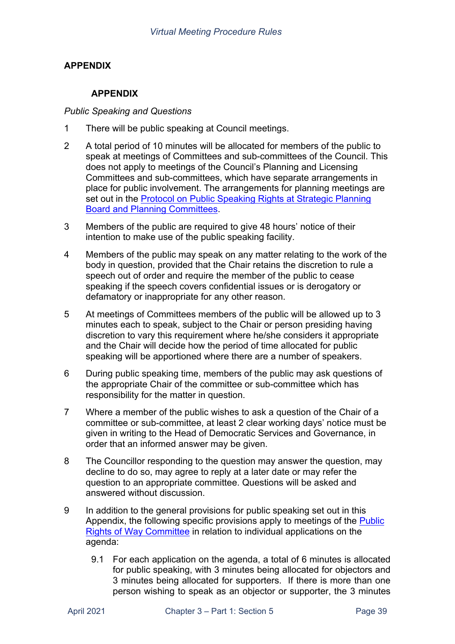# **APPENDIX**

# **APPENDIX**

#### *Public Speaking and Questions*

- 1 There will be public speaking at Council meetings.
- 2 A total period of 10 minutes will be allocated for members of the public to speak at meetings of Committees and sub-committees of the Council. This does not apply to meetings of the Council's Planning and Licensing Committees and sub-committees, which have separate arrangements in place for public involvement. The arrangements for planning meetings are set out in the Protocol on Public [Speaking](http://www.cheshireeast.gov.uk/pdf/Council-and-democracy/constitution/2017-18-constitution/Protocol-on-Public-Speaking-at-Planning-Meetings.pdf) Rights at Strategic Planning Board and Planning [Committees](http://www.cheshireeast.gov.uk/pdf/Council-and-democracy/constitution/2017-18-constitution/Protocol-on-Public-Speaking-at-Planning-Meetings.pdf).
- 3 Members of the public are required to give 48 hours' notice of their intention to make use of the public speaking facility.
- 4 Members of the public may speak on any matter relating to the work of the body in question, provided that the Chair retains the discretion to rule a speech out of order and require the member of the public to cease speaking if the speech covers confidential issues or is derogatory or defamatory or inappropriate for any other reason.
- 5 At meetings of Committees members of the public will be allowed up to 3 minutes each to speak, subject to the Chair or person presiding having discretion to vary this requirement where he/she considers it appropriate and the Chair will decide how the period of time allocated for public speaking will be apportioned where there are a number of speakers.
- 6 During public speaking time, members of the public may ask questions of the appropriate Chair of the committee or sub-committee which has responsibility for the matter in question.
- 7 Where a member of the public wishes to ask a question of the Chair of a committee or sub-committee, at least 2 clear working days' notice must be given in writing to the Head of Democratic Services and Governance, in order that an informed answer may be given.
- 8 The Councillor responding to the question may answer the question, may decline to do so, may agree to reply at a later date or may refer the question to an appropriate committee. Questions will be asked and answered without discussion.
- 9 In addition to the general provisions for public speaking set out in this Appendix, the following specific provisions apply to meetings of the [Public](http://moderngov.cheshireeast.gov.uk/ecminutes/mgCommitteeDetails.aspx?ID=738) Rights of Way [Committee](http://moderngov.cheshireeast.gov.uk/ecminutes/mgCommitteeDetails.aspx?ID=738) in relation to individual applications on the agenda:
	- 9.1 For each application on the agenda, a total of 6 minutes is allocated for public speaking, with 3 minutes being allocated for objectors and 3 minutes being allocated for supporters. If there is more than one person wishing to speak as an objector or supporter, the 3 minutes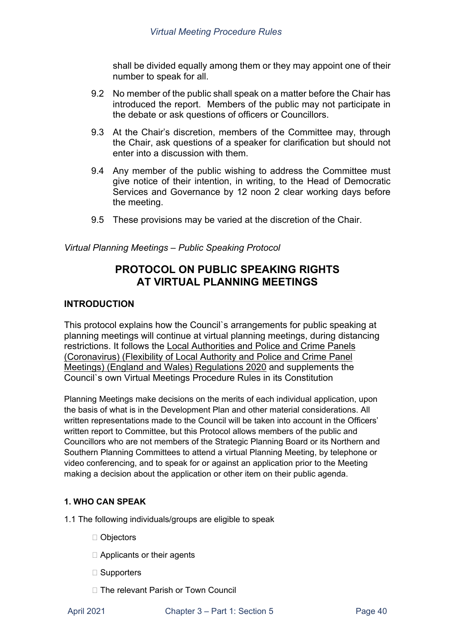shall be divided equally among them or they may appoint one of their number to speak for all.

- 9.2 No member of the public shall speak on a matter before the Chair has introduced the report. Members of the public may not participate in the debate or ask questions of officers or Councillors.
- 9.3 At the Chair's discretion, members of the Committee may, through the Chair, ask questions of a speaker for clarification but should not enter into a discussion with them.
- 9.4 Any member of the public wishing to address the Committee must give notice of their intention, in writing, to the Head of Democratic Services and Governance by 12 noon 2 clear working days before the meeting.
- 9.5 These provisions may be varied at the discretion of the Chair.

#### *Virtual Planning Meetings – Public Speaking Protocol*

# **PROTOCOL ON PUBLIC SPEAKING RIGHTS AT VIRTUAL PLANNING MEETINGS**

#### **INTRODUCTION**

This protocol explains how the Council`s arrangements for public speaking at planning meetings will continue at virtual planning meetings, during distancing restrictions. It follows the Local Authorities and Police and Crime Panels (Coronavirus) (Flexibility of Local Authority and Police and Crime Panel Meetings) (England and Wales) Regulations 2020 and supplements the Council`s own Virtual Meetings Procedure Rules in its Constitution

Planning Meetings make decisions on the merits of each individual application, upon the basis of what is in the Development Plan and other material considerations. All written representations made to the Council will be taken into account in the Officers' written report to Committee, but this Protocol allows members of the public and Councillors who are not members of the Strategic Planning Board or its Northern and Southern Planning Committees to attend a virtual Planning Meeting, by telephone or video conferencing, and to speak for or against an application prior to the Meeting making a decision about the application or other item on their public agenda.

#### **1. WHO CAN SPEAK**

- 1.1 The following individuals/groups are eligible to speak
	- □ Objectors
	- □ Applicants or their agents
	- □ Supporters
	- □ The relevant Parish or Town Council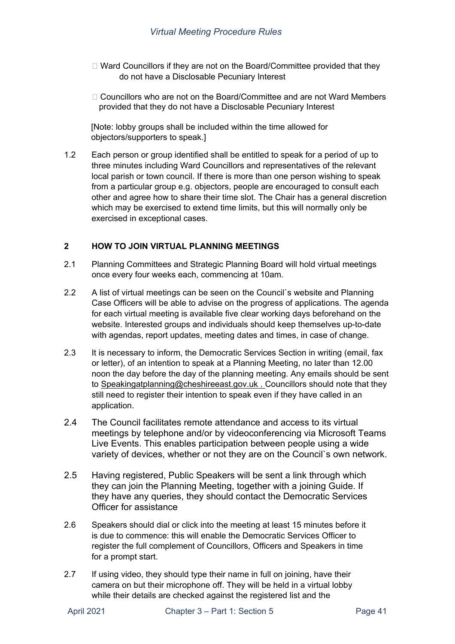- $\Box$  Ward Councillors if they are not on the Board/Committee provided that they do not have a Disclosable Pecuniary Interest
- □ Councillors who are not on the Board/Committee and are not Ward Members provided that they do not have a Disclosable Pecuniary Interest

[Note: lobby groups shall be included within the time allowed for objectors/supporters to speak.]

1.2 Each person or group identified shall be entitled to speak for a period of up to three minutes including Ward Councillors and representatives of the relevant local parish or town council. If there is more than one person wishing to speak from a particular group e.g. objectors, people are encouraged to consult each other and agree how to share their time slot. The Chair has a general discretion which may be exercised to extend time limits, but this will normally only be exercised in exceptional cases.

#### **2 HOW TO JOIN VIRTUAL PLANNING MEETINGS**

- 2.1 Planning Committees and Strategic Planning Board will hold virtual meetings once every four weeks each, commencing at 10am.
- 2.2 A list of virtual meetings can be seen on the Council`s website and Planning Case Officers will be able to advise on the progress of applications. The agenda for each virtual meeting is available five clear working days beforehand on the website. Interested groups and individuals should keep themselves up-to-date with agendas, report updates, meeting dates and times, in case of change.
- 2.3 It is necessary to inform, the Democratic Services Section in writing (email, fax or letter), of an intention to speak at a Planning Meeting, no later than 12.00 noon the day before the day of the planning meeting. Any emails should be sent to Speakingatplanning@cheshireeast.gov.uk . Councillors should note that they still need to register their intention to speak even if they have called in an application.
- 2.4 The Council facilitates remote attendance and access to its virtual meetings by telephone and/or by videoconferencing via Microsoft Teams Live Events. This enables participation between people using a wide variety of devices, whether or not they are on the Council`s own network.
- 2.5 Having registered, Public Speakers will be sent a link through which they can join the Planning Meeting, together with a joining Guide. If they have any queries, they should contact the Democratic Services Officer for assistance
- 2.6 Speakers should dial or click into the meeting at least 15 minutes before it is due to commence: this will enable the Democratic Services Officer to register the full complement of Councillors, Officers and Speakers in time for a prompt start.
- 2.7 If using video, they should type their name in full on joining, have their camera on but their microphone off. They will be held in a virtual lobby while their details are checked against the registered list and the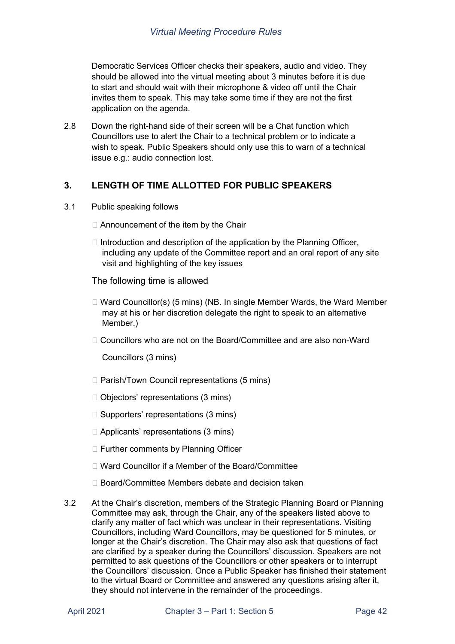Democratic Services Officer checks their speakers, audio and video. They should be allowed into the virtual meeting about 3 minutes before it is due to start and should wait with their microphone & video off until the Chair invites them to speak. This may take some time if they are not the first application on the agenda.

2.8 Down the right-hand side of their screen will be a Chat function which Councillors use to alert the Chair to a technical problem or to indicate a wish to speak. Public Speakers should only use this to warn of a technical issue e.g.: audio connection lost.

# **3. LENGTH OF TIME ALLOTTED FOR PUBLIC SPEAKERS**

- 3.1 Public speaking follows
	- $\Box$  Announcement of the item by the Chair
	- $\Box$  Introduction and description of the application by the Planning Officer, including any update of the Committee report and an oral report of any site visit and highlighting of the key issues

The following time is allowed

- $\Box$  Ward Councillor(s) (5 mins) (NB. In single Member Wards, the Ward Member may at his or her discretion delegate the right to speak to an alternative Member.)
- $\Box$  Councillors who are not on the Board/Committee and are also non-Ward

Councillors (3 mins)

- $\Box$  Parish/Town Council representations (5 mins)
- $\Box$  Objectors' representations (3 mins)
- $\Box$  Supporters' representations (3 mins)
- $\Box$  Applicants' representations (3 mins)
- □ Further comments by Planning Officer
- □ Ward Councillor if a Member of the Board/Committee
- □ Board/Committee Members debate and decision taken
- 3.2 At the Chair's discretion, members of the Strategic Planning Board or Planning Committee may ask, through the Chair, any of the speakers listed above to clarify any matter of fact which was unclear in their representations. Visiting Councillors, including Ward Councillors, may be questioned for 5 minutes, or longer at the Chair's discretion. The Chair may also ask that questions of fact are clarified by a speaker during the Councillors' discussion. Speakers are not permitted to ask questions of the Councillors or other speakers or to interrupt the Councillors' discussion. Once a Public Speaker has finished their statement to the virtual Board or Committee and answered any questions arising after it, they should not intervene in the remainder of the proceedings.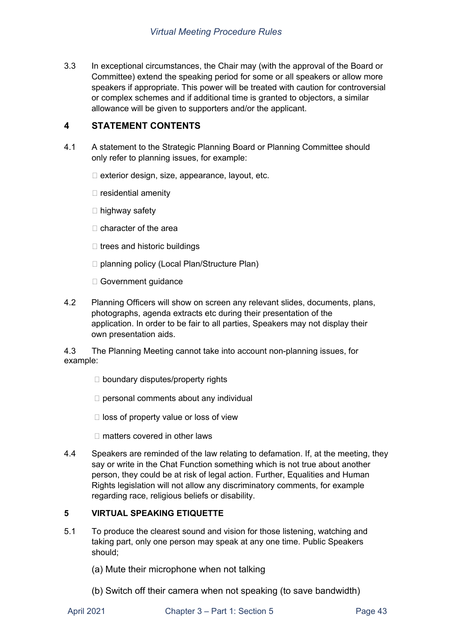3.3 In exceptional circumstances, the Chair may (with the approval of the Board or Committee) extend the speaking period for some or all speakers or allow more speakers if appropriate. This power will be treated with caution for controversial or complex schemes and if additional time is granted to objectors, a similar allowance will be given to supporters and/or the applicant.

## **4 STATEMENT CONTENTS**

- 4.1 A statement to the Strategic Planning Board or Planning Committee should only refer to planning issues, for example:
	- $\Box$  exterior design, size, appearance, layout, etc.
	- $\Box$  residential amenity
	- □ highway safety
	- $\Box$  character of the area
	- $\Box$  trees and historic buildings
	- □ planning policy (Local Plan/Structure Plan)
	- □ Government quidance
- 4.2 Planning Officers will show on screen any relevant slides, documents, plans, photographs, agenda extracts etc during their presentation of the application. In order to be fair to all parties, Speakers may not display their own presentation aids.

4.3 The Planning Meeting cannot take into account non-planning issues, for example:

- $\Box$  boundary disputes/property rights
- $\Box$  personal comments about any individual
- $\Box$  loss of property value or loss of view
- $\Box$  matters covered in other laws
- 4.4 Speakers are reminded of the law relating to defamation. If, at the meeting, they say or write in the Chat Function something which is not true about another person, they could be at risk of legal action. Further, Equalities and Human Rights legislation will not allow any discriminatory comments, for example regarding race, religious beliefs or disability.

#### **5 VIRTUAL SPEAKING ETIQUETTE**

- 5.1 To produce the clearest sound and vision for those listening, watching and taking part, only one person may speak at any one time. Public Speakers should;
	- (a) Mute their microphone when not talking
	- (b) Switch off their camera when not speaking (to save bandwidth)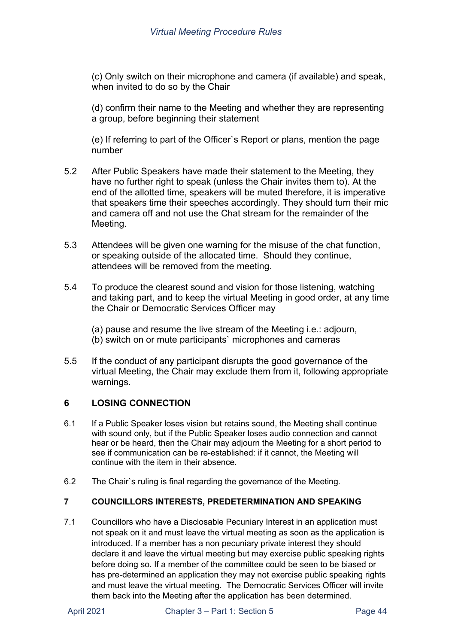(c) Only switch on their microphone and camera (if available) and speak, when invited to do so by the Chair

(d) confirm their name to the Meeting and whether they are representing a group, before beginning their statement

(e) If referring to part of the Officer`s Report or plans, mention the page number

- 5.2 After Public Speakers have made their statement to the Meeting, they have no further right to speak (unless the Chair invites them to). At the end of the allotted time, speakers will be muted therefore, it is imperative that speakers time their speeches accordingly. They should turn their mic and camera off and not use the Chat stream for the remainder of the Meeting.
- 5.3 Attendees will be given one warning for the misuse of the chat function, or speaking outside of the allocated time. Should they continue, attendees will be removed from the meeting.
- 5.4 To produce the clearest sound and vision for those listening, watching and taking part, and to keep the virtual Meeting in good order, at any time the Chair or Democratic Services Officer may

(a) pause and resume the live stream of the Meeting i.e.: adjourn, (b) switch on or mute participants` microphones and cameras

5.5 If the conduct of any participant disrupts the good governance of the virtual Meeting, the Chair may exclude them from it, following appropriate warnings.

# **6 LOSING CONNECTION**

- 6.1 If a Public Speaker loses vision but retains sound, the Meeting shall continue with sound only, but if the Public Speaker loses audio connection and cannot hear or be heard, then the Chair may adjourn the Meeting for a short period to see if communication can be re-established: if it cannot, the Meeting will continue with the item in their absence.
- 6.2 The Chair`s ruling is final regarding the governance of the Meeting.

#### **7 COUNCILLORS INTERESTS, PREDETERMINATION AND SPEAKING**

7.1 Councillors who have a Disclosable Pecuniary Interest in an application must not speak on it and must leave the virtual meeting as soon as the application is introduced. If a member has a non pecuniary private interest they should declare it and leave the virtual meeting but may exercise public speaking rights before doing so. If a member of the committee could be seen to be biased or has pre-determined an application they may not exercise public speaking rights and must leave the virtual meeting. The Democratic Services Officer will invite them back into the Meeting after the application has been determined.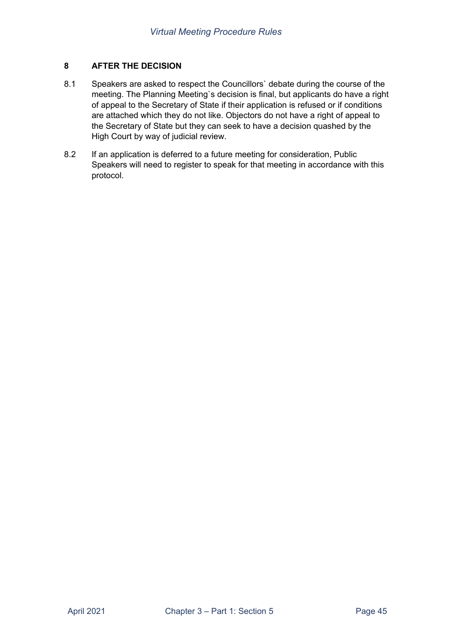# **8 AFTER THE DECISION**

- 8.1 Speakers are asked to respect the Councillors` debate during the course of the meeting. The Planning Meeting`s decision is final, but applicants do have a right of appeal to the Secretary of State if their application is refused or if conditions are attached which they do not like. Objectors do not have a right of appeal to the Secretary of State but they can seek to have a decision quashed by the High Court by way of judicial review.
- 8.2 If an application is deferred to a future meeting for consideration, Public Speakers will need to register to speak for that meeting in accordance with this protocol.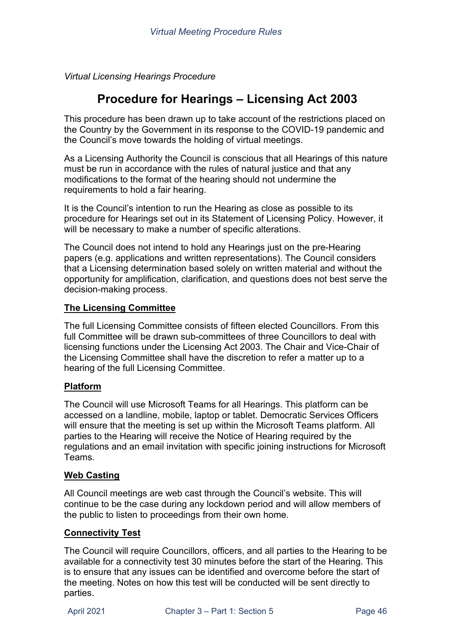*Virtual Licensing Hearings Procedure*

# **Procedure for Hearings – Licensing Act 2003**

This procedure has been drawn up to take account of the restrictions placed on the Country by the Government in its response to the COVID-19 pandemic and the Council's move towards the holding of virtual meetings.

As a Licensing Authority the Council is conscious that all Hearings of this nature must be run in accordance with the rules of natural justice and that any modifications to the format of the hearing should not undermine the requirements to hold a fair hearing.

It is the Council's intention to run the Hearing as close as possible to its procedure for Hearings set out in its Statement of Licensing Policy. However, it will be necessary to make a number of specific alterations.

The Council does not intend to hold any Hearings just on the pre-Hearing papers (e.g. applications and written representations). The Council considers that a Licensing determination based solely on written material and without the opportunity for amplification, clarification, and questions does not best serve the decision-making process.

# **The Licensing Committee**

The full Licensing Committee consists of fifteen elected Councillors. From this full Committee will be drawn sub-committees of three Councillors to deal with licensing functions under the Licensing Act 2003. The Chair and Vice-Chair of the Licensing Committee shall have the discretion to refer a matter up to a hearing of the full Licensing Committee.

# **Platform**

The Council will use Microsoft Teams for all Hearings. This platform can be accessed on a landline, mobile, laptop or tablet. Democratic Services Officers will ensure that the meeting is set up within the Microsoft Teams platform. All parties to the Hearing will receive the Notice of Hearing required by the regulations and an email invitation with specific joining instructions for Microsoft Teams.

# **Web Casting**

All Council meetings are web cast through the Council's website. This will continue to be the case during any lockdown period and will allow members of the public to listen to proceedings from their own home.

# **Connectivity Test**

The Council will require Councillors, officers, and all parties to the Hearing to be available for a connectivity test 30 minutes before the start of the Hearing. This is to ensure that any issues can be identified and overcome before the start of the meeting. Notes on how this test will be conducted will be sent directly to parties.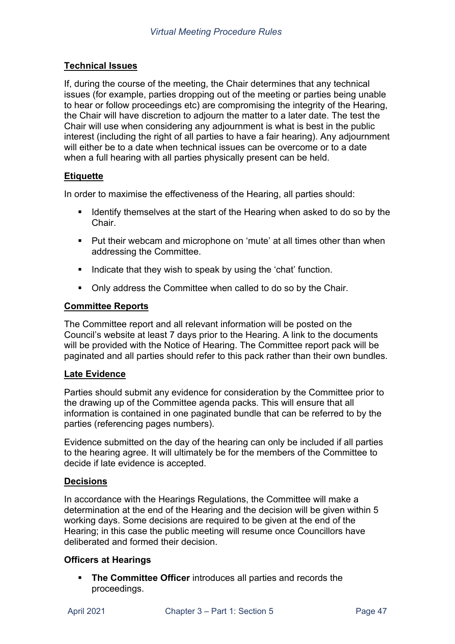# **Technical Issues**

If, during the course of the meeting, the Chair determines that any technical issues (for example, parties dropping out of the meeting or parties being unable to hear or follow proceedings etc) are compromising the integrity of the Hearing, the Chair will have discretion to adjourn the matter to a later date. The test the Chair will use when considering any adjournment is what is best in the public interest (including the right of all parties to have a fair hearing). Any adjournment will either be to a date when technical issues can be overcome or to a date when a full hearing with all parties physically present can be held.

## **Etiquette**

In order to maximise the effectiveness of the Hearing, all parties should:

- Identify themselves at the start of the Hearing when asked to do so by the Chair.
- Put their webcam and microphone on 'mute' at all times other than when addressing the Committee.
- Indicate that they wish to speak by using the 'chat' function.
- Only address the Committee when called to do so by the Chair.

#### **Committee Reports**

The Committee report and all relevant information will be posted on the Council's website at least 7 days prior to the Hearing. A link to the documents will be provided with the Notice of Hearing. The Committee report pack will be paginated and all parties should refer to this pack rather than their own bundles.

#### **Late Evidence**

Parties should submit any evidence for consideration by the Committee prior to the drawing up of the Committee agenda packs. This will ensure that all information is contained in one paginated bundle that can be referred to by the parties (referencing pages numbers).

Evidence submitted on the day of the hearing can only be included if all parties to the hearing agree. It will ultimately be for the members of the Committee to decide if late evidence is accepted.

#### **Decisions**

In accordance with the Hearings Regulations, the Committee will make a determination at the end of the Hearing and the decision will be given within 5 working days. Some decisions are required to be given at the end of the Hearing; in this case the public meeting will resume once Councillors have deliberated and formed their decision.

# **Officers at Hearings**

 **The Committee Officer** introduces all parties and records the proceedings.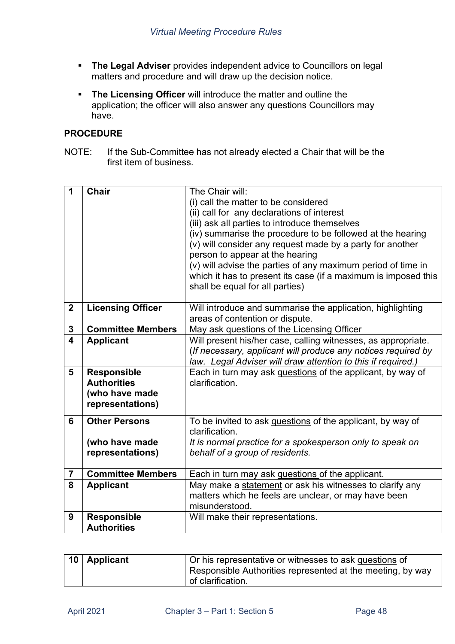- **The Legal Adviser** provides independent advice to Councillors on legal matters and procedure and will draw up the decision notice.
- **The Licensing Officer** will introduce the matter and outline the application; the officer will also answer any questions Councillors may have.

# **PROCEDURE**

NOTE: If the Sub-Committee has not already elected a Chair that will be the first item of business.

| 1                       | <b>Chair</b>                                                                   | The Chair will:<br>(i) call the matter to be considered<br>(ii) call for any declarations of interest<br>(iii) ask all parties to introduce themselves<br>(iv) summarise the procedure to be followed at the hearing<br>(v) will consider any request made by a party for another<br>person to appear at the hearing<br>(v) will advise the parties of any maximum period of time in<br>which it has to present its case (if a maximum is imposed this<br>shall be equal for all parties) |
|-------------------------|--------------------------------------------------------------------------------|-------------------------------------------------------------------------------------------------------------------------------------------------------------------------------------------------------------------------------------------------------------------------------------------------------------------------------------------------------------------------------------------------------------------------------------------------------------------------------------------|
| $\mathbf{2}$            | <b>Licensing Officer</b>                                                       | Will introduce and summarise the application, highlighting<br>areas of contention or dispute.                                                                                                                                                                                                                                                                                                                                                                                             |
| $\mathbf 3$             | <b>Committee Members</b>                                                       | May ask questions of the Licensing Officer                                                                                                                                                                                                                                                                                                                                                                                                                                                |
| $\overline{\mathbf{4}}$ | <b>Applicant</b>                                                               | Will present his/her case, calling witnesses, as appropriate.<br>(If necessary, applicant will produce any notices required by<br>law. Legal Adviser will draw attention to this if required.)                                                                                                                                                                                                                                                                                            |
| 5                       | <b>Responsible</b><br><b>Authorities</b><br>(who have made<br>representations) | Each in turn may ask questions of the applicant, by way of<br>clarification.                                                                                                                                                                                                                                                                                                                                                                                                              |
| 6                       | <b>Other Persons</b><br>(who have made<br>representations)                     | To be invited to ask questions of the applicant, by way of<br>clarification.<br>It is normal practice for a spokesperson only to speak on<br>behalf of a group of residents.                                                                                                                                                                                                                                                                                                              |
| $\overline{7}$          | <b>Committee Members</b>                                                       | Each in turn may ask questions of the applicant.                                                                                                                                                                                                                                                                                                                                                                                                                                          |
| 8                       | <b>Applicant</b>                                                               | May make a statement or ask his witnesses to clarify any<br>matters which he feels are unclear, or may have been<br>misunderstood.                                                                                                                                                                                                                                                                                                                                                        |
| 9                       | <b>Responsible</b><br><b>Authorities</b>                                       | Will make their representations.                                                                                                                                                                                                                                                                                                                                                                                                                                                          |

| $\vert$ 10   Applicant | Or his representative or witnesses to ask questions of     |
|------------------------|------------------------------------------------------------|
|                        | Responsible Authorities represented at the meeting, by way |
|                        | of clarification.                                          |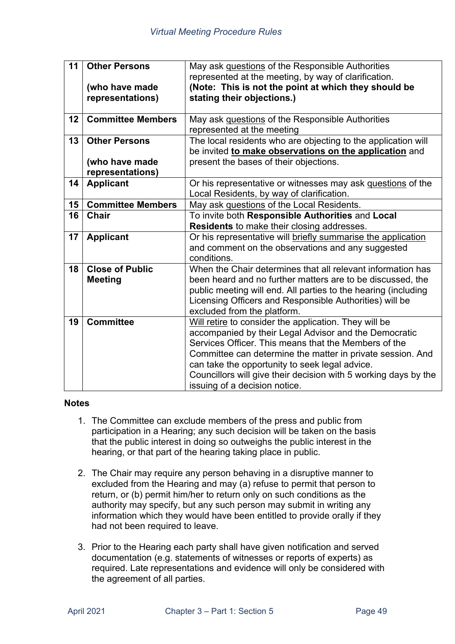| 11 | <b>Other Persons</b>                     | May ask questions of the Responsible Authorities<br>represented at the meeting, by way of clarification.                                                                                                                                                                                                                                                                                   |  |
|----|------------------------------------------|--------------------------------------------------------------------------------------------------------------------------------------------------------------------------------------------------------------------------------------------------------------------------------------------------------------------------------------------------------------------------------------------|--|
|    | (who have made<br>representations)       | (Note: This is not the point at which they should be<br>stating their objections.)                                                                                                                                                                                                                                                                                                         |  |
| 12 | <b>Committee Members</b>                 | May ask questions of the Responsible Authorities<br>represented at the meeting                                                                                                                                                                                                                                                                                                             |  |
| 13 | <b>Other Persons</b>                     | The local residents who are objecting to the application will<br>be invited to make observations on the application and                                                                                                                                                                                                                                                                    |  |
|    | (who have made<br>representations)       | present the bases of their objections.                                                                                                                                                                                                                                                                                                                                                     |  |
| 14 | <b>Applicant</b>                         | Or his representative or witnesses may ask questions of the<br>Local Residents, by way of clarification.                                                                                                                                                                                                                                                                                   |  |
| 15 | <b>Committee Members</b>                 | May ask questions of the Local Residents.                                                                                                                                                                                                                                                                                                                                                  |  |
| 16 | <b>Chair</b>                             | To invite both Responsible Authorities and Local<br>Residents to make their closing addresses.                                                                                                                                                                                                                                                                                             |  |
| 17 | <b>Applicant</b>                         | Or his representative will briefly summarise the application<br>and comment on the observations and any suggested<br>conditions.                                                                                                                                                                                                                                                           |  |
| 18 | <b>Close of Public</b><br><b>Meeting</b> | When the Chair determines that all relevant information has<br>been heard and no further matters are to be discussed, the<br>public meeting will end. All parties to the hearing (including<br>Licensing Officers and Responsible Authorities) will be<br>excluded from the platform.                                                                                                      |  |
| 19 | <b>Committee</b>                         | Will retire to consider the application. They will be<br>accompanied by their Legal Advisor and the Democratic<br>Services Officer. This means that the Members of the<br>Committee can determine the matter in private session. And<br>can take the opportunity to seek legal advice.<br>Councillors will give their decision with 5 working days by the<br>issuing of a decision notice. |  |

# **Notes**

- 1. The Committee can exclude members of the press and public from participation in a Hearing; any such decision will be taken on the basis that the public interest in doing so outweighs the public interest in the hearing, or that part of the hearing taking place in public.
- 2. The Chair may require any person behaving in a disruptive manner to excluded from the Hearing and may (a) refuse to permit that person to return, or (b) permit him/her to return only on such conditions as the authority may specify, but any such person may submit in writing any information which they would have been entitled to provide orally if they had not been required to leave.
- 3. Prior to the Hearing each party shall have given notification and served documentation (e.g. statements of witnesses or reports of experts) as required. Late representations and evidence will only be considered with the agreement of all parties.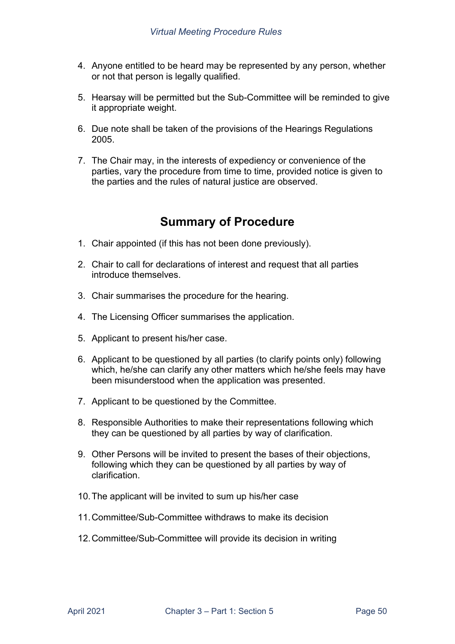- 4. Anyone entitled to be heard may be represented by any person, whether or not that person is legally qualified.
- 5. Hearsay will be permitted but the Sub-Committee will be reminded to give it appropriate weight.
- 6. Due note shall be taken of the provisions of the Hearings Regulations 2005.
- 7. The Chair may, in the interests of expediency or convenience of the parties, vary the procedure from time to time, provided notice is given to the parties and the rules of natural justice are observed.

# **Summary of Procedure**

- 1. Chair appointed (if this has not been done previously).
- 2. Chair to call for declarations of interest and request that all parties introduce themselves.
- 3. Chair summarises the procedure for the hearing.
- 4. The Licensing Officer summarises the application.
- 5. Applicant to present his/her case.
- 6. Applicant to be questioned by all parties (to clarify points only) following which, he/she can clarify any other matters which he/she feels may have been misunderstood when the application was presented.
- 7. Applicant to be questioned by the Committee.
- 8. Responsible Authorities to make their representations following which they can be questioned by all parties by way of clarification.
- 9. Other Persons will be invited to present the bases of their objections, following which they can be questioned by all parties by way of clarification.
- 10.The applicant will be invited to sum up his/her case
- 11.Committee/Sub-Committee withdraws to make its decision
- 12.Committee/Sub-Committee will provide its decision in writing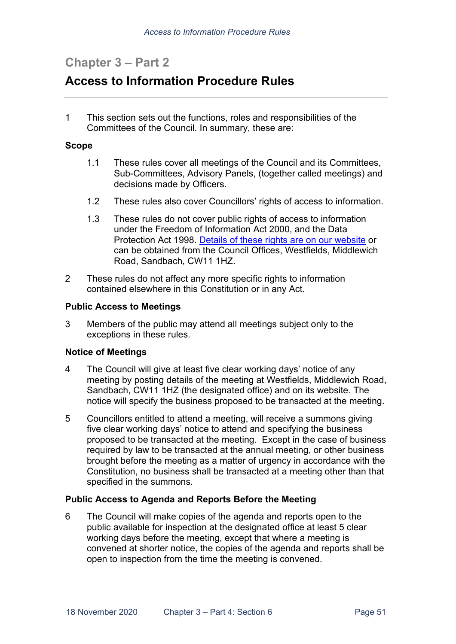# **Chapter 3 – Part 2**

# **Access to Information Procedure Rules**

1 This section sets out the functions, roles and responsibilities of the Committees of the Council. In summary, these are:

# **Scope**

- 1.1 These rules cover all meetings of the Council and its Committees, Sub-Committees, Advisory Panels, (together called meetings) and decisions made by Officers.
- 1.2 These rules also cover Councillors' rights of access to information.
- 1.3 These rules do not cover public rights of access to information under the Freedom of Information Act 2000, and the Data Protection Act 1998. Details of these rights are on our [website](http://www.cheshireeast.gov.uk/council_and_democracy/council_information/council_information.aspx) or can be obtained from the Council Offices, Westfields, Middlewich Road, Sandbach, CW11 1HZ.
- 2 These rules do not affect any more specific rights to information contained elsewhere in this Constitution or in any Act.

# **Public Access to Meetings**

3 Members of the public may attend all meetings subject only to the exceptions in these rules.

# **Notice of Meetings**

- 4 The Council will give at least five clear working days' notice of any meeting by posting details of the meeting at Westfields, Middlewich Road, Sandbach, CW11 1HZ (the designated office) and on its website. The notice will specify the business proposed to be transacted at the meeting.
- 5 Councillors entitled to attend a meeting, will receive a summons giving five clear working days' notice to attend and specifying the business proposed to be transacted at the meeting. Except in the case of business required by law to be transacted at the annual meeting, or other business brought before the meeting as a matter of urgency in accordance with the Constitution, no business shall be transacted at a meeting other than that specified in the summons.

# **Public Access to Agenda and Reports Before the Meeting**

6 The Council will make copies of the agenda and reports open to the public available for inspection at the designated office at least 5 clear working days before the meeting, except that where a meeting is convened at shorter notice, the copies of the agenda and reports shall be open to inspection from the time the meeting is convened.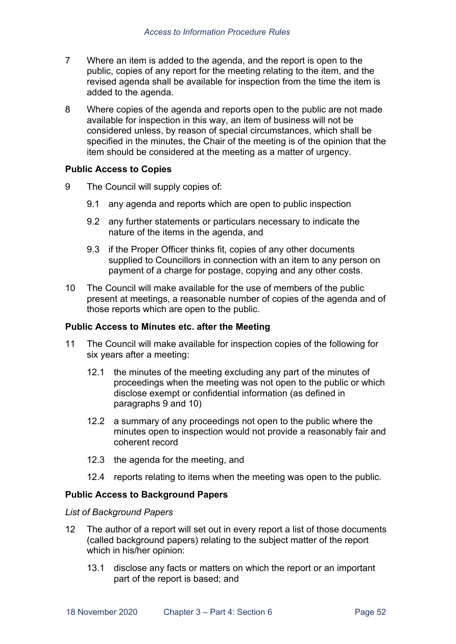- 7 Where an item is added to the agenda, and the report is open to the public, copies of any report for the meeting relating to the item, and the revised agenda shall be available for inspection from the time the item is added to the agenda.
- 8 Where copies of the agenda and reports open to the public are not made available for inspection in this way, an item of business will not be considered unless, by reason of special circumstances, which shall be specified in the minutes, the Chair of the meeting is of the opinion that the item should be considered at the meeting as a matter of urgency.

## **Public Access to Copies**

- 9 The Council will supply copies of:
	- 9.1 any agenda and reports which are open to public inspection
	- 9.2 any further statements or particulars necessary to indicate the nature of the items in the agenda, and
	- 9.3 if the Proper Officer thinks fit, copies of any other documents supplied to Councillors in connection with an item to any person on payment of a charge for postage, copying and any other costs.
- 10 The Council will make available for the use of members of the public present at meetings, a reasonable number of copies of the agenda and of those reports which are open to the public.

#### **Public Access to Minutes etc. after the Meeting**

- 11 The Council will make available for inspection copies of the following for six years after a meeting:
	- 12.1 the minutes of the meeting excluding any part of the minutes of proceedings when the meeting was not open to the public or which disclose exempt or confidential information (as defined in paragraphs 9 and 10)
	- 12.2 a summary of any proceedings not open to the public where the minutes open to inspection would not provide a reasonably fair and coherent record
	- 12.3 the agenda for the meeting, and
	- 12.4 reports relating to items when the meeting was open to the public.

#### **Public Access to Background Papers**

#### *List of Background Papers*

- 12 The author of a report will set out in every report a list of those documents (called background papers) relating to the subject matter of the report which in his/her opinion:
	- 13.1 disclose any facts or matters on which the report or an important part of the report is based; and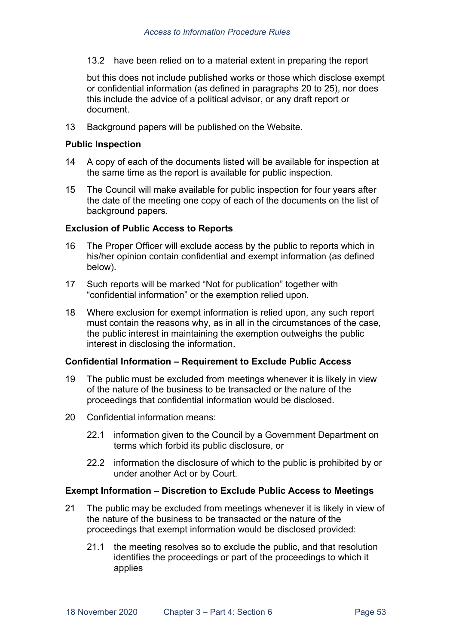13.2 have been relied on to a material extent in preparing the report

but this does not include published works or those which disclose exempt or confidential information (as defined in paragraphs 20 to 25), nor does this include the advice of a political advisor, or any draft report or document.

13 Background papers will be published on the Website.

## **Public Inspection**

- 14 A copy of each of the documents listed will be available for inspection at the same time as the report is available for public inspection.
- 15 The Council will make available for public inspection for four years after the date of the meeting one copy of each of the documents on the list of background papers.

#### **Exclusion of Public Access to Reports**

- 16 The Proper Officer will exclude access by the public to reports which in his/her opinion contain confidential and exempt information (as defined below).
- 17 Such reports will be marked "Not for publication" together with "confidential information" or the exemption relied upon.
- 18 Where exclusion for exempt information is relied upon, any such report must contain the reasons why, as in all in the circumstances of the case, the public interest in maintaining the exemption outweighs the public interest in disclosing the information.

#### **Confidential Information – Requirement to Exclude Public Access**

- 19 The public must be excluded from meetings whenever it is likely in view of the nature of the business to be transacted or the nature of the proceedings that confidential information would be disclosed.
- 20 Confidential information means:
	- 22.1 information given to the Council by a Government Department on terms which forbid its public disclosure, or
	- 22.2 information the disclosure of which to the public is prohibited by or under another Act or by Court.

# **Exempt Information – Discretion to Exclude Public Access to Meetings**

- 21 The public may be excluded from meetings whenever it is likely in view of the nature of the business to be transacted or the nature of the proceedings that exempt information would be disclosed provided:
	- 21.1 the meeting resolves so to exclude the public, and that resolution identifies the proceedings or part of the proceedings to which it applies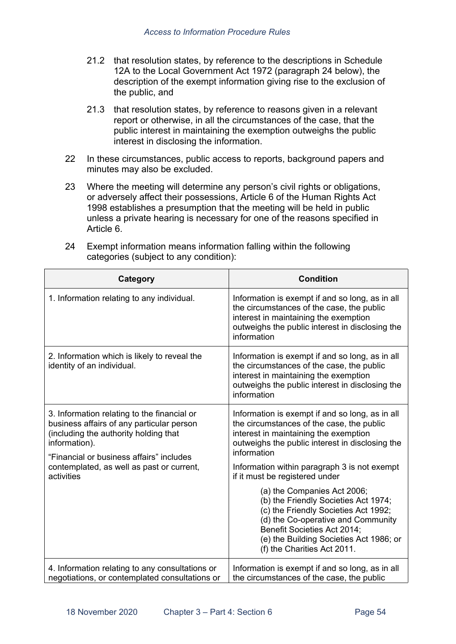- 21.2 that resolution states, by reference to the descriptions in Schedule 12A to the Local Government Act 1972 (paragraph 24 below), the description of the exempt information giving rise to the exclusion of the public, and
- 21.3 that resolution states, by reference to reasons given in a relevant report or otherwise, in all the circumstances of the case, that the public interest in maintaining the exemption outweighs the public interest in disclosing the information.
- 22 In these circumstances, public access to reports, background papers and minutes may also be excluded.
- 23 Where the meeting will determine any person's civil rights or obligations, or adversely affect their possessions, Article 6 of the Human Rights Act 1998 establishes a presumption that the meeting will be held in public unless a private hearing is necessary for one of the reasons specified in Article 6.

| Category                                                                                                                                                                                                                                                  | <b>Condition</b>                                                                                                                                                                                                                                                                                                                                                                                                                                                                                                                                        |
|-----------------------------------------------------------------------------------------------------------------------------------------------------------------------------------------------------------------------------------------------------------|---------------------------------------------------------------------------------------------------------------------------------------------------------------------------------------------------------------------------------------------------------------------------------------------------------------------------------------------------------------------------------------------------------------------------------------------------------------------------------------------------------------------------------------------------------|
| 1. Information relating to any individual.                                                                                                                                                                                                                | Information is exempt if and so long, as in all<br>the circumstances of the case, the public<br>interest in maintaining the exemption<br>outweighs the public interest in disclosing the<br>information                                                                                                                                                                                                                                                                                                                                                 |
| 2. Information which is likely to reveal the<br>identity of an individual.                                                                                                                                                                                | Information is exempt if and so long, as in all<br>the circumstances of the case, the public<br>interest in maintaining the exemption<br>outweighs the public interest in disclosing the<br>information                                                                                                                                                                                                                                                                                                                                                 |
| 3. Information relating to the financial or<br>business affairs of any particular person<br>(including the authority holding that<br>information).<br>"Financial or business affairs" includes<br>contemplated, as well as past or current,<br>activities | Information is exempt if and so long, as in all<br>the circumstances of the case, the public<br>interest in maintaining the exemption<br>outweighs the public interest in disclosing the<br>information<br>Information within paragraph 3 is not exempt<br>if it must be registered under<br>(a) the Companies Act 2006;<br>(b) the Friendly Societies Act 1974;<br>(c) the Friendly Societies Act 1992;<br>(d) the Co-operative and Community<br>Benefit Societies Act 2014;<br>(e) the Building Societies Act 1986; or<br>(f) the Charities Act 2011. |
| 4. Information relating to any consultations or<br>negotiations, or contemplated consultations or                                                                                                                                                         | Information is exempt if and so long, as in all<br>the circumstances of the case, the public                                                                                                                                                                                                                                                                                                                                                                                                                                                            |

24 Exempt information means information falling within the following categories (subject to any condition):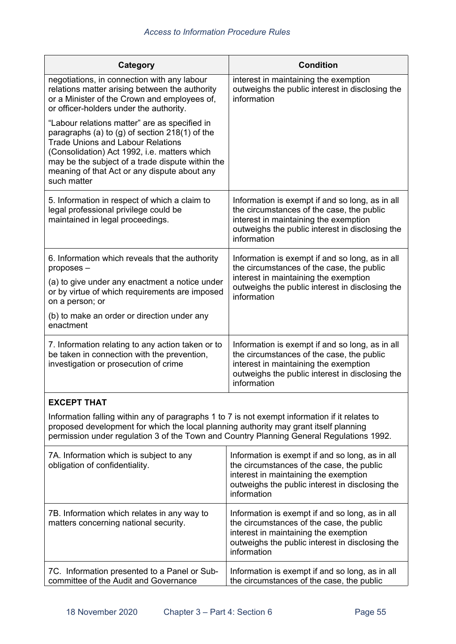| Category                                                                                                                                                                                                                                                                                                       | <b>Condition</b>                                                                                                                                                                                        |  |  |
|----------------------------------------------------------------------------------------------------------------------------------------------------------------------------------------------------------------------------------------------------------------------------------------------------------------|---------------------------------------------------------------------------------------------------------------------------------------------------------------------------------------------------------|--|--|
| negotiations, in connection with any labour<br>relations matter arising between the authority<br>or a Minister of the Crown and employees of,<br>or officer-holders under the authority.                                                                                                                       | interest in maintaining the exemption<br>outweighs the public interest in disclosing the<br>information                                                                                                 |  |  |
| "Labour relations matter" are as specified in<br>paragraphs (a) to (g) of section 218(1) of the<br><b>Trade Unions and Labour Relations</b><br>(Consolidation) Act 1992, i.e. matters which<br>may be the subject of a trade dispute within the<br>meaning of that Act or any dispute about any<br>such matter |                                                                                                                                                                                                         |  |  |
| 5. Information in respect of which a claim to<br>legal professional privilege could be<br>maintained in legal proceedings.                                                                                                                                                                                     | Information is exempt if and so long, as in all<br>the circumstances of the case, the public<br>interest in maintaining the exemption<br>outweighs the public interest in disclosing the<br>information |  |  |
| 6. Information which reveals that the authority<br>proposes -                                                                                                                                                                                                                                                  | Information is exempt if and so long, as in all<br>the circumstances of the case, the public                                                                                                            |  |  |
| (a) to give under any enactment a notice under<br>or by virtue of which requirements are imposed<br>on a person; or                                                                                                                                                                                            | interest in maintaining the exemption<br>outweighs the public interest in disclosing the<br>information                                                                                                 |  |  |
| (b) to make an order or direction under any<br>enactment                                                                                                                                                                                                                                                       |                                                                                                                                                                                                         |  |  |
| 7. Information relating to any action taken or to<br>be taken in connection with the prevention,<br>investigation or prosecution of crime                                                                                                                                                                      | Information is exempt if and so long, as in all<br>the circumstances of the case, the public<br>interest in maintaining the exemption<br>outweighs the public interest in disclosing the<br>information |  |  |
| <b>EXCEPT THAT</b>                                                                                                                                                                                                                                                                                             |                                                                                                                                                                                                         |  |  |
| Information falling within any of paragraphs 1 to 7 is not exempt information if it relates to<br>proposed development for which the local planning authority may grant itself planning<br>permission under regulation 3 of the Town and Country Planning General Regulations 1992.                            |                                                                                                                                                                                                         |  |  |
| 7A. Information which is subject to any<br>obligation of confidentiality.                                                                                                                                                                                                                                      | Information is exempt if and so long, as in all<br>the circumstances of the case, the public<br>interest in maintaining the exemption<br>outweighs the public interest in disclosing the<br>information |  |  |
| 7B. Information which relates in any way to<br>matters concerning national security.                                                                                                                                                                                                                           | Information is exempt if and so long, as in all<br>the circumstances of the case, the public<br>interest in maintaining the exemption<br>outweighs the public interest in disclosing the<br>information |  |  |
| 7C. Information presented to a Panel or Sub-<br>committee of the Audit and Governance                                                                                                                                                                                                                          | Information is exempt if and so long, as in all<br>the circumstances of the case, the public                                                                                                            |  |  |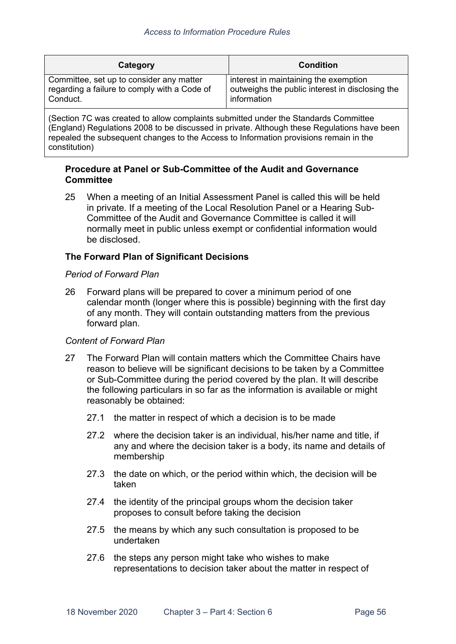| Category                                     | <b>Condition</b>                                |
|----------------------------------------------|-------------------------------------------------|
| Committee, set up to consider any matter     | interest in maintaining the exemption           |
| regarding a failure to comply with a Code of | outweighs the public interest in disclosing the |
| Conduct.                                     | information                                     |

(Section 7C was created to allow complaints submitted under the Standards Committee (England) Regulations 2008 to be discussed in private. Although these Regulations have been repealed the subsequent changes to the Access to Information provisions remain in the constitution)

# **Procedure at Panel or Sub-Committee of the Audit and Governance Committee**

25 When a meeting of an Initial Assessment Panel is called this will be held in private. If a meeting of the Local Resolution Panel or a Hearing Sub-Committee of the Audit and Governance Committee is called it will normally meet in public unless exempt or confidential information would be disclosed.

## **The Forward Plan of Significant Decisions**

#### *Period of Forward Plan*

26 Forward plans will be prepared to cover a minimum period of one calendar month (longer where this is possible) beginning with the first day of any month. They will contain outstanding matters from the previous forward plan.

#### *Content of Forward Plan*

- 27 The Forward Plan will contain matters which the Committee Chairs have reason to believe will be significant decisions to be taken by a Committee or Sub-Committee during the period covered by the plan. It will describe the following particulars in so far as the information is available or might reasonably be obtained:
	- 27.1 the matter in respect of which a decision is to be made
	- 27.2 where the decision taker is an individual, his/her name and title, if any and where the decision taker is a body, its name and details of membership
	- 27.3 the date on which, or the period within which, the decision will be taken
	- 27.4 the identity of the principal groups whom the decision taker proposes to consult before taking the decision
	- 27.5 the means by which any such consultation is proposed to be undertaken
	- 27.6 the steps any person might take who wishes to make representations to decision taker about the matter in respect of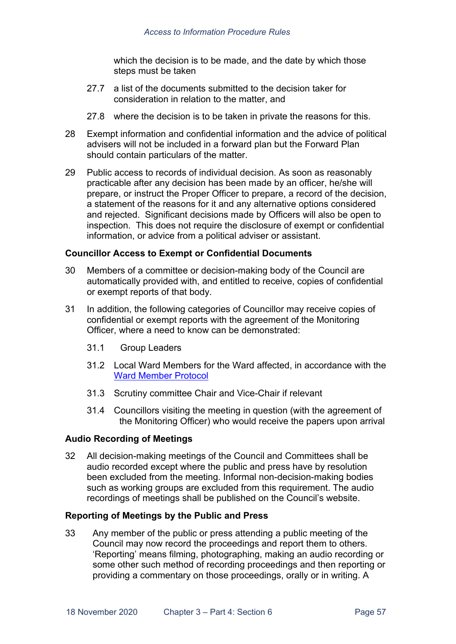which the decision is to be made, and the date by which those steps must be taken

- 27.7 a list of the documents submitted to the decision taker for consideration in relation to the matter, and
- 27.8 where the decision is to be taken in private the reasons for this.
- 28 Exempt information and confidential information and the advice of political advisers will not be included in a forward plan but the Forward Plan should contain particulars of the matter.
- 29 Public access to records of individual decision. As soon as reasonably practicable after any decision has been made by an officer, he/she will prepare, or instruct the Proper Officer to prepare, a record of the decision, a statement of the reasons for it and any alternative options considered and rejected. Significant decisions made by Officers will also be open to inspection. This does not require the disclosure of exempt or confidential information, or advice from a political adviser or assistant.

## **Councillor Access to Exempt or Confidential Documents**

- 30 Members of a committee or decision-making body of the Council are automatically provided with, and entitled to receive, copies of confidential or exempt reports of that body.
- 31 In addition, the following categories of Councillor may receive copies of confidential or exempt reports with the agreement of the Monitoring Officer, where a need to know can be demonstrated:
	- 31.1 Group Leaders
	- 31.2 Local Ward Members for the Ward affected, in accordance with the Ward [Member](http://www.cheshireeast.gov.uk/pdf/Council-and-democracy/constitution/2017-18-constitution/Local-Ward-Member-Protocol.pdf) Protocol
	- 31.3 Scrutiny committee Chair and Vice-Chair if relevant
	- 31.4 Councillors visiting the meeting in question (with the agreement of the Monitoring Officer) who would receive the papers upon arrival

# **Audio Recording of Meetings**

32 All decision-making meetings of the Council and Committees shall be audio recorded except where the public and press have by resolution been excluded from the meeting. Informal non-decision-making bodies such as working groups are excluded from this requirement. The audio recordings of meetings shall be published on the Council's website.

#### **Reporting of Meetings by the Public and Press**

33 Any member of the public or press attending a public meeting of the Council may now record the proceedings and report them to others. 'Reporting' means filming, photographing, making an audio recording or some other such method of recording proceedings and then reporting or providing a commentary on those proceedings, orally or in writing. A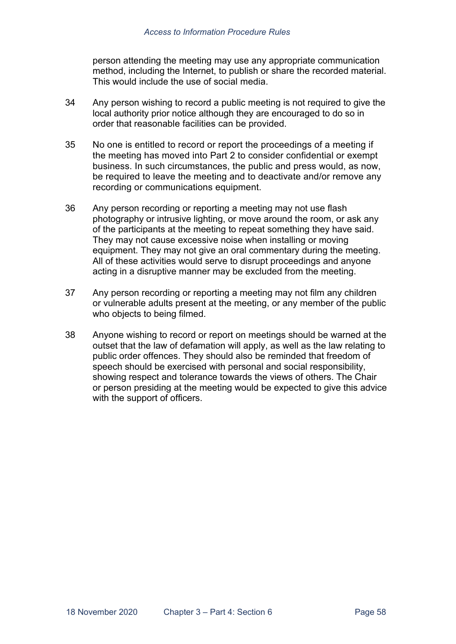person attending the meeting may use any appropriate communication method, including the Internet, to publish or share the recorded material. This would include the use of social media.

- 34 Any person wishing to record a public meeting is not required to give the local authority prior notice although they are encouraged to do so in order that reasonable facilities can be provided.
- 35 No one is entitled to record or report the proceedings of a meeting if the meeting has moved into Part 2 to consider confidential or exempt business. In such circumstances, the public and press would, as now, be required to leave the meeting and to deactivate and/or remove any recording or communications equipment.
- 36 Any person recording or reporting a meeting may not use flash photography or intrusive lighting, or move around the room, or ask any of the participants at the meeting to repeat something they have said. They may not cause excessive noise when installing or moving equipment. They may not give an oral commentary during the meeting. All of these activities would serve to disrupt proceedings and anyone acting in a disruptive manner may be excluded from the meeting.
- 37 Any person recording or reporting a meeting may not film any children or vulnerable adults present at the meeting, or any member of the public who objects to being filmed.
- 38 Anyone wishing to record or report on meetings should be warned at the outset that the law of defamation will apply, as well as the law relating to public order offences. They should also be reminded that freedom of speech should be exercised with personal and social responsibility, showing respect and tolerance towards the views of others. The Chair or person presiding at the meeting would be expected to give this advice with the support of officers.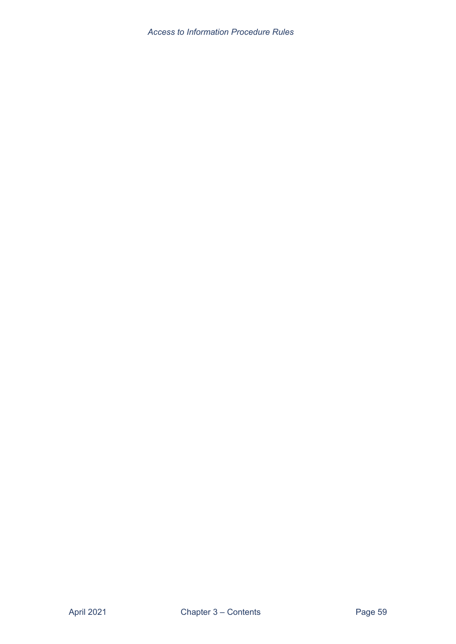*Access to Information Procedure Rules*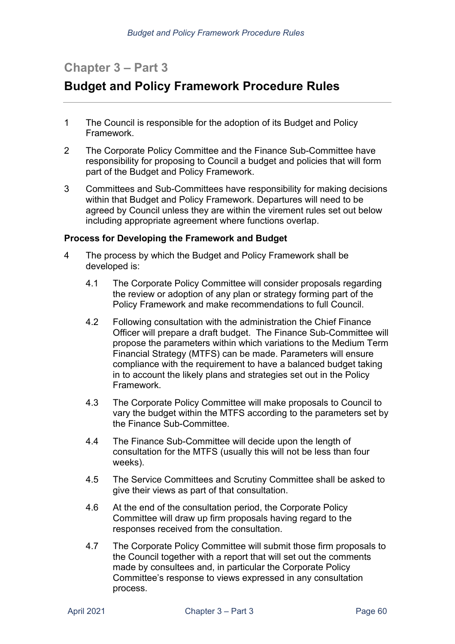# **Chapter 3 – Part 3**

# **Budget and Policy Framework Procedure Rules**

- 1 The Council is responsible for the adoption of its Budget and Policy Framework.
- 2 The Corporate Policy Committee and the Finance Sub-Committee have responsibility for proposing to Council a budget and policies that will form part of the Budget and Policy Framework.
- 3 Committees and Sub-Committees have responsibility for making decisions within that Budget and Policy Framework. Departures will need to be agreed by Council unless they are within the virement rules set out below including appropriate agreement where functions overlap.

## **Process for Developing the Framework and Budget**

- 4 The process by which the Budget and Policy Framework shall be developed is:
	- 4.1 The Corporate Policy Committee will consider proposals regarding the review or adoption of any plan or strategy forming part of the Policy Framework and make recommendations to full Council.
	- 4.2 Following consultation with the administration the Chief Finance Officer will prepare a draft budget. The Finance Sub-Committee will propose the parameters within which variations to the Medium Term Financial Strategy (MTFS) can be made. Parameters will ensure compliance with the requirement to have a balanced budget taking in to account the likely plans and strategies set out in the Policy Framework.
	- 4.3 The Corporate Policy Committee will make proposals to Council to vary the budget within the MTFS according to the parameters set by the Finance Sub-Committee.
	- 4.4 The Finance Sub-Committee will decide upon the length of consultation for the MTFS (usually this will not be less than four weeks).
	- 4.5 The Service Committees and Scrutiny Committee shall be asked to give their views as part of that consultation.
	- 4.6 At the end of the consultation period, the Corporate Policy Committee will draw up firm proposals having regard to the responses received from the consultation.
	- 4.7 The Corporate Policy Committee will submit those firm proposals to the Council together with a report that will set out the comments made by consultees and, in particular the Corporate Policy Committee's response to views expressed in any consultation process.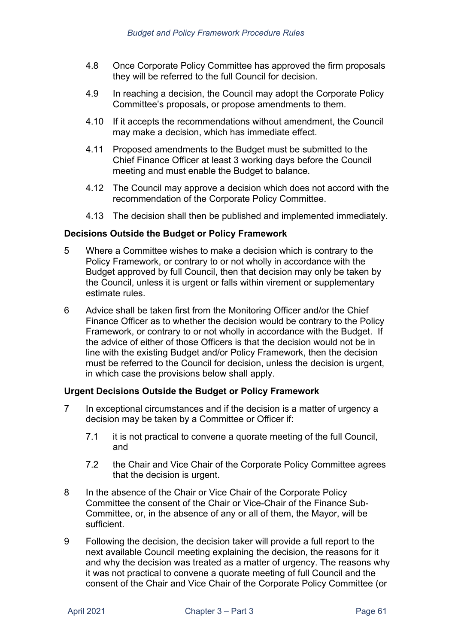- 4.8 Once Corporate Policy Committee has approved the firm proposals they will be referred to the full Council for decision.
- 4.9 In reaching a decision, the Council may adopt the Corporate Policy Committee's proposals, or propose amendments to them.
- 4.10 If it accepts the recommendations without amendment, the Council may make a decision, which has immediate effect.
- 4.11 Proposed amendments to the Budget must be submitted to the Chief Finance Officer at least 3 working days before the Council meeting and must enable the Budget to balance.
- 4.12 The Council may approve a decision which does not accord with the recommendation of the Corporate Policy Committee.
- 4.13 The decision shall then be published and implemented immediately.

## **Decisions Outside the Budget or Policy Framework**

- 5 Where a Committee wishes to make a decision which is contrary to the Policy Framework, or contrary to or not wholly in accordance with the Budget approved by full Council, then that decision may only be taken by the Council, unless it is urgent or falls within virement or supplementary estimate rules.
- 6 Advice shall be taken first from the Monitoring Officer and/or the Chief Finance Officer as to whether the decision would be contrary to the Policy Framework, or contrary to or not wholly in accordance with the Budget. If the advice of either of those Officers is that the decision would not be in line with the existing Budget and/or Policy Framework, then the decision must be referred to the Council for decision, unless the decision is urgent, in which case the provisions below shall apply.

# **Urgent Decisions Outside the Budget or Policy Framework**

- 7 In exceptional circumstances and if the decision is a matter of urgency a decision may be taken by a Committee or Officer if:
	- 7.1 it is not practical to convene a quorate meeting of the full Council, and
	- 7.2 the Chair and Vice Chair of the Corporate Policy Committee agrees that the decision is urgent.
- 8 In the absence of the Chair or Vice Chair of the Corporate Policy Committee the consent of the Chair or Vice-Chair of the Finance Sub-Committee, or, in the absence of any or all of them, the Mayor, will be sufficient.
- 9 Following the decision, the decision taker will provide a full report to the next available Council meeting explaining the decision, the reasons for it and why the decision was treated as a matter of urgency. The reasons why it was not practical to convene a quorate meeting of full Council and the consent of the Chair and Vice Chair of the Corporate Policy Committee (or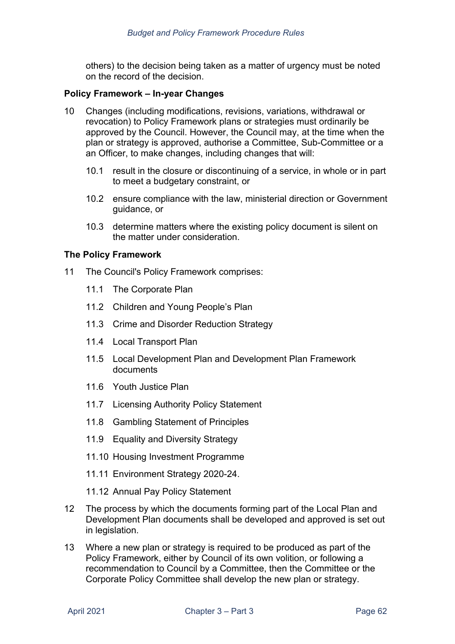others) to the decision being taken as a matter of urgency must be noted on the record of the decision.

#### **Policy Framework – In-year Changes**

- 10 Changes (including modifications, revisions, variations, withdrawal or revocation) to Policy Framework plans or strategies must ordinarily be approved by the Council. However, the Council may, at the time when the plan or strategy is approved, authorise a Committee, Sub-Committee or a an Officer, to make changes, including changes that will:
	- 10.1 result in the closure or discontinuing of a service, in whole or in part to meet a budgetary constraint, or
	- 10.2 ensure compliance with the law, ministerial direction or Government guidance, or
	- 10.3 determine matters where the existing policy document is silent on the matter under consideration.

#### **The Policy Framework**

- 11 The Council's Policy Framework comprises:
	- 11.1 The Corporate Plan
	- 11.2 Children and Young People's Plan
	- 11.3 Crime and Disorder Reduction Strategy
	- 11.4 Local Transport Plan
	- 11.5 Local Development Plan and Development Plan Framework documents
	- 11.6 Youth Justice Plan
	- 11.7 Licensing Authority Policy Statement
	- 11.8 Gambling Statement of Principles
	- 11.9 Equality and Diversity Strategy
	- 11.10 Housing Investment Programme
	- 11.11 [Environment](https://www.cheshireeast.gov.uk/pdf/environment/environment-strategy-2020-24-final.pdf) Strategy 2020-24.
	- 11.12 Annual Pay Policy Statement
- 12 The process by which the documents forming part of the Local Plan and Development Plan documents shall be developed and approved is set out in legislation.
- 13 Where a new plan or strategy is required to be produced as part of the Policy Framework, either by Council of its own volition, or following a recommendation to Council by a Committee, then the Committee or the Corporate Policy Committee shall develop the new plan or strategy.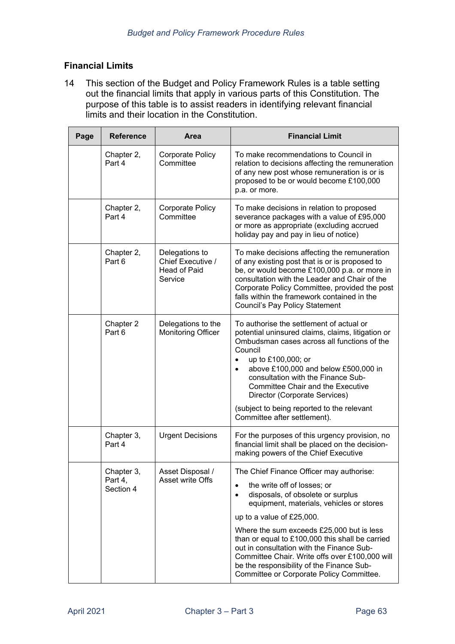# **Financial Limits**

14 This section of the Budget and Policy Framework Rules is a table setting out the financial limits that apply in various parts of this Constitution. The purpose of this table is to assist readers in identifying relevant financial limits and their location in the Constitution.

| Page | <b>Reference</b>                   | <b>Area</b>                                                    | <b>Financial Limit</b>                                                                                                                                                                                                                                                                                                                                                                                                                                                                                  |
|------|------------------------------------|----------------------------------------------------------------|---------------------------------------------------------------------------------------------------------------------------------------------------------------------------------------------------------------------------------------------------------------------------------------------------------------------------------------------------------------------------------------------------------------------------------------------------------------------------------------------------------|
|      | Chapter 2,<br>Part 4               | Corporate Policy<br>Committee                                  | To make recommendations to Council in<br>relation to decisions affecting the remuneration<br>of any new post whose remuneration is or is<br>proposed to be or would become £100,000<br>p.a. or more.                                                                                                                                                                                                                                                                                                    |
|      | Chapter 2,<br>Part 4               | <b>Corporate Policy</b><br>Committee                           | To make decisions in relation to proposed<br>severance packages with a value of £95,000<br>or more as appropriate (excluding accrued<br>holiday pay and pay in lieu of notice)                                                                                                                                                                                                                                                                                                                          |
|      | Chapter 2,<br>Part 6               | Delegations to<br>Chief Executive /<br>Head of Paid<br>Service | To make decisions affecting the remuneration<br>of any existing post that is or is proposed to<br>be, or would become £100,000 p.a. or more in<br>consultation with the Leader and Chair of the<br>Corporate Policy Committee, provided the post<br>falls within the framework contained in the<br><b>Council's Pay Policy Statement</b>                                                                                                                                                                |
|      | Chapter 2<br>Part 6                | Delegations to the<br>Monitoring Officer                       | To authorise the settlement of actual or<br>potential uninsured claims, claims, litigation or<br>Ombudsman cases across all functions of the<br>Council<br>up to £100,000; or<br>$\bullet$<br>above £100,000 and below £500,000 in<br>$\bullet$<br>consultation with the Finance Sub-<br>Committee Chair and the Executive<br>Director (Corporate Services)<br>(subject to being reported to the relevant<br>Committee after settlement).                                                               |
|      | Chapter 3,<br>Part 4               | <b>Urgent Decisions</b>                                        | For the purposes of this urgency provision, no<br>financial limit shall be placed on the decision-<br>making powers of the Chief Executive                                                                                                                                                                                                                                                                                                                                                              |
|      | Chapter 3,<br>Part 4,<br>Section 4 | Asset Disposal /<br>Asset write Offs                           | The Chief Finance Officer may authorise:<br>the write off of losses; or<br>$\bullet$<br>disposals, of obsolete or surplus<br>$\bullet$<br>equipment, materials, vehicles or stores<br>up to a value of £25,000.<br>Where the sum exceeds £25,000 but is less<br>than or equal to £100,000 this shall be carried<br>out in consultation with the Finance Sub-<br>Committee Chair. Write offs over £100,000 will<br>be the responsibility of the Finance Sub-<br>Committee or Corporate Policy Committee. |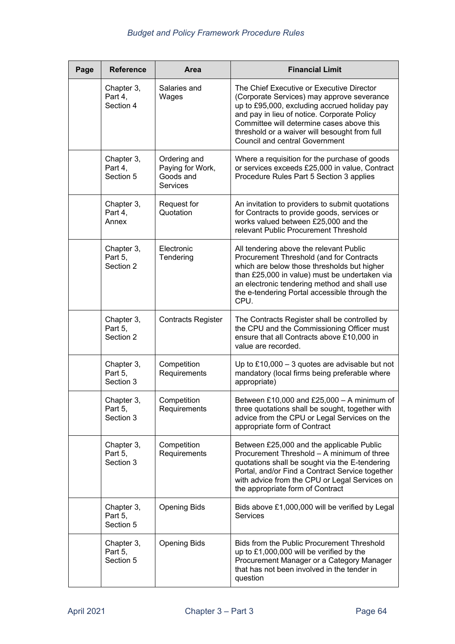| Page | <b>Reference</b>                   | <b>Area</b>                                                      | <b>Financial Limit</b>                                                                                                                                                                                                                                                                                                        |
|------|------------------------------------|------------------------------------------------------------------|-------------------------------------------------------------------------------------------------------------------------------------------------------------------------------------------------------------------------------------------------------------------------------------------------------------------------------|
|      | Chapter 3,<br>Part 4,<br>Section 4 | Salaries and<br>Wages                                            | The Chief Executive or Executive Director<br>(Corporate Services) may approve severance<br>up to £95,000, excluding accrued holiday pay<br>and pay in lieu of notice. Corporate Policy<br>Committee will determine cases above this<br>threshold or a waiver will besought from full<br><b>Council and central Government</b> |
|      | Chapter 3,<br>Part 4,<br>Section 5 | Ordering and<br>Paying for Work,<br>Goods and<br><b>Services</b> | Where a requisition for the purchase of goods<br>or services exceeds £25,000 in value, Contract<br>Procedure Rules Part 5 Section 3 applies                                                                                                                                                                                   |
|      | Chapter 3,<br>Part 4,<br>Annex     | Request for<br>Quotation                                         | An invitation to providers to submit quotations<br>for Contracts to provide goods, services or<br>works valued between £25,000 and the<br>relevant Public Procurement Threshold                                                                                                                                               |
|      | Chapter 3,<br>Part 5,<br>Section 2 | Electronic<br>Tendering                                          | All tendering above the relevant Public<br>Procurement Threshold (and for Contracts<br>which are below those thresholds but higher<br>than £25,000 in value) must be undertaken via<br>an electronic tendering method and shall use<br>the e-tendering Portal accessible through the<br>CPU.                                  |
|      | Chapter 3,<br>Part 5.<br>Section 2 | <b>Contracts Register</b>                                        | The Contracts Register shall be controlled by<br>the CPU and the Commissioning Officer must<br>ensure that all Contracts above £10,000 in<br>value are recorded.                                                                                                                                                              |
|      | Chapter 3,<br>Part 5.<br>Section 3 | Competition<br>Requirements                                      | Up to £10,000 $-$ 3 quotes are advisable but not<br>mandatory (local firms being preferable where<br>appropriate)                                                                                                                                                                                                             |
|      | Chapter 3,<br>Part 5,<br>Section 3 | Competition<br>Requirements                                      | Between £10,000 and £25,000 $-$ A minimum of<br>three quotations shall be sought, together with<br>advice from the CPU or Legal Services on the<br>appropriate form of Contract                                                                                                                                               |
|      | Chapter 3,<br>Part 5,<br>Section 3 | Competition<br>Requirements                                      | Between £25,000 and the applicable Public<br>Procurement Threshold - A minimum of three<br>quotations shall be sought via the E-tendering<br>Portal, and/or Find a Contract Service together<br>with advice from the CPU or Legal Services on<br>the appropriate form of Contract                                             |
|      | Chapter 3,<br>Part 5,<br>Section 5 | <b>Opening Bids</b>                                              | Bids above £1,000,000 will be verified by Legal<br><b>Services</b>                                                                                                                                                                                                                                                            |
|      | Chapter 3,<br>Part 5,<br>Section 5 | <b>Opening Bids</b>                                              | Bids from the Public Procurement Threshold<br>up to £1,000,000 will be verified by the<br>Procurement Manager or a Category Manager<br>that has not been involved in the tender in<br>question                                                                                                                                |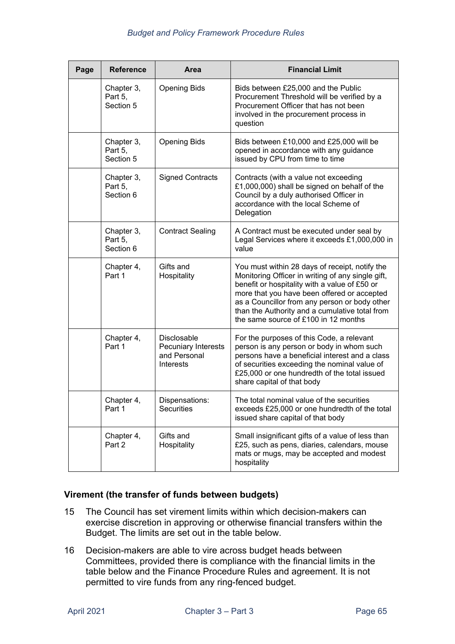| Page | <b>Reference</b>                   | <b>Area</b>                                                            | <b>Financial Limit</b>                                                                                                                                                                                                                                                                                                                         |
|------|------------------------------------|------------------------------------------------------------------------|------------------------------------------------------------------------------------------------------------------------------------------------------------------------------------------------------------------------------------------------------------------------------------------------------------------------------------------------|
|      | Chapter 3,<br>Part 5,<br>Section 5 | <b>Opening Bids</b>                                                    | Bids between £25,000 and the Public<br>Procurement Threshold will be verified by a<br>Procurement Officer that has not been<br>involved in the procurement process in<br>question                                                                                                                                                              |
|      | Chapter 3,<br>Part 5,<br>Section 5 | <b>Opening Bids</b>                                                    | Bids between £10,000 and £25,000 will be<br>opened in accordance with any guidance<br>issued by CPU from time to time                                                                                                                                                                                                                          |
|      | Chapter 3,<br>Part 5,<br>Section 6 | <b>Signed Contracts</b>                                                | Contracts (with a value not exceeding<br>£1,000,000) shall be signed on behalf of the<br>Council by a duly authorised Officer in<br>accordance with the local Scheme of<br>Delegation                                                                                                                                                          |
|      | Chapter 3,<br>Part 5,<br>Section 6 | <b>Contract Sealing</b>                                                | A Contract must be executed under seal by<br>Legal Services where it exceeds £1,000,000 in<br>value                                                                                                                                                                                                                                            |
|      | Chapter 4,<br>Part 1               | Gifts and<br>Hospitality                                               | You must within 28 days of receipt, notify the<br>Monitoring Officer in writing of any single gift,<br>benefit or hospitality with a value of £50 or<br>more that you have been offered or accepted<br>as a Councillor from any person or body other<br>than the Authority and a cumulative total from<br>the same source of £100 in 12 months |
|      | Chapter 4,<br>Part 1               | Disclosable<br><b>Pecuniary Interests</b><br>and Personal<br>Interests | For the purposes of this Code, a relevant<br>person is any person or body in whom such<br>persons have a beneficial interest and a class<br>of securities exceeding the nominal value of<br>£25,000 or one hundredth of the total issued<br>share capital of that body                                                                         |
|      | Chapter 4,<br>Part 1               | Dispensations:<br>Securities                                           | The total nominal value of the securities<br>exceeds £25,000 or one hundredth of the total<br>issued share capital of that body                                                                                                                                                                                                                |
|      | Chapter 4,<br>Part 2               | Gifts and<br>Hospitality                                               | Small insignificant gifts of a value of less than<br>£25, such as pens, diaries, calendars, mouse<br>mats or mugs, may be accepted and modest<br>hospitality                                                                                                                                                                                   |

# **Virement (the transfer of funds between budgets)**

- 15 The Council has set virement limits within which decision-makers can exercise discretion in approving or otherwise financial transfers within the Budget. The limits are set out in the table below.
- 16 Decision-makers are able to vire across budget heads between Committees, provided there is compliance with the financial limits in the table below and the Finance Procedure Rules and agreement. It is not permitted to vire funds from any ring-fenced budget.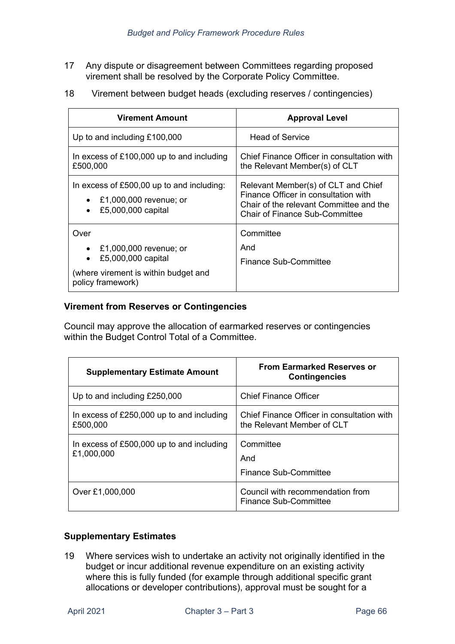- 17 Any dispute or disagreement between Committees regarding proposed virement shall be resolved by the Corporate Policy Committee.
- 18 Virement between budget heads (excluding reserves / contingencies)

| <b>Virement Amount</b>                                                                                                                      | <b>Approval Level</b>                                                                                                                                           |
|---------------------------------------------------------------------------------------------------------------------------------------------|-----------------------------------------------------------------------------------------------------------------------------------------------------------------|
| Up to and including £100,000                                                                                                                | <b>Head of Service</b>                                                                                                                                          |
| In excess of $£100,000$ up to and including<br>£500,000                                                                                     | Chief Finance Officer in consultation with<br>the Relevant Member(s) of CLT                                                                                     |
| In excess of £500,00 up to and including:<br>£1,000,000 revenue; or<br>$\bullet$<br>£5,000,000 capital<br>$\bullet$                         | Relevant Member(s) of CLT and Chief<br>Finance Officer in consultation with<br>Chair of the relevant Committee and the<br><b>Chair of Finance Sub-Committee</b> |
| Over<br>£1,000,000 revenue; or<br>$\bullet$<br>£5,000,000 capital<br>$\bullet$<br>(where virement is within budget and<br>policy framework) | Committee<br>And<br>Finance Sub-Committee                                                                                                                       |

# **Virement from Reserves or Contingencies**

Council may approve the allocation of earmarked reserves or contingencies within the Budget Control Total of a Committee.

| <b>Supplementary Estimate Amount</b>                    | <b>From Earmarked Reserves or</b><br><b>Contingencies</b>                |
|---------------------------------------------------------|--------------------------------------------------------------------------|
| Up to and including £250,000                            | <b>Chief Finance Officer</b>                                             |
| In excess of $£250,000$ up to and including<br>£500,000 | Chief Finance Officer in consultation with<br>the Relevant Member of CLT |
| In excess of £500,000 up to and including<br>£1,000,000 | Committee<br>And<br>Finance Sub-Committee                                |
| Over £1,000,000                                         | Council with recommendation from<br>Finance Sub-Committee                |

# **Supplementary Estimates**

19 Where services wish to undertake an activity not originally identified in the budget or incur additional revenue expenditure on an existing activity where this is fully funded (for example through additional specific grant allocations or developer contributions), approval must be sought for a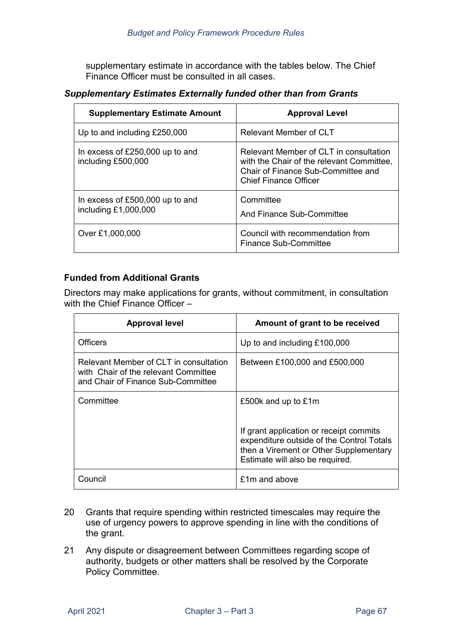supplementary estimate in accordance with the tables below. The Chief Finance Officer must be consulted in all cases.

| <b>Supplementary Estimates Externally funded other than from Grants</b> |
|-------------------------------------------------------------------------|
|-------------------------------------------------------------------------|

| <b>Supplementary Estimate Amount</b>                      | <b>Approval Level</b>                                                                                                                                     |
|-----------------------------------------------------------|-----------------------------------------------------------------------------------------------------------------------------------------------------------|
| Up to and including £250,000                              | Relevant Member of CLT                                                                                                                                    |
| In excess of £250,000 up to and<br>including £500,000     | Relevant Member of CLT in consultation<br>with the Chair of the relevant Committee,<br>Chair of Finance Sub-Committee and<br><b>Chief Finance Officer</b> |
| In excess of £500,000 up to and<br>including $£1,000,000$ | Committee<br>And Finance Sub-Committee                                                                                                                    |
| Over £1,000,000                                           | Council with recommendation from<br>Finance Sub-Committee                                                                                                 |

# **Funded from Additional Grants**

Directors may make applications for grants, without commitment, in consultation with the Chief Finance Officer –

| <b>Approval level</b>                                                                                                | Amount of grant to be received                                                                                                                                    |
|----------------------------------------------------------------------------------------------------------------------|-------------------------------------------------------------------------------------------------------------------------------------------------------------------|
| <b>Officers</b>                                                                                                      | Up to and including $£100,000$                                                                                                                                    |
| Relevant Member of CLT in consultation<br>with Chair of the relevant Committee<br>and Chair of Finance Sub-Committee | Between £100,000 and £500,000                                                                                                                                     |
| Committee                                                                                                            | £500k and up to £1m                                                                                                                                               |
|                                                                                                                      | If grant application or receipt commits<br>expenditure outside of the Control Totals<br>then a Virement or Other Supplementary<br>Estimate will also be required. |
| Council                                                                                                              | £1m and above                                                                                                                                                     |

- 20 Grants that require spending within restricted timescales may require the use of urgency powers to approve spending in line with the conditions of the grant.
- 21 Any dispute or disagreement between Committees regarding scope of authority, budgets or other matters shall be resolved by the Corporate Policy Committee.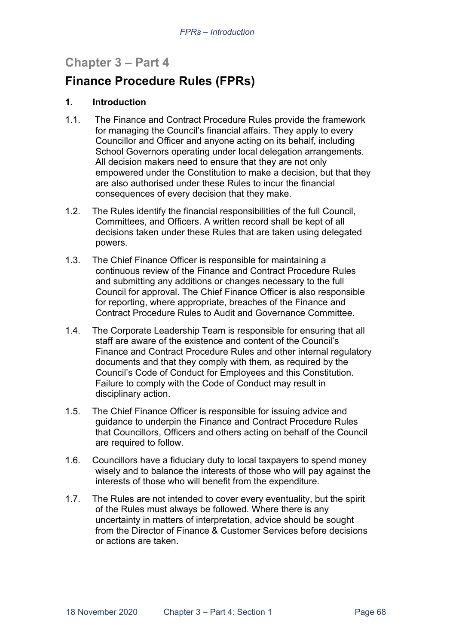# **Chapter 3 – Part 4**

# **Finance Procedure Rules (FPRs)**

# **1. Introduction**

- 1.1. The Finance and Contract Procedure Rules provide the framework for managing the Council's financial affairs. They apply to every Councillor and Officer and anyone acting on its behalf, including School Governors operating under local delegation arrangements. All decision makers need to ensure that they are not only empowered under the Constitution to make a decision, but that they are also authorised under these Rules to incur the financial consequences of every decision that they make.
- 1.2. The Rules identify the financial responsibilities of the full Council, Committees, and Officers. A written record shall be kept of all decisions taken under these Rules that are taken using delegated powers.
- 1.3. The Chief Finance Officer is responsible for maintaining a continuous review of the Finance and Contract Procedure Rules and submitting any additions or changes necessary to the full Council for approval. The Chief Finance Officer is also responsible for reporting, where appropriate, breaches of the Finance and Contract Procedure Rules to Audit and Governance Committee.
- 1.4. The Corporate Leadership Team is responsible for ensuring that all staff are aware of the existence and content of the Council's Finance and Contract Procedure Rules and other internal regulatory documents and that they comply with them, as required by the Council's Code of Conduct for Employees and this Constitution. Failure to comply with the Code of Conduct may result in disciplinary action.
- 1.5. The Chief Finance Officer is responsible for issuing advice and guidance to underpin the Finance and Contract Procedure Rules that Councillors, Officers and others acting on behalf of the Council are required to follow.
- 1.6. Councillors have a fiduciary duty to local taxpayers to spend money wisely and to balance the interests of those who will pay against the interests of those who will benefit from the expenditure.
- 1.7. The Rules are not intended to cover every eventuality, but the spirit of the Rules must always be followed. Where there is any uncertainty in matters of interpretation, advice should be sought from the Director of Finance & Customer Services before decisions or actions are taken.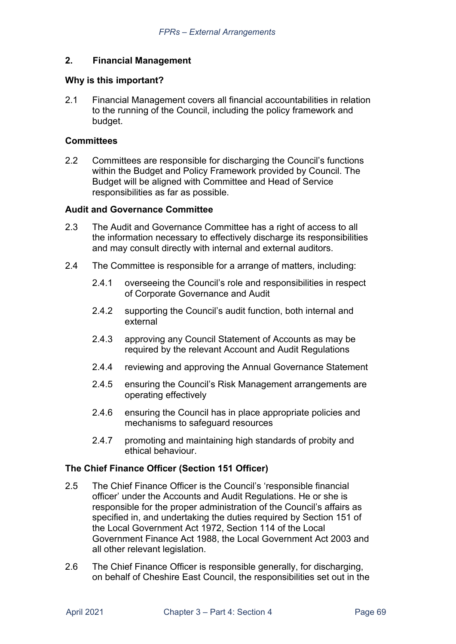# **2. Financial Management**

#### **Why is this important?**

2.1 Financial Management covers all financial accountabilities in relation to the running of the Council, including the policy framework and budget.

#### **Committees**

2.2 Committees are responsible for discharging the Council's functions within the Budget and Policy Framework provided by Council. The Budget will be aligned with Committee and Head of Service responsibilities as far as possible.

#### **Audit and Governance Committee**

- 2.3 The Audit and Governance Committee has a right of access to all the information necessary to effectively discharge its responsibilities and may consult directly with internal and external auditors.
- 2.4 The Committee is responsible for a arrange of matters, including:
	- 2.4.1 overseeing the Council's role and responsibilities in respect of Corporate Governance and Audit
	- 2.4.2 supporting the Council's audit function, both internal and external
	- 2.4.3 approving any Council Statement of Accounts as may be required by the relevant Account and Audit Regulations
	- 2.4.4 reviewing and approving the Annual Governance Statement
	- 2.4.5 ensuring the Council's Risk Management arrangements are operating effectively
	- 2.4.6 ensuring the Council has in place appropriate policies and mechanisms to safeguard resources
	- 2.4.7 promoting and maintaining high standards of probity and ethical behaviour.

#### **The Chief Finance Officer (Section 151 Officer)**

- 2.5 The Chief Finance Officer is the Council's 'responsible financial officer' under the Accounts and Audit Regulations. He or she is responsible for the proper administration of the Council's affairs as specified in, and undertaking the duties required by Section 151 of the Local Government Act 1972, Section 114 of the Local Government Finance Act 1988, the Local Government Act 2003 and all other relevant legislation.
- 2.6 The Chief Finance Officer is responsible generally, for discharging, on behalf of Cheshire East Council, the responsibilities set out in the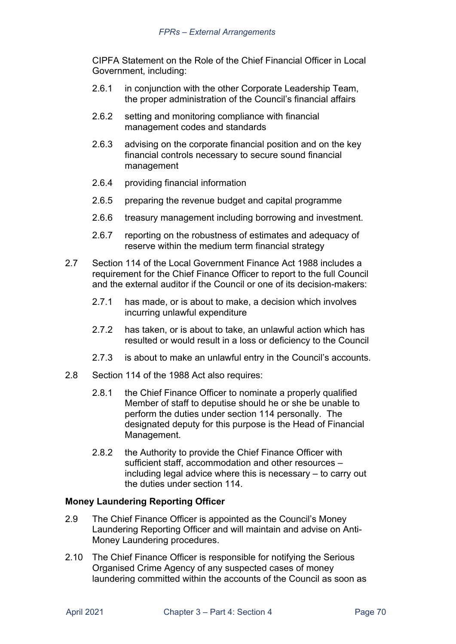CIPFA Statement on the Role of the Chief Financial Officer in Local Government, including:

- 2.6.1 in conjunction with the other Corporate Leadership Team, the proper administration of the Council's financial affairs
- 2.6.2 setting and monitoring compliance with financial management codes and standards
- 2.6.3 advising on the corporate financial position and on the key financial controls necessary to secure sound financial management
- 2.6.4 providing financial information
- 2.6.5 preparing the revenue budget and capital programme
- 2.6.6 treasury management including borrowing and investment.
- 2.6.7 reporting on the robustness of estimates and adequacy of reserve within the medium term financial strategy
- 2.7 Section 114 of the Local Government Finance Act 1988 includes a requirement for the Chief Finance Officer to report to the full Council and the external auditor if the Council or one of its decision-makers:
	- 2.7.1 has made, or is about to make, a decision which involves incurring unlawful expenditure
	- 2.7.2 has taken, or is about to take, an unlawful action which has resulted or would result in a loss or deficiency to the Council
	- 2.7.3 is about to make an unlawful entry in the Council's accounts.
- 2.8 Section 114 of the 1988 Act also requires:
	- 2.8.1 the Chief Finance Officer to nominate a properly qualified Member of staff to deputise should he or she be unable to perform the duties under section 114 personally. The designated deputy for this purpose is the Head of Financial Management.
	- 2.8.2 the Authority to provide the Chief Finance Officer with sufficient staff, accommodation and other resources – including legal advice where this is necessary – to carry out the duties under section 114.

# **Money Laundering Reporting Officer**

- 2.9 The Chief Finance Officer is appointed as the Council's Money Laundering Reporting Officer and will maintain and advise on Anti-Money Laundering procedures.
- 2.10 The Chief Finance Officer is responsible for notifying the Serious Organised Crime Agency of any suspected cases of money laundering committed within the accounts of the Council as soon as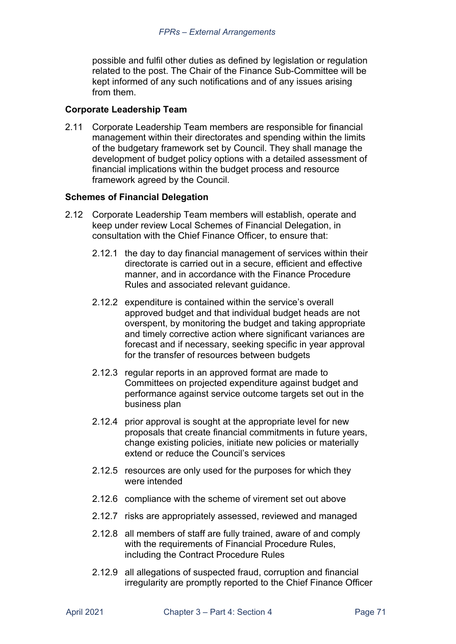possible and fulfil other duties as defined by legislation or regulation related to the post. The Chair of the Finance Sub-Committee will be kept informed of any such notifications and of any issues arising from them.

## **Corporate Leadership Team**

2.11 Corporate Leadership Team members are responsible for financial management within their directorates and spending within the limits of the budgetary framework set by Council. They shall manage the development of budget policy options with a detailed assessment of financial implications within the budget process and resource framework agreed by the Council.

## **Schemes of Financial Delegation**

- 2.12 Corporate Leadership Team members will establish, operate and keep under review Local Schemes of Financial Delegation, in consultation with the Chief Finance Officer, to ensure that:
	- 2.12.1 the day to day financial management of services within their directorate is carried out in a secure, efficient and effective manner, and in accordance with the Finance Procedure Rules and associated relevant guidance.
	- 2.12.2 expenditure is contained within the service's overall approved budget and that individual budget heads are not overspent, by monitoring the budget and taking appropriate and timely corrective action where significant variances are forecast and if necessary, seeking specific in year approval for the transfer of resources between budgets
	- 2.12.3 regular reports in an approved format are made to Committees on projected expenditure against budget and performance against service outcome targets set out in the business plan
	- 2.12.4 prior approval is sought at the appropriate level for new proposals that create financial commitments in future years, change existing policies, initiate new policies or materially extend or reduce the Council's services
	- 2.12.5 resources are only used for the purposes for which they were intended
	- 2.12.6 compliance with the scheme of virement set out above
	- 2.12.7 risks are appropriately assessed, reviewed and managed
	- 2.12.8 all members of staff are fully trained, aware of and comply with the requirements of Financial Procedure Rules. including the Contract Procedure Rules
	- 2.12.9 all allegations of suspected fraud, corruption and financial irregularity are promptly reported to the Chief Finance Officer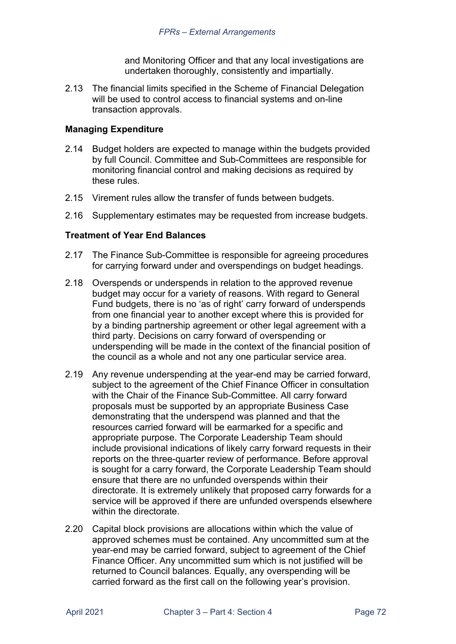and Monitoring Officer and that any local investigations are undertaken thoroughly, consistently and impartially.

2.13 The financial limits specified in the Scheme of Financial Delegation will be used to control access to financial systems and on-line transaction approvals.

# **Managing Expenditure**

- 2.14 Budget holders are expected to manage within the budgets provided by full Council. Committee and Sub-Committees are responsible for monitoring financial control and making decisions as required by these rules.
- 2.15 Virement rules allow the transfer of funds between budgets.
- 2.16 Supplementary estimates may be requested from increase budgets.

# **Treatment of Year End Balances**

- 2.17 The Finance Sub-Committee is responsible for agreeing procedures for carrying forward under and overspendings on budget headings.
- 2.18 Overspends or underspends in relation to the approved revenue budget may occur for a variety of reasons. With regard to General Fund budgets, there is no 'as of right' carry forward of underspends from one financial year to another except where this is provided for by a binding partnership agreement or other legal agreement with a third party. Decisions on carry forward of overspending or underspending will be made in the context of the financial position of the council as a whole and not any one particular service area.
- 2.19 Any revenue underspending at the year-end may be carried forward, subject to the agreement of the Chief Finance Officer in consultation with the Chair of the Finance Sub-Committee. All carry forward proposals must be supported by an appropriate Business Case demonstrating that the underspend was planned and that the resources carried forward will be earmarked for a specific and appropriate purpose. The Corporate Leadership Team should include provisional indications of likely carry forward requests in their reports on the three-quarter review of performance. Before approval is sought for a carry forward, the Corporate Leadership Team should ensure that there are no unfunded overspends within their directorate. It is extremely unlikely that proposed carry forwards for a service will be approved if there are unfunded overspends elsewhere within the directorate.
- 2.20 Capital block provisions are allocations within which the value of approved schemes must be contained. Any uncommitted sum at the year-end may be carried forward, subject to agreement of the Chief Finance Officer. Any uncommitted sum which is not justified will be returned to Council balances. Equally, any overspending will be carried forward as the first call on the following year's provision.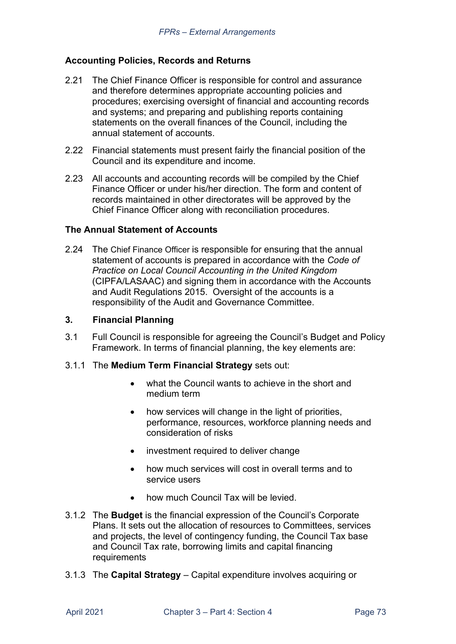# **Accounting Policies, Records and Returns**

- 2.21 The Chief Finance Officer is responsible for control and assurance and therefore determines appropriate accounting policies and procedures; exercising oversight of financial and accounting records and systems; and preparing and publishing reports containing statements on the overall finances of the Council, including the annual statement of accounts.
- 2.22 Financial statements must present fairly the financial position of the Council and its expenditure and income.
- 2.23 All accounts and accounting records will be compiled by the Chief Finance Officer or under his/her direction. The form and content of records maintained in other directorates will be approved by the Chief Finance Officer along with reconciliation procedures.

# **The Annual Statement of Accounts**

2.24 The Chief Finance Officer is responsible for ensuring that the annual statement of accounts is prepared in accordance with the *Code of Practice on Local Council Accounting in the United Kingdom* (CIPFA/LASAAC) and signing them in accordance with the Accounts and Audit Regulations 2015. Oversight of the accounts is a responsibility of the Audit and Governance Committee.

## **3. Financial Planning**

- 3.1 Full Council is responsible for agreeing the Council's Budget and Policy Framework. In terms of financial planning, the key elements are:
- 3.1.1 The **Medium Term Financial Strategy** sets out:
	- what the Council wants to achieve in the short and medium term
	- how services will change in the light of priorities, performance, resources, workforce planning needs and consideration of risks
	- investment required to deliver change
	- how much services will cost in overall terms and to service users
	- how much Council Tax will be levied.
- 3.1.2 The **Budget** is the financial expression of the Council's Corporate Plans. It sets out the allocation of resources to Committees, services and projects, the level of contingency funding, the Council Tax base and Council Tax rate, borrowing limits and capital financing **requirements**
- 3.1.3 The **Capital Strategy** Capital expenditure involves acquiring or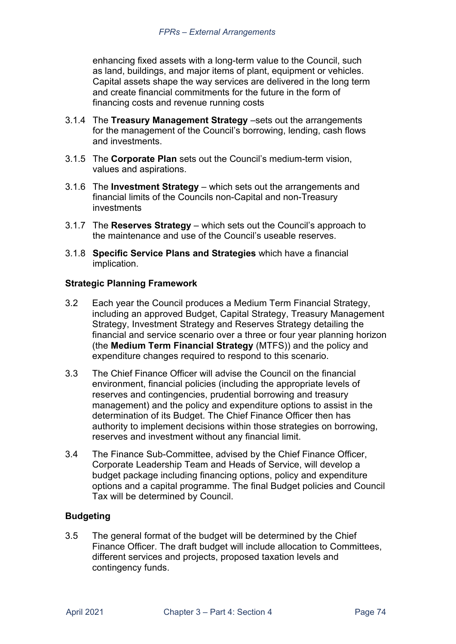enhancing fixed assets with a long-term value to the Council, such as land, buildings, and major items of plant, equipment or vehicles. Capital assets shape the way services are delivered in the long term and create financial commitments for the future in the form of financing costs and revenue running costs

- 3.1.4 The **Treasury Management Strategy** –sets out the arrangements for the management of the Council's borrowing, lending, cash flows and investments.
- 3.1.5 The **Corporate Plan** sets out the Council's medium-term vision, values and aspirations.
- 3.1.6 The **Investment Strategy** which sets out the arrangements and financial limits of the Councils non-Capital and non-Treasury investments
- 3.1.7 The **Reserves Strategy** which sets out the Council's approach to the maintenance and use of the Council's useable reserves.
- 3.1.8 **Specific Service Plans and Strategies** which have a financial implication.

# **Strategic Planning Framework**

- 3.2 Each year the Council produces a Medium Term Financial Strategy, including an approved Budget, Capital Strategy, Treasury Management Strategy, Investment Strategy and Reserves Strategy detailing the financial and service scenario over a three or four year planning horizon (the **Medium Term Financial Strategy** (MTFS)) and the policy and expenditure changes required to respond to this scenario.
- 3.3 The Chief Finance Officer will advise the Council on the financial environment, financial policies (including the appropriate levels of reserves and contingencies, prudential borrowing and treasury management) and the policy and expenditure options to assist in the determination of its Budget. The Chief Finance Officer then has authority to implement decisions within those strategies on borrowing, reserves and investment without any financial limit.
- 3.4 The Finance Sub-Committee, advised by the Chief Finance Officer, Corporate Leadership Team and Heads of Service, will develop a budget package including financing options, policy and expenditure options and a capital programme. The final Budget policies and Council Tax will be determined by Council.

# **Budgeting**

3.5 The general format of the budget will be determined by the Chief Finance Officer. The draft budget will include allocation to Committees, different services and projects, proposed taxation levels and contingency funds.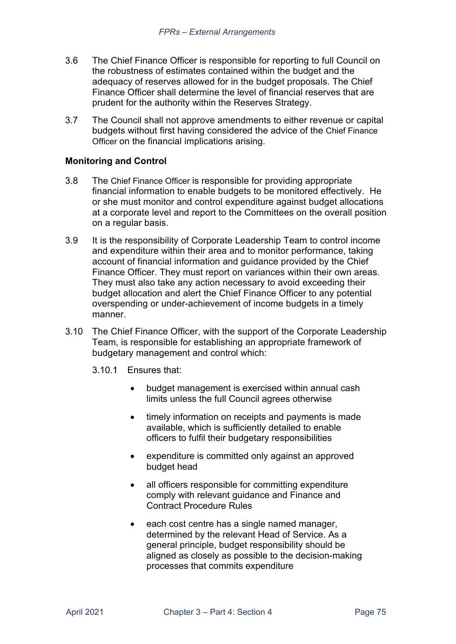- 3.6 The Chief Finance Officer is responsible for reporting to full Council on the robustness of estimates contained within the budget and the adequacy of reserves allowed for in the budget proposals. The Chief Finance Officer shall determine the level of financial reserves that are prudent for the authority within the Reserves Strategy.
- 3.7 The Council shall not approve amendments to either revenue or capital budgets without first having considered the advice of the Chief Finance Officer on the financial implications arising.

# **Monitoring and Control**

- 3.8 The Chief Finance Officer is responsible for providing appropriate financial information to enable budgets to be monitored effectively. He or she must monitor and control expenditure against budget allocations at a corporate level and report to the Committees on the overall position on a regular basis.
- 3.9 It is the responsibility of Corporate Leadership Team to control income and expenditure within their area and to monitor performance, taking account of financial information and guidance provided by the Chief Finance Officer. They must report on variances within their own areas. They must also take any action necessary to avoid exceeding their budget allocation and alert the Chief Finance Officer to any potential overspending or under-achievement of income budgets in a timely manner.
- 3.10 The Chief Finance Officer, with the support of the Corporate Leadership Team, is responsible for establishing an appropriate framework of budgetary management and control which:
	- 3.10.1 Ensures that:
		- budget management is exercised within annual cash limits unless the full Council agrees otherwise
		- timely information on receipts and payments is made available, which is sufficiently detailed to enable officers to fulfil their budgetary responsibilities
		- expenditure is committed only against an approved budget head
		- all officers responsible for committing expenditure comply with relevant guidance and Finance and Contract Procedure Rules
		- each cost centre has a single named manager, determined by the relevant Head of Service. As a general principle, budget responsibility should be aligned as closely as possible to the decision-making processes that commits expenditure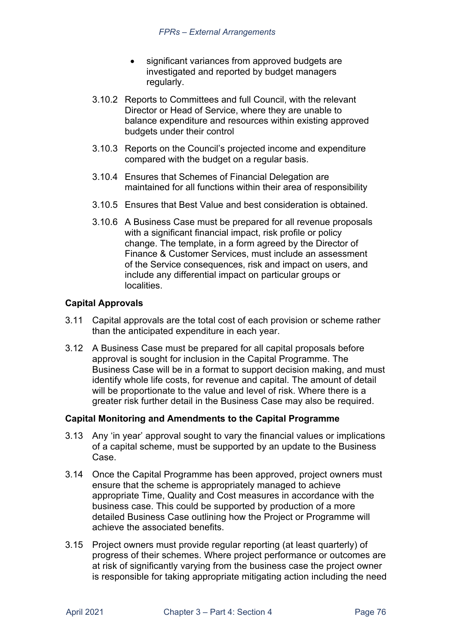- significant variances from approved budgets are investigated and reported by budget managers regularly.
- 3.10.2 Reports to Committees and full Council, with the relevant Director or Head of Service, where they are unable to balance expenditure and resources within existing approved budgets under their control
- 3.10.3 Reports on the Council's projected income and expenditure compared with the budget on a regular basis.
- 3.10.4 Ensures that Schemes of Financial Delegation are maintained for all functions within their area of responsibility
- 3.10.5 Ensures that Best Value and best consideration is obtained.
- 3.10.6 A Business Case must be prepared for all revenue proposals with a significant financial impact, risk profile or policy change. The template, in a form agreed by the Director of Finance & Customer Services, must include an assessment of the Service consequences, risk and impact on users, and include any differential impact on particular groups or localities.

# **Capital Approvals**

- 3.11 Capital approvals are the total cost of each provision or scheme rather than the anticipated expenditure in each year.
- 3.12 A Business Case must be prepared for all capital proposals before approval is sought for inclusion in the Capital Programme. The Business Case will be in a format to support decision making, and must identify whole life costs, for revenue and capital. The amount of detail will be proportionate to the value and level of risk. Where there is a greater risk further detail in the Business Case may also be required.

## **Capital Monitoring and Amendments to the Capital Programme**

- 3.13 Any 'in year' approval sought to vary the financial values or implications of a capital scheme, must be supported by an update to the Business Case.
- 3.14 Once the Capital Programme has been approved, project owners must ensure that the scheme is appropriately managed to achieve appropriate Time, Quality and Cost measures in accordance with the business case. This could be supported by production of a more detailed Business Case outlining how the Project or Programme will achieve the associated benefits.
- 3.15 Project owners must provide regular reporting (at least quarterly) of progress of their schemes. Where project performance or outcomes are at risk of significantly varying from the business case the project owner is responsible for taking appropriate mitigating action including the need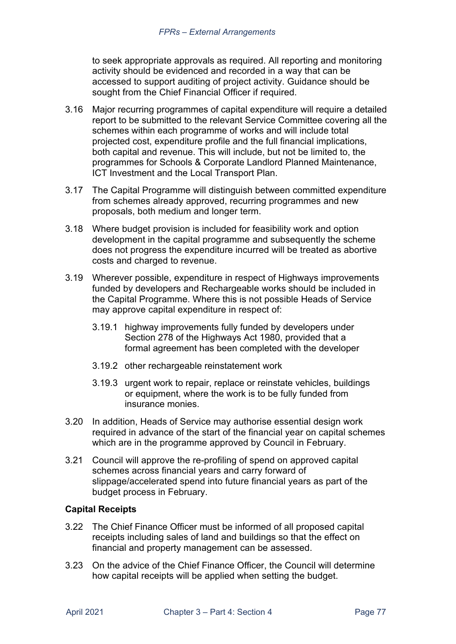to seek appropriate approvals as required. All reporting and monitoring activity should be evidenced and recorded in a way that can be accessed to support auditing of project activity. Guidance should be sought from the Chief Financial Officer if required.

- 3.16 Major recurring programmes of capital expenditure will require a detailed report to be submitted to the relevant Service Committee covering all the schemes within each programme of works and will include total projected cost, expenditure profile and the full financial implications, both capital and revenue. This will include, but not be limited to, the programmes for Schools & Corporate Landlord Planned Maintenance, ICT Investment and the Local Transport Plan.
- 3.17 The Capital Programme will distinguish between committed expenditure from schemes already approved, recurring programmes and new proposals, both medium and longer term.
- 3.18 Where budget provision is included for feasibility work and option development in the capital programme and subsequently the scheme does not progress the expenditure incurred will be treated as abortive costs and charged to revenue.
- 3.19 Wherever possible, expenditure in respect of Highways improvements funded by developers and Rechargeable works should be included in the Capital Programme. Where this is not possible Heads of Service may approve capital expenditure in respect of:
	- 3.19.1 highway improvements fully funded by developers under Section 278 of the Highways Act 1980, provided that a formal agreement has been completed with the developer
	- 3.19.2 other rechargeable reinstatement work
	- 3.19.3 urgent work to repair, replace or reinstate vehicles, buildings or equipment, where the work is to be fully funded from insurance monies.
- 3.20 In addition, Heads of Service may authorise essential design work required in advance of the start of the financial year on capital schemes which are in the programme approved by Council in February.
- 3.21 Council will approve the re-profiling of spend on approved capital schemes across financial years and carry forward of slippage/accelerated spend into future financial years as part of the budget process in February.

# **Capital Receipts**

- 3.22 The Chief Finance Officer must be informed of all proposed capital receipts including sales of land and buildings so that the effect on financial and property management can be assessed.
- 3.23 On the advice of the Chief Finance Officer, the Council will determine how capital receipts will be applied when setting the budget.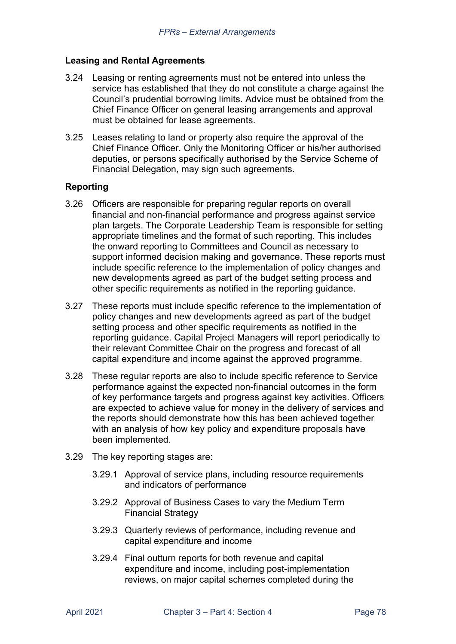# **Leasing and Rental Agreements**

- 3.24 Leasing or renting agreements must not be entered into unless the service has established that they do not constitute a charge against the Council's prudential borrowing limits. Advice must be obtained from the Chief Finance Officer on general leasing arrangements and approval must be obtained for lease agreements.
- 3.25 Leases relating to land or property also require the approval of the Chief Finance Officer. Only the Monitoring Officer or his/her authorised deputies, or persons specifically authorised by the Service Scheme of Financial Delegation, may sign such agreements.

# **Reporting**

- 3.26 Officers are responsible for preparing regular reports on overall financial and non-financial performance and progress against service plan targets. The Corporate Leadership Team is responsible for setting appropriate timelines and the format of such reporting. This includes the onward reporting to Committees and Council as necessary to support informed decision making and governance. These reports must include specific reference to the implementation of policy changes and new developments agreed as part of the budget setting process and other specific requirements as notified in the reporting guidance.
- 3.27 These reports must include specific reference to the implementation of policy changes and new developments agreed as part of the budget setting process and other specific requirements as notified in the reporting guidance. Capital Project Managers will report periodically to their relevant Committee Chair on the progress and forecast of all capital expenditure and income against the approved programme.
- 3.28 These regular reports are also to include specific reference to Service performance against the expected non-financial outcomes in the form of key performance targets and progress against key activities. Officers are expected to achieve value for money in the delivery of services and the reports should demonstrate how this has been achieved together with an analysis of how key policy and expenditure proposals have been implemented.
- 3.29 The key reporting stages are:
	- 3.29.1 Approval of service plans, including resource requirements and indicators of performance
	- 3.29.2 Approval of Business Cases to vary the Medium Term Financial Strategy
	- 3.29.3 Quarterly reviews of performance, including revenue and capital expenditure and income
	- 3.29.4 Final outturn reports for both revenue and capital expenditure and income, including post-implementation reviews, on major capital schemes completed during the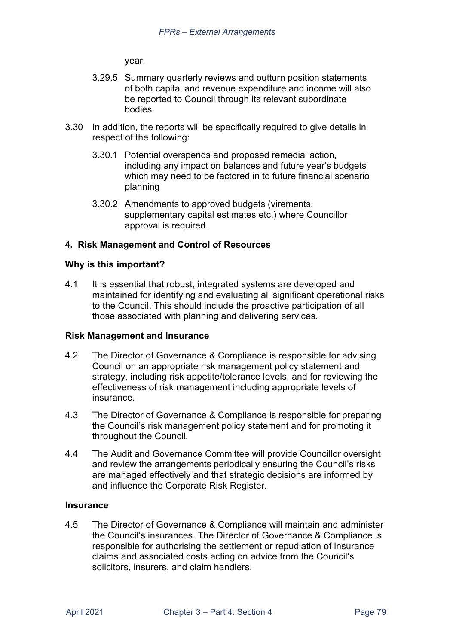year.

- 3.29.5 Summary quarterly reviews and outturn position statements of both capital and revenue expenditure and income will also be reported to Council through its relevant subordinate bodies.
- 3.30 In addition, the reports will be specifically required to give details in respect of the following:
	- 3.30.1 Potential overspends and proposed remedial action, including any impact on balances and future year's budgets which may need to be factored in to future financial scenario planning
	- 3.30.2 Amendments to approved budgets (virements, supplementary capital estimates etc.) where Councillor approval is required.

# **4. Risk Management and Control of Resources**

## **Why is this important?**

4.1 It is essential that robust, integrated systems are developed and maintained for identifying and evaluating all significant operational risks to the Council. This should include the proactive participation of all those associated with planning and delivering services.

## **Risk Management and Insurance**

- 4.2 The Director of Governance & Compliance is responsible for advising Council on an appropriate risk management policy statement and strategy, including risk appetite/tolerance levels, and for reviewing the effectiveness of risk management including appropriate levels of insurance.
- 4.3 The Director of Governance & Compliance is responsible for preparing the Council's risk management policy statement and for promoting it throughout the Council.
- 4.4 The Audit and Governance Committee will provide Councillor oversight and review the arrangements periodically ensuring the Council's risks are managed effectively and that strategic decisions are informed by and influence the Corporate Risk Register.

## **Insurance**

4.5 The Director of Governance & Compliance will maintain and administer the Council's insurances. The Director of Governance & Compliance is responsible for authorising the settlement or repudiation of insurance claims and associated costs acting on advice from the Council's solicitors, insurers, and claim handlers.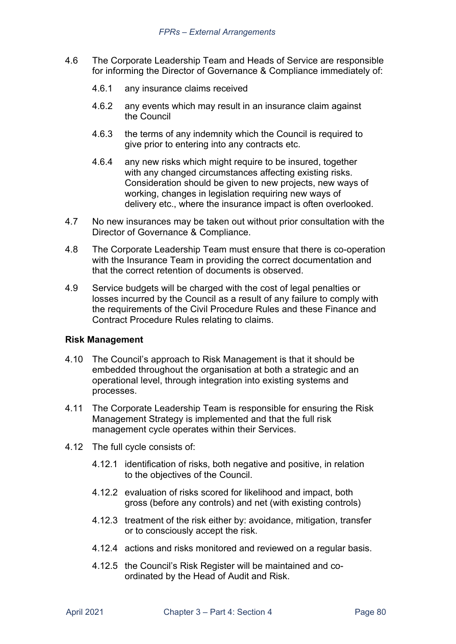- 4.6 The Corporate Leadership Team and Heads of Service are responsible for informing the Director of Governance & Compliance immediately of:
	- 4.6.1 any insurance claims received
	- 4.6.2 any events which may result in an insurance claim against the Council
	- 4.6.3 the terms of any indemnity which the Council is required to give prior to entering into any contracts etc.
	- 4.6.4 any new risks which might require to be insured, together with any changed circumstances affecting existing risks. Consideration should be given to new projects, new ways of working, changes in legislation requiring new ways of delivery etc., where the insurance impact is often overlooked.
- 4.7 No new insurances may be taken out without prior consultation with the Director of Governance & Compliance.
- 4.8 The Corporate Leadership Team must ensure that there is co-operation with the Insurance Team in providing the correct documentation and that the correct retention of documents is observed.
- 4.9 Service budgets will be charged with the cost of legal penalties or losses incurred by the Council as a result of any failure to comply with the requirements of the Civil Procedure Rules and these Finance and Contract Procedure Rules relating to claims.

## **Risk Management**

- 4.10 The Council's approach to Risk Management is that it should be embedded throughout the organisation at both a strategic and an operational level, through integration into existing systems and processes.
- 4.11 The Corporate Leadership Team is responsible for ensuring the Risk Management Strategy is implemented and that the full risk management cycle operates within their Services.
- 4.12 The full cycle consists of:
	- 4.12.1 identification of risks, both negative and positive, in relation to the objectives of the Council.
	- 4.12.2 evaluation of risks scored for likelihood and impact, both gross (before any controls) and net (with existing controls)
	- 4.12.3 treatment of the risk either by: avoidance, mitigation, transfer or to consciously accept the risk.
	- 4.12.4 actions and risks monitored and reviewed on a regular basis.
	- 4.12.5 the Council's Risk Register will be maintained and coordinated by the Head of Audit and Risk.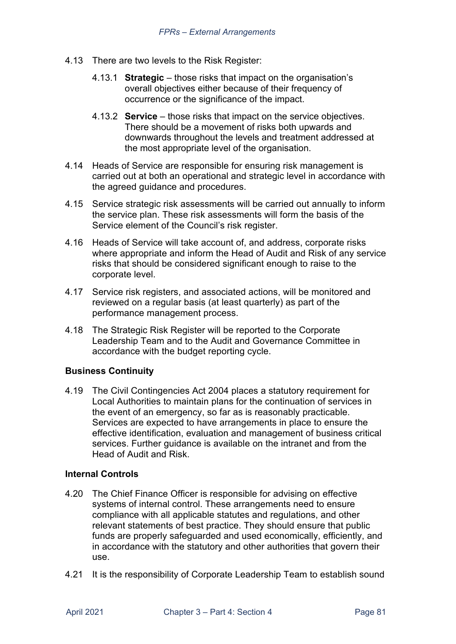- 4.13 There are two levels to the Risk Register:
	- 4.13.1 **Strategic** those risks that impact on the organisation's overall objectives either because of their frequency of occurrence or the significance of the impact.
	- 4.13.2 **Service** those risks that impact on the service objectives. There should be a movement of risks both upwards and downwards throughout the levels and treatment addressed at the most appropriate level of the organisation.
- 4.14 Heads of Service are responsible for ensuring risk management is carried out at both an operational and strategic level in accordance with the agreed guidance and procedures.
- 4.15 Service strategic risk assessments will be carried out annually to inform the service plan. These risk assessments will form the basis of the Service element of the Council's risk register.
- 4.16 Heads of Service will take account of, and address, corporate risks where appropriate and inform the Head of Audit and Risk of any service risks that should be considered significant enough to raise to the corporate level.
- 4.17 Service risk registers, and associated actions, will be monitored and reviewed on a regular basis (at least quarterly) as part of the performance management process.
- 4.18 The Strategic Risk Register will be reported to the Corporate Leadership Team and to the Audit and Governance Committee in accordance with the budget reporting cycle.

# **Business Continuity**

4.19 The Civil Contingencies Act 2004 places a statutory requirement for Local Authorities to maintain plans for the continuation of services in the event of an emergency, so far as is reasonably practicable. Services are expected to have arrangements in place to ensure the effective identification, evaluation and management of business critical services. Further guidance is available on the intranet and from the Head of Audit and Risk.

# **Internal Controls**

- 4.20 The Chief Finance Officer is responsible for advising on effective systems of internal control. These arrangements need to ensure compliance with all applicable statutes and regulations, and other relevant statements of best practice. They should ensure that public funds are properly safeguarded and used economically, efficiently, and in accordance with the statutory and other authorities that govern their use.
- 4.21 It is the responsibility of Corporate Leadership Team to establish sound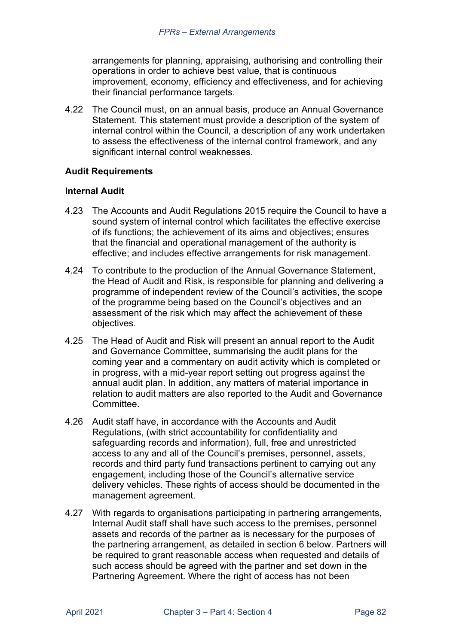arrangements for planning, appraising, authorising and controlling their operations in order to achieve best value, that is continuous improvement, economy, efficiency and effectiveness, and for achieving their financial performance targets.

4.22 The Council must, on an annual basis, produce an Annual Governance Statement. This statement must provide a description of the system of internal control within the Council, a description of any work undertaken to assess the effectiveness of the internal control framework, and any significant internal control weaknesses.

# **Audit Requirements**

# **Internal Audit**

- 4.23 The Accounts and Audit Regulations 2015 require the Council to have a sound system of internal control which facilitates the effective exercise of ifs functions; the achievement of its aims and objectives; ensures that the financial and operational management of the authority is effective; and includes effective arrangements for risk management.
- 4.24 To contribute to the production of the Annual Governance Statement, the Head of Audit and Risk, is responsible for planning and delivering a programme of independent review of the Council's activities, the scope of the programme being based on the Council's objectives and an assessment of the risk which may affect the achievement of these objectives.
- 4.25 The Head of Audit and Risk will present an annual report to the Audit and Governance Committee, summarising the audit plans for the coming year and a commentary on audit activity which is completed or in progress, with a mid-year report setting out progress against the annual audit plan. In addition, any matters of material importance in relation to audit matters are also reported to the Audit and Governance **Committee.**
- 4.26 Audit staff have, in accordance with the Accounts and Audit Regulations, (with strict accountability for confidentiality and safeguarding records and information), full, free and unrestricted access to any and all of the Council's premises, personnel, assets, records and third party fund transactions pertinent to carrying out any engagement, including those of the Council's alternative service delivery vehicles. These rights of access should be documented in the management agreement.
- 4.27 With regards to organisations participating in partnering arrangements, Internal Audit staff shall have such access to the premises, personnel assets and records of the partner as is necessary for the purposes of the partnering arrangement, as detailed in section 6 below. Partners will be required to grant reasonable access when requested and details of such access should be agreed with the partner and set down in the Partnering Agreement. Where the right of access has not been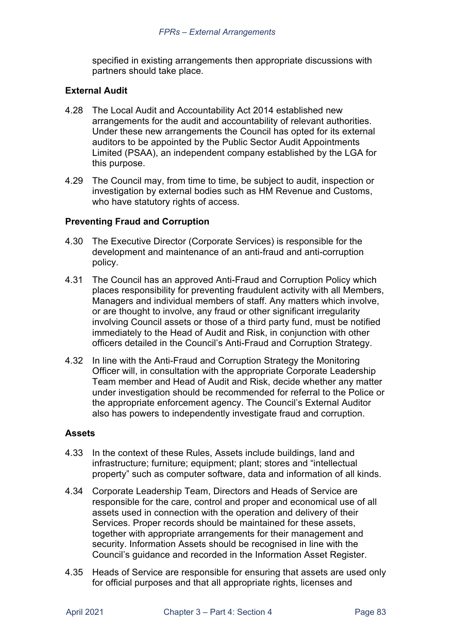specified in existing arrangements then appropriate discussions with partners should take place.

# **External Audit**

- 4.28 The Local Audit and Accountability Act 2014 established new arrangements for the audit and accountability of relevant authorities. Under these new arrangements the Council has opted for its external auditors to be appointed by the Public Sector Audit Appointments Limited (PSAA), an independent company established by the LGA for this purpose.
- 4.29 The Council may, from time to time, be subject to audit, inspection or investigation by external bodies such as HM Revenue and Customs, who have statutory rights of access.

# **Preventing Fraud and Corruption**

- 4.30 The Executive Director (Corporate Services) is responsible for the development and maintenance of an anti-fraud and anti-corruption policy.
- 4.31 The Council has an approved Anti-Fraud and Corruption Policy which places responsibility for preventing fraudulent activity with all Members, Managers and individual members of staff. Any matters which involve, or are thought to involve, any fraud or other significant irregularity involving Council assets or those of a third party fund, must be notified immediately to the Head of Audit and Risk, in conjunction with other officers detailed in the Council's Anti-Fraud and Corruption Strategy.
- 4.32 In line with the Anti-Fraud and Corruption Strategy the Monitoring Officer will, in consultation with the appropriate Corporate Leadership Team member and Head of Audit and Risk, decide whether any matter under investigation should be recommended for referral to the Police or the appropriate enforcement agency. The Council's External Auditor also has powers to independently investigate fraud and corruption.

## **Assets**

- 4.33 In the context of these Rules, Assets include buildings, land and infrastructure; furniture; equipment; plant; stores and "intellectual property" such as computer software, data and information of all kinds.
- 4.34 Corporate Leadership Team, Directors and Heads of Service are responsible for the care, control and proper and economical use of all assets used in connection with the operation and delivery of their Services. Proper records should be maintained for these assets, together with appropriate arrangements for their management and security. Information Assets should be recognised in line with the Council's guidance and recorded in the Information Asset Register.
- 4.35 Heads of Service are responsible for ensuring that assets are used only for official purposes and that all appropriate rights, licenses and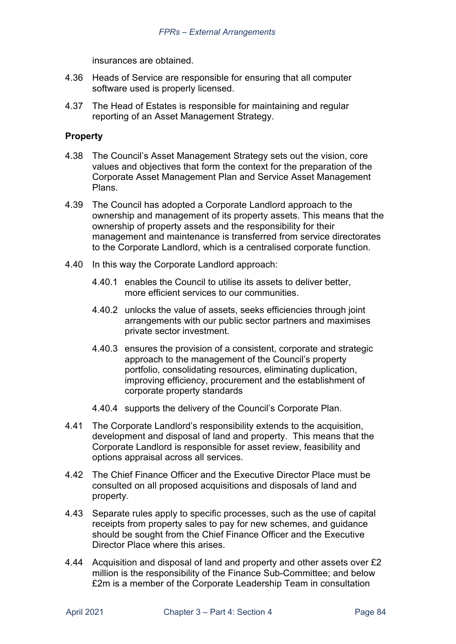insurances are obtained.

- 4.36 Heads of Service are responsible for ensuring that all computer software used is properly licensed.
- 4.37 The Head of Estates is responsible for maintaining and regular reporting of an Asset Management Strategy.

## **Property**

- 4.38 The Council's Asset Management Strategy sets out the vision, core values and objectives that form the context for the preparation of the Corporate Asset Management Plan and Service Asset Management Plans.
- 4.39 The Council has adopted a Corporate Landlord approach to the ownership and management of its property assets. This means that the ownership of property assets and the responsibility for their management and maintenance is transferred from service directorates to the Corporate Landlord, which is a centralised corporate function.
- 4.40 In this way the Corporate Landlord approach:
	- 4.40.1 enables the Council to utilise its assets to deliver better, more efficient services to our communities.
	- 4.40.2 unlocks the value of assets, seeks efficiencies through joint arrangements with our public sector partners and maximises private sector investment.
	- 4.40.3 ensures the provision of a consistent, corporate and strategic approach to the management of the Council's property portfolio, consolidating resources, eliminating duplication, improving efficiency, procurement and the establishment of corporate property standards
	- 4.40.4 supports the delivery of the Council's Corporate Plan.
- 4.41 The Corporate Landlord's responsibility extends to the acquisition, development and disposal of land and property. This means that the Corporate Landlord is responsible for asset review, feasibility and options appraisal across all services.
- 4.42 The Chief Finance Officer and the Executive Director Place must be consulted on all proposed acquisitions and disposals of land and property.
- 4.43 Separate rules apply to specific processes, such as the use of capital receipts from property sales to pay for new schemes, and guidance should be sought from the Chief Finance Officer and the Executive Director Place where this arises.
- 4.44 Acquisition and disposal of land and property and other assets over £2 million is the responsibility of the Finance Sub-Committee; and below £2m is a member of the Corporate Leadership Team in consultation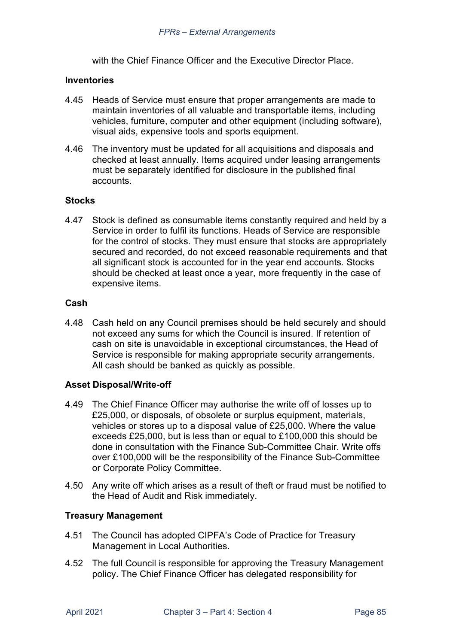with the Chief Finance Officer and the Executive Director Place.

## **Inventories**

- 4.45 Heads of Service must ensure that proper arrangements are made to maintain inventories of all valuable and transportable items, including vehicles, furniture, computer and other equipment (including software), visual aids, expensive tools and sports equipment.
- 4.46 The inventory must be updated for all acquisitions and disposals and checked at least annually. Items acquired under leasing arrangements must be separately identified for disclosure in the published final accounts.

# **Stocks**

4.47 Stock is defined as consumable items constantly required and held by a Service in order to fulfil its functions. Heads of Service are responsible for the control of stocks. They must ensure that stocks are appropriately secured and recorded, do not exceed reasonable requirements and that all significant stock is accounted for in the year end accounts. Stocks should be checked at least once a year, more frequently in the case of expensive items.

## **Cash**

4.48 Cash held on any Council premises should be held securely and should not exceed any sums for which the Council is insured. If retention of cash on site is unavoidable in exceptional circumstances, the Head of Service is responsible for making appropriate security arrangements. All cash should be banked as quickly as possible.

# **Asset Disposal/Write-off**

- 4.49 The Chief Finance Officer may authorise the write off of losses up to £25,000, or disposals, of obsolete or surplus equipment, materials, vehicles or stores up to a disposal value of £25,000. Where the value exceeds £25,000, but is less than or equal to £100,000 this should be done in consultation with the Finance Sub-Committee Chair. Write offs over £100,000 will be the responsibility of the Finance Sub-Committee or Corporate Policy Committee.
- 4.50 Any write off which arises as a result of theft or fraud must be notified to the Head of Audit and Risk immediately.

# **Treasury Management**

- 4.51 The Council has adopted CIPFA's Code of Practice for Treasury Management in Local Authorities.
- 4.52 The full Council is responsible for approving the Treasury Management policy. The Chief Finance Officer has delegated responsibility for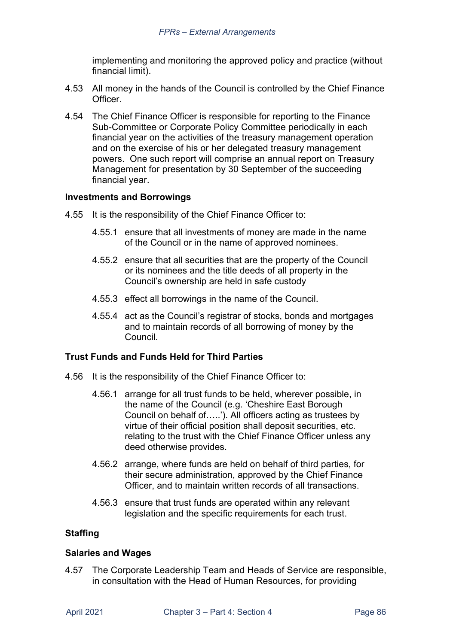implementing and monitoring the approved policy and practice (without financial limit).

- 4.53 All money in the hands of the Council is controlled by the Chief Finance **Officer**
- 4.54 The Chief Finance Officer is responsible for reporting to the Finance Sub-Committee or Corporate Policy Committee periodically in each financial year on the activities of the treasury management operation and on the exercise of his or her delegated treasury management powers. One such report will comprise an annual report on Treasury Management for presentation by 30 September of the succeeding financial year.

## **Investments and Borrowings**

- 4.55 It is the responsibility of the Chief Finance Officer to:
	- 4.55.1 ensure that all investments of money are made in the name of the Council or in the name of approved nominees.
	- 4.55.2 ensure that all securities that are the property of the Council or its nominees and the title deeds of all property in the Council's ownership are held in safe custody
	- 4.55.3 effect all borrowings in the name of the Council.
	- 4.55.4 act as the Council's registrar of stocks, bonds and mortgages and to maintain records of all borrowing of money by the Council.

## **Trust Funds and Funds Held for Third Parties**

- 4.56 It is the responsibility of the Chief Finance Officer to:
	- 4.56.1 arrange for all trust funds to be held, wherever possible, in the name of the Council (e.g. 'Cheshire East Borough Council on behalf of…..'). All officers acting as trustees by virtue of their official position shall deposit securities, etc. relating to the trust with the Chief Finance Officer unless any deed otherwise provides.
	- 4.56.2 arrange, where funds are held on behalf of third parties, for their secure administration, approved by the Chief Finance Officer, and to maintain written records of all transactions.
	- 4.56.3 ensure that trust funds are operated within any relevant legislation and the specific requirements for each trust.

## **Staffing**

## **Salaries and Wages**

4.57 The Corporate Leadership Team and Heads of Service are responsible, in consultation with the Head of Human Resources, for providing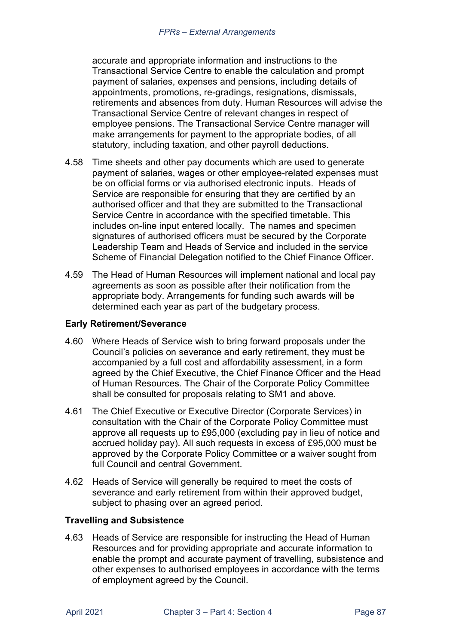accurate and appropriate information and instructions to the Transactional Service Centre to enable the calculation and prompt payment of salaries, expenses and pensions, including details of appointments, promotions, re-gradings, resignations, dismissals, retirements and absences from duty. Human Resources will advise the Transactional Service Centre of relevant changes in respect of employee pensions. The Transactional Service Centre manager will make arrangements for payment to the appropriate bodies, of all statutory, including taxation, and other payroll deductions.

- 4.58 Time sheets and other pay documents which are used to generate payment of salaries, wages or other employee-related expenses must be on official forms or via authorised electronic inputs. Heads of Service are responsible for ensuring that they are certified by an authorised officer and that they are submitted to the Transactional Service Centre in accordance with the specified timetable. This includes on-line input entered locally. The names and specimen signatures of authorised officers must be secured by the Corporate Leadership Team and Heads of Service and included in the service Scheme of Financial Delegation notified to the Chief Finance Officer.
- 4.59 The Head of Human Resources will implement national and local pay agreements as soon as possible after their notification from the appropriate body. Arrangements for funding such awards will be determined each year as part of the budgetary process.

## **Early Retirement/Severance**

- 4.60 Where Heads of Service wish to bring forward proposals under the Council's policies on severance and early retirement, they must be accompanied by a full cost and affordability assessment, in a form agreed by the Chief Executive, the Chief Finance Officer and the Head of Human Resources. The Chair of the Corporate Policy Committee shall be consulted for proposals relating to SM1 and above.
- 4.61 The Chief Executive or Executive Director (Corporate Services) in consultation with the Chair of the Corporate Policy Committee must approve all requests up to £95,000 (excluding pay in lieu of notice and accrued holiday pay). All such requests in excess of £95,000 must be approved by the Corporate Policy Committee or a waiver sought from full Council and central Government.
- 4.62 Heads of Service will generally be required to meet the costs of severance and early retirement from within their approved budget, subject to phasing over an agreed period.

## **Travelling and Subsistence**

4.63 Heads of Service are responsible for instructing the Head of Human Resources and for providing appropriate and accurate information to enable the prompt and accurate payment of travelling, subsistence and other expenses to authorised employees in accordance with the terms of employment agreed by the Council.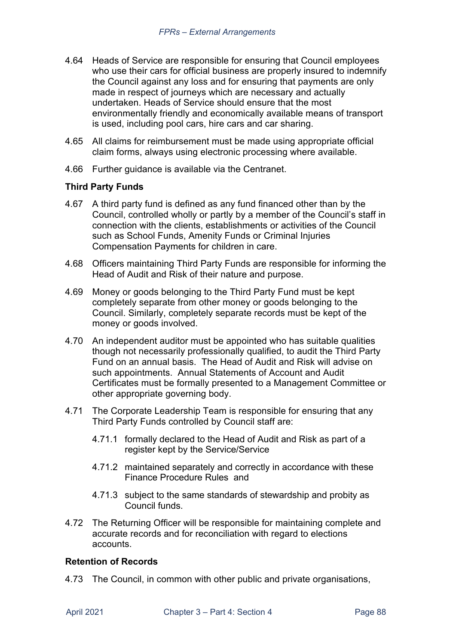- 4.64 Heads of Service are responsible for ensuring that Council employees who use their cars for official business are properly insured to indemnify the Council against any loss and for ensuring that payments are only made in respect of journeys which are necessary and actually undertaken. Heads of Service should ensure that the most environmentally friendly and economically available means of transport is used, including pool cars, hire cars and car sharing.
- 4.65 All claims for reimbursement must be made using appropriate official claim forms, always using electronic processing where available.
- 4.66 Further guidance is available via the Centranet.

# **Third Party Funds**

- 4.67 A third party fund is defined as any fund financed other than by the Council, controlled wholly or partly by a member of the Council's staff in connection with the clients, establishments or activities of the Council such as School Funds, Amenity Funds or Criminal Injuries Compensation Payments for children in care.
- 4.68 Officers maintaining Third Party Funds are responsible for informing the Head of Audit and Risk of their nature and purpose.
- 4.69 Money or goods belonging to the Third Party Fund must be kept completely separate from other money or goods belonging to the Council. Similarly, completely separate records must be kept of the money or goods involved.
- 4.70 An independent auditor must be appointed who has suitable qualities though not necessarily professionally qualified, to audit the Third Party Fund on an annual basis. The Head of Audit and Risk will advise on such appointments. Annual Statements of Account and Audit Certificates must be formally presented to a Management Committee or other appropriate governing body.
- 4.71 The Corporate Leadership Team is responsible for ensuring that any Third Party Funds controlled by Council staff are:
	- 4.71.1 formally declared to the Head of Audit and Risk as part of a register kept by the Service/Service
	- 4.71.2 maintained separately and correctly in accordance with these Finance Procedure Rules and
	- 4.71.3 subject to the same standards of stewardship and probity as Council funds.
- 4.72 The Returning Officer will be responsible for maintaining complete and accurate records and for reconciliation with regard to elections accounts.

# **Retention of Records**

4.73 The Council, in common with other public and private organisations,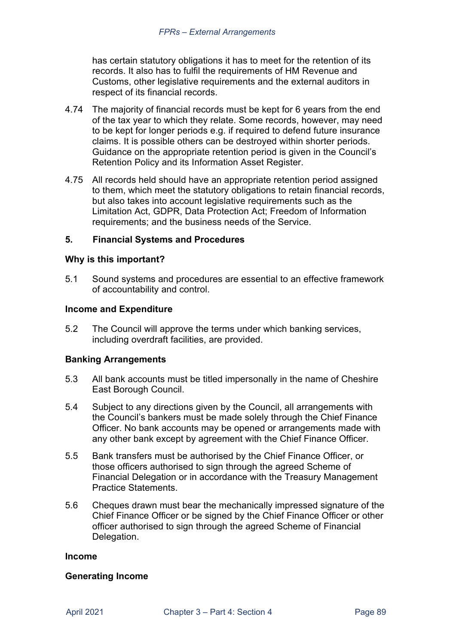has certain statutory obligations it has to meet for the retention of its records. It also has to fulfil the requirements of HM Revenue and Customs, other legislative requirements and the external auditors in respect of its financial records.

- 4.74 The majority of financial records must be kept for 6 years from the end of the tax year to which they relate. Some records, however, may need to be kept for longer periods e.g. if required to defend future insurance claims. It is possible others can be destroyed within shorter periods. Guidance on the appropriate retention period is given in the Council's Retention Policy and its Information Asset Register.
- 4.75 All records held should have an appropriate retention period assigned to them, which meet the statutory obligations to retain financial records, but also takes into account legislative requirements such as the Limitation Act, GDPR, Data Protection Act; Freedom of Information requirements; and the business needs of the Service.

## **5. Financial Systems and Procedures**

## **Why is this important?**

5.1 Sound systems and procedures are essential to an effective framework of accountability and control.

## **Income and Expenditure**

5.2 The Council will approve the terms under which banking services, including overdraft facilities, are provided.

## **Banking Arrangements**

- 5.3 All bank accounts must be titled impersonally in the name of Cheshire East Borough Council.
- 5.4 Subject to any directions given by the Council, all arrangements with the Council's bankers must be made solely through the Chief Finance Officer. No bank accounts may be opened or arrangements made with any other bank except by agreement with the Chief Finance Officer.
- 5.5 Bank transfers must be authorised by the Chief Finance Officer, or those officers authorised to sign through the agreed Scheme of Financial Delegation or in accordance with the Treasury Management Practice Statements.
- 5.6 Cheques drawn must bear the mechanically impressed signature of the Chief Finance Officer or be signed by the Chief Finance Officer or other officer authorised to sign through the agreed Scheme of Financial Delegation.

#### **Income**

## **Generating Income**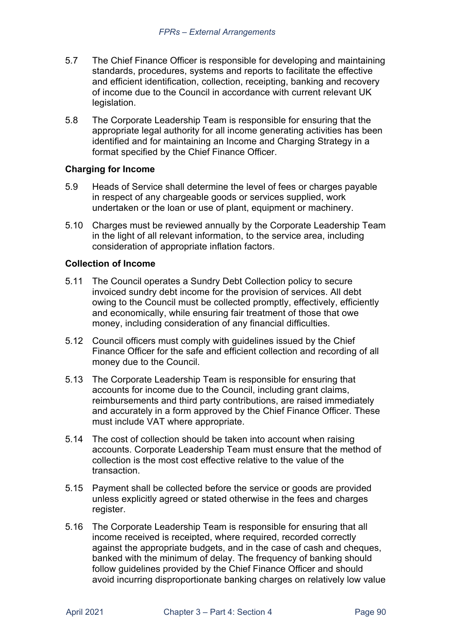- 5.7 The Chief Finance Officer is responsible for developing and maintaining standards, procedures, systems and reports to facilitate the effective and efficient identification, collection, receipting, banking and recovery of income due to the Council in accordance with current relevant UK legislation.
- 5.8 The Corporate Leadership Team is responsible for ensuring that the appropriate legal authority for all income generating activities has been identified and for maintaining an Income and Charging Strategy in a format specified by the Chief Finance Officer.

# **Charging for Income**

- 5.9 Heads of Service shall determine the level of fees or charges payable in respect of any chargeable goods or services supplied, work undertaken or the loan or use of plant, equipment or machinery.
- 5.10 Charges must be reviewed annually by the Corporate Leadership Team in the light of all relevant information, to the service area, including consideration of appropriate inflation factors.

# **Collection of Income**

- 5.11 The Council operates a Sundry Debt Collection policy to secure invoiced sundry debt income for the provision of services. All debt owing to the Council must be collected promptly, effectively, efficiently and economically, while ensuring fair treatment of those that owe money, including consideration of any financial difficulties.
- 5.12 Council officers must comply with guidelines issued by the Chief Finance Officer for the safe and efficient collection and recording of all money due to the Council.
- 5.13 The Corporate Leadership Team is responsible for ensuring that accounts for income due to the Council, including grant claims, reimbursements and third party contributions, are raised immediately and accurately in a form approved by the Chief Finance Officer. These must include VAT where appropriate.
- 5.14 The cost of collection should be taken into account when raising accounts. Corporate Leadership Team must ensure that the method of collection is the most cost effective relative to the value of the transaction.
- 5.15 Payment shall be collected before the service or goods are provided unless explicitly agreed or stated otherwise in the fees and charges register.
- 5.16 The Corporate Leadership Team is responsible for ensuring that all income received is receipted, where required, recorded correctly against the appropriate budgets, and in the case of cash and cheques, banked with the minimum of delay. The frequency of banking should follow guidelines provided by the Chief Finance Officer and should avoid incurring disproportionate banking charges on relatively low value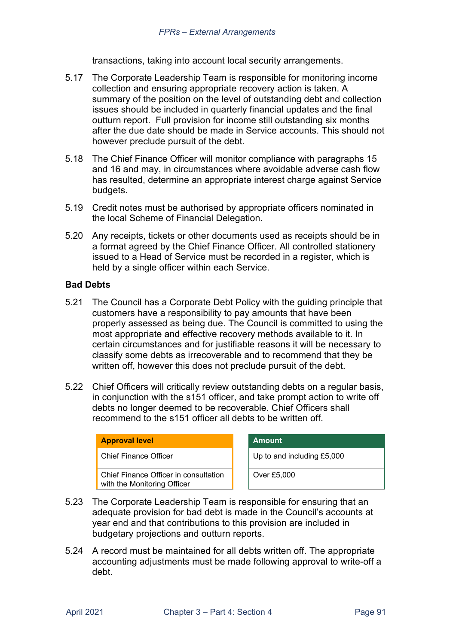transactions, taking into account local security arrangements.

- 5.17 The Corporate Leadership Team is responsible for monitoring income collection and ensuring appropriate recovery action is taken. A summary of the position on the level of outstanding debt and collection issues should be included in quarterly financial updates and the final outturn report. Full provision for income still outstanding six months after the due date should be made in Service accounts. This should not however preclude pursuit of the debt.
- 5.18 The Chief Finance Officer will monitor compliance with paragraphs 15 and 16 and may, in circumstances where avoidable adverse cash flow has resulted, determine an appropriate interest charge against Service budgets.
- 5.19 Credit notes must be authorised by appropriate officers nominated in the local Scheme of Financial Delegation.
- 5.20 Any receipts, tickets or other documents used as receipts should be in a format agreed by the Chief Finance Officer. All controlled stationery issued to a Head of Service must be recorded in a register, which is held by a single officer within each Service.

# **Bad Debts**

- 5.21 The Council has a Corporate Debt Policy with the guiding principle that customers have a responsibility to pay amounts that have been properly assessed as being due. The Council is committed to using the most appropriate and effective recovery methods available to it. In certain circumstances and for justifiable reasons it will be necessary to classify some debts as irrecoverable and to recommend that they be written off, however this does not preclude pursuit of the debt.
- 5.22 Chief Officers will critically review outstanding debts on a regular basis, in conjunction with the s151 officer, and take prompt action to write off debts no longer deemed to be recoverable. Chief Officers shall recommend to the s151 officer all debts to be written off.

# **Approval level Amount**

Chief Finance Officer in consultation with the Monitoring Officer

| <b>Amount</b> |  |
|---------------|--|
|               |  |
|               |  |

Chief Finance Officer **Up to and including £5,000** 

Over £5,000

- 5.23 The Corporate Leadership Team is responsible for ensuring that an adequate provision for bad debt is made in the Council's accounts at year end and that contributions to this provision are included in budgetary projections and outturn reports.
- 5.24 A record must be maintained for all debts written off. The appropriate accounting adjustments must be made following approval to write-off a debt.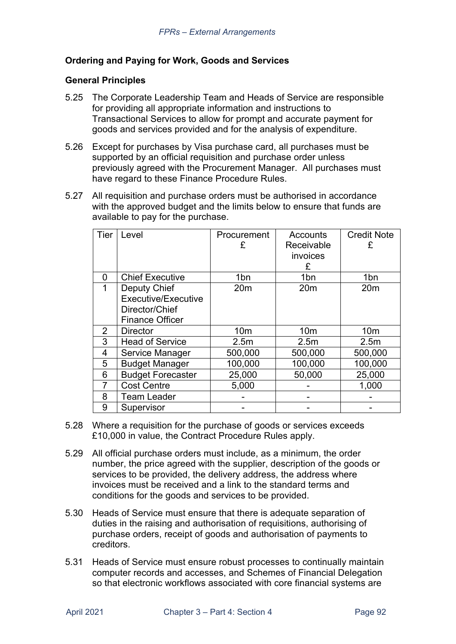# **Ordering and Paying for Work, Goods and Services**

## **General Principles**

- 5.25 The Corporate Leadership Team and Heads of Service are responsible for providing all appropriate information and instructions to Transactional Services to allow for prompt and accurate payment for goods and services provided and for the analysis of expenditure.
- 5.26 Except for purchases by Visa purchase card, all purchases must be supported by an official requisition and purchase order unless previously agreed with the Procurement Manager. All purchases must have regard to these Finance Procedure Rules.
- 5.27 All requisition and purchase orders must be authorised in accordance with the approved budget and the limits below to ensure that funds are available to pay for the purchase.

| Tier           | Level                    | Procurement      | Accounts         | <b>Credit Note</b> |
|----------------|--------------------------|------------------|------------------|--------------------|
|                |                          | £                | Receivable       | £                  |
|                |                          |                  | invoices         |                    |
|                |                          |                  | £                |                    |
| 0              | <b>Chief Executive</b>   | 1 <sub>bn</sub>  | 1 <sub>bn</sub>  | 1 <sub>bn</sub>    |
| 1              | Deputy Chief             | 20 <sub>m</sub>  | 20 <sub>m</sub>  | 20 <sub>m</sub>    |
|                | Executive/Executive      |                  |                  |                    |
|                | Director/Chief           |                  |                  |                    |
|                | <b>Finance Officer</b>   |                  |                  |                    |
| $\overline{2}$ | <b>Director</b>          | 10 <sub>m</sub>  | 10 <sub>m</sub>  | 10 <sub>m</sub>    |
| 3              | <b>Head of Service</b>   | 2.5 <sub>m</sub> | 2.5 <sub>m</sub> | 2.5 <sub>m</sub>   |
| 4              | Service Manager          | 500,000          | 500,000          | 500,000            |
| 5              | <b>Budget Manager</b>    | 100,000          | 100,000          | 100,000            |
| 6              | <b>Budget Forecaster</b> | 25,000           | 50,000           | 25,000             |
| $\overline{7}$ | <b>Cost Centre</b>       | 5,000            |                  | 1,000              |
| 8              | <b>Team Leader</b>       |                  |                  |                    |
| 9              | Supervisor               |                  |                  |                    |

- 5.28 Where a requisition for the purchase of goods or services exceeds £10,000 in value, the Contract Procedure Rules apply.
- 5.29 All official purchase orders must include, as a minimum, the order number, the price agreed with the supplier, description of the goods or services to be provided, the delivery address, the address where invoices must be received and a link to the standard terms and conditions for the goods and services to be provided.
- 5.30 Heads of Service must ensure that there is adequate separation of duties in the raising and authorisation of requisitions, authorising of purchase orders, receipt of goods and authorisation of payments to creditors.
- 5.31 Heads of Service must ensure robust processes to continually maintain computer records and accesses, and Schemes of Financial Delegation so that electronic workflows associated with core financial systems are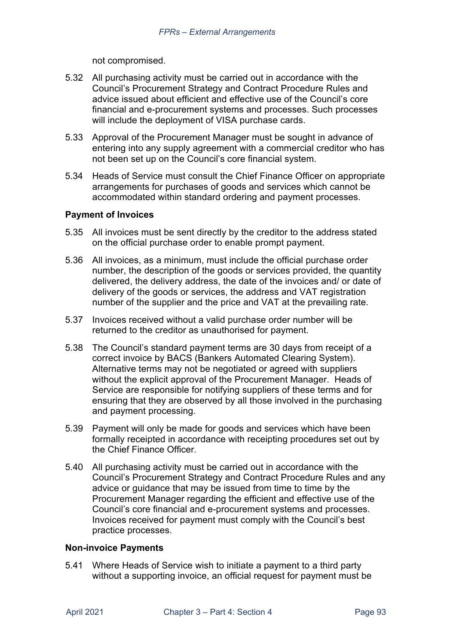not compromised.

- 5.32 All purchasing activity must be carried out in accordance with the Council's Procurement Strategy and Contract Procedure Rules and advice issued about efficient and effective use of the Council's core financial and e-procurement systems and processes. Such processes will include the deployment of VISA purchase cards.
- 5.33 Approval of the Procurement Manager must be sought in advance of entering into any supply agreement with a commercial creditor who has not been set up on the Council's core financial system.
- 5.34 Heads of Service must consult the Chief Finance Officer on appropriate arrangements for purchases of goods and services which cannot be accommodated within standard ordering and payment processes.

# **Payment of Invoices**

- 5.35 All invoices must be sent directly by the creditor to the address stated on the official purchase order to enable prompt payment.
- 5.36 All invoices, as a minimum, must include the official purchase order number, the description of the goods or services provided, the quantity delivered, the delivery address, the date of the invoices and/ or date of delivery of the goods or services, the address and VAT registration number of the supplier and the price and VAT at the prevailing rate.
- 5.37 Invoices received without a valid purchase order number will be returned to the creditor as unauthorised for payment.
- 5.38 The Council's standard payment terms are 30 days from receipt of a correct invoice by BACS (Bankers Automated Clearing System). Alternative terms may not be negotiated or agreed with suppliers without the explicit approval of the Procurement Manager. Heads of Service are responsible for notifying suppliers of these terms and for ensuring that they are observed by all those involved in the purchasing and payment processing.
- 5.39 Payment will only be made for goods and services which have been formally receipted in accordance with receipting procedures set out by the Chief Finance Officer.
- 5.40 All purchasing activity must be carried out in accordance with the Council's Procurement Strategy and Contract Procedure Rules and any advice or guidance that may be issued from time to time by the Procurement Manager regarding the efficient and effective use of the Council's core financial and e-procurement systems and processes. Invoices received for payment must comply with the Council's best practice processes.

## **Non-invoice Payments**

5.41 Where Heads of Service wish to initiate a payment to a third party without a supporting invoice, an official request for payment must be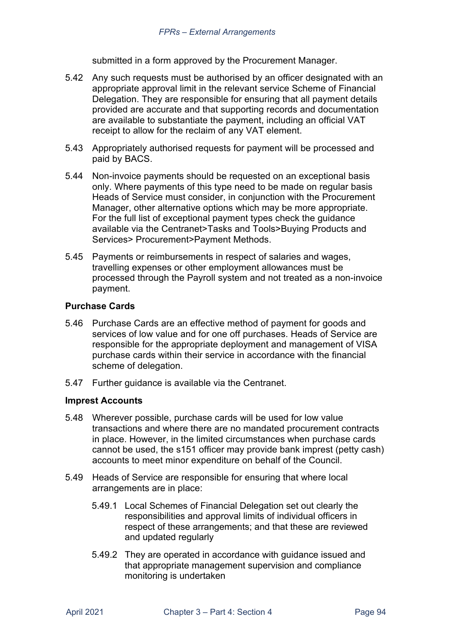submitted in a form approved by the Procurement Manager.

- 5.42 Any such requests must be authorised by an officer designated with an appropriate approval limit in the relevant service Scheme of Financial Delegation. They are responsible for ensuring that all payment details provided are accurate and that supporting records and documentation are available to substantiate the payment, including an official VAT receipt to allow for the reclaim of any VAT element.
- 5.43 Appropriately authorised requests for payment will be processed and paid by BACS.
- 5.44 Non-invoice payments should be requested on an exceptional basis only. Where payments of this type need to be made on regular basis Heads of Service must consider, in conjunction with the Procurement Manager, other alternative options which may be more appropriate. For the full list of exceptional payment types check the guidance available via the Centranet>Tasks and Tools>Buying Products and Services> Procurement>Payment Methods.
- 5.45 Payments or reimbursements in respect of salaries and wages, travelling expenses or other employment allowances must be processed through the Payroll system and not treated as a non-invoice payment.

# **Purchase Cards**

- 5.46 Purchase Cards are an effective method of payment for goods and services of low value and for one off purchases. Heads of Service are responsible for the appropriate deployment and management of VISA purchase cards within their service in accordance with the financial scheme of delegation.
- 5.47 Further guidance is available via the Centranet.

## **Imprest Accounts**

- 5.48 Wherever possible, purchase cards will be used for low value transactions and where there are no mandated procurement contracts in place. However, in the limited circumstances when purchase cards cannot be used, the s151 officer may provide bank imprest (petty cash) accounts to meet minor expenditure on behalf of the Council.
- 5.49 Heads of Service are responsible for ensuring that where local arrangements are in place:
	- 5.49.1 Local Schemes of Financial Delegation set out clearly the responsibilities and approval limits of individual officers in respect of these arrangements; and that these are reviewed and updated regularly
	- 5.49.2 They are operated in accordance with guidance issued and that appropriate management supervision and compliance monitoring is undertaken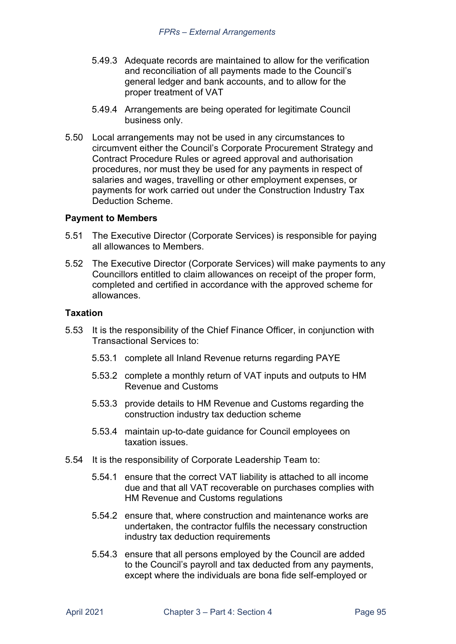- 5.49.3 Adequate records are maintained to allow for the verification and reconciliation of all payments made to the Council's general ledger and bank accounts, and to allow for the proper treatment of VAT
- 5.49.4 Arrangements are being operated for legitimate Council business only.
- 5.50 Local arrangements may not be used in any circumstances to circumvent either the Council's Corporate Procurement Strategy and Contract Procedure Rules or agreed approval and authorisation procedures, nor must they be used for any payments in respect of salaries and wages, travelling or other employment expenses, or payments for work carried out under the Construction Industry Tax Deduction Scheme.

# **Payment to Members**

- 5.51 The Executive Director (Corporate Services) is responsible for paying all allowances to Members.
- 5.52 The Executive Director (Corporate Services) will make payments to any Councillors entitled to claim allowances on receipt of the proper form, completed and certified in accordance with the approved scheme for allowances.

## **Taxation**

- 5.53 It is the responsibility of the Chief Finance Officer, in conjunction with Transactional Services to:
	- 5.53.1 complete all Inland Revenue returns regarding PAYE
	- 5.53.2 complete a monthly return of VAT inputs and outputs to HM Revenue and Customs
	- 5.53.3 provide details to HM Revenue and Customs regarding the construction industry tax deduction scheme
	- 5.53.4 maintain up-to-date guidance for Council employees on taxation issues.
- 5.54 It is the responsibility of Corporate Leadership Team to:
	- 5.54.1 ensure that the correct VAT liability is attached to all income due and that all VAT recoverable on purchases complies with HM Revenue and Customs regulations
	- 5.54.2 ensure that, where construction and maintenance works are undertaken, the contractor fulfils the necessary construction industry tax deduction requirements
	- 5.54.3 ensure that all persons employed by the Council are added to the Council's payroll and tax deducted from any payments, except where the individuals are bona fide self-employed or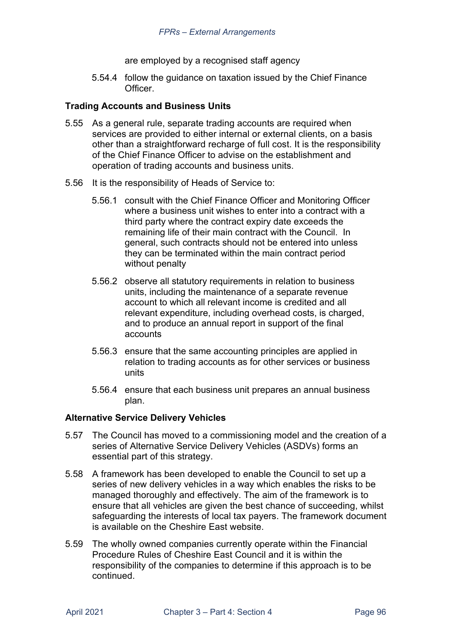are employed by a recognised staff agency

5.54.4 follow the guidance on taxation issued by the Chief Finance **Officer** 

#### **Trading Accounts and Business Units**

- 5.55 As a general rule, separate trading accounts are required when services are provided to either internal or external clients, on a basis other than a straightforward recharge of full cost. It is the responsibility of the Chief Finance Officer to advise on the establishment and operation of trading accounts and business units.
- 5.56 It is the responsibility of Heads of Service to:
	- 5.56.1 consult with the Chief Finance Officer and Monitoring Officer where a business unit wishes to enter into a contract with a third party where the contract expiry date exceeds the remaining life of their main contract with the Council. In general, such contracts should not be entered into unless they can be terminated within the main contract period without penalty
	- 5.56.2 observe all statutory requirements in relation to business units, including the maintenance of a separate revenue account to which all relevant income is credited and all relevant expenditure, including overhead costs, is charged, and to produce an annual report in support of the final accounts
	- 5.56.3 ensure that the same accounting principles are applied in relation to trading accounts as for other services or business units
	- 5.56.4 ensure that each business unit prepares an annual business plan.

#### **Alternative Service Delivery Vehicles**

- 5.57 The Council has moved to a commissioning model and the creation of a series of Alternative Service Delivery Vehicles (ASDVs) forms an essential part of this strategy.
- 5.58 A framework has been developed to enable the Council to set up a series of new delivery vehicles in a way which enables the risks to be managed thoroughly and effectively. The aim of the framework is to ensure that all vehicles are given the best chance of succeeding, whilst safeguarding the interests of local tax payers. The framework document is available on the Cheshire East website.
- 5.59 The wholly owned companies currently operate within the Financial Procedure Rules of Cheshire East Council and it is within the responsibility of the companies to determine if this approach is to be continued.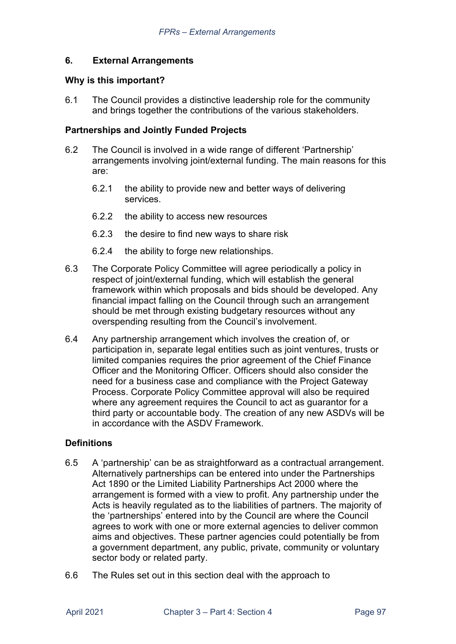# **6. External Arrangements**

#### **Why is this important?**

6.1 The Council provides a distinctive leadership role for the community and brings together the contributions of the various stakeholders.

## **Partnerships and Jointly Funded Projects**

- 6.2 The Council is involved in a wide range of different 'Partnership' arrangements involving joint/external funding. The main reasons for this are:
	- 6.2.1 the ability to provide new and better ways of delivering services.
	- 6.2.2 the ability to access new resources
	- 6.2.3 the desire to find new ways to share risk
	- 6.2.4 the ability to forge new relationships.
- 6.3 The Corporate Policy Committee will agree periodically a policy in respect of joint/external funding, which will establish the general framework within which proposals and bids should be developed. Any financial impact falling on the Council through such an arrangement should be met through existing budgetary resources without any overspending resulting from the Council's involvement.
- 6.4 Any partnership arrangement which involves the creation of, or participation in, separate legal entities such as joint ventures, trusts or limited companies requires the prior agreement of the Chief Finance Officer and the Monitoring Officer. Officers should also consider the need for a business case and compliance with the Project Gateway Process. Corporate Policy Committee approval will also be required where any agreement requires the Council to act as guarantor for a third party or accountable body. The creation of any new ASDVs will be in accordance with the ASDV Framework.

## **Definitions**

- 6.5 A 'partnership' can be as straightforward as a contractual arrangement. Alternatively partnerships can be entered into under the Partnerships Act 1890 or the Limited Liability Partnerships Act 2000 where the arrangement is formed with a view to profit. Any partnership under the Acts is heavily regulated as to the liabilities of partners. The majority of the 'partnerships' entered into by the Council are where the Council agrees to work with one or more external agencies to deliver common aims and objectives. These partner agencies could potentially be from a government department, any public, private, community or voluntary sector body or related party.
- 6.6 The Rules set out in this section deal with the approach to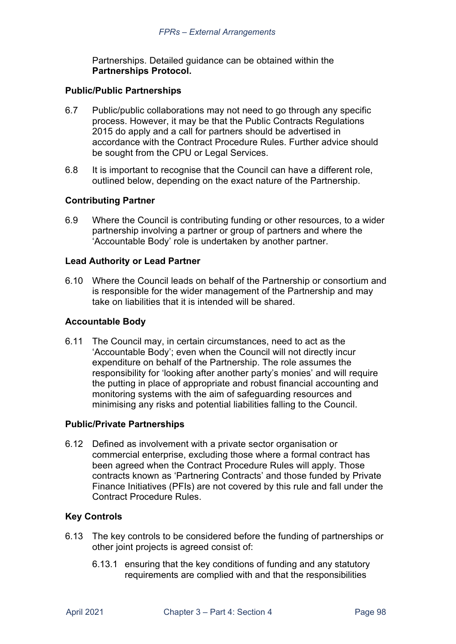Partnerships. Detailed guidance can be obtained within the **Partnerships Protocol.**

# **Public/Public Partnerships**

- 6.7 Public/public collaborations may not need to go through any specific process. However, it may be that the Public Contracts Regulations 2015 do apply and a call for partners should be advertised in accordance with the Contract Procedure Rules. Further advice should be sought from the CPU or Legal Services.
- 6.8 It is important to recognise that the Council can have a different role, outlined below, depending on the exact nature of the Partnership.

# **Contributing Partner**

6.9 Where the Council is contributing funding or other resources, to a wider partnership involving a partner or group of partners and where the 'Accountable Body' role is undertaken by another partner.

## **Lead Authority or Lead Partner**

6.10 Where the Council leads on behalf of the Partnership or consortium and is responsible for the wider management of the Partnership and may take on liabilities that it is intended will be shared.

# **Accountable Body**

6.11 The Council may, in certain circumstances, need to act as the 'Accountable Body'; even when the Council will not directly incur expenditure on behalf of the Partnership. The role assumes the responsibility for 'looking after another party's monies' and will require the putting in place of appropriate and robust financial accounting and monitoring systems with the aim of safeguarding resources and minimising any risks and potential liabilities falling to the Council.

## **Public/Private Partnerships**

6.12 Defined as involvement with a private sector organisation or commercial enterprise, excluding those where a formal contract has been agreed when the Contract Procedure Rules will apply. Those contracts known as 'Partnering Contracts' and those funded by Private Finance Initiatives (PFIs) are not covered by this rule and fall under the Contract Procedure Rules.

# **Key Controls**

- 6.13 The key controls to be considered before the funding of partnerships or other joint projects is agreed consist of:
	- 6.13.1 ensuring that the key conditions of funding and any statutory requirements are complied with and that the responsibilities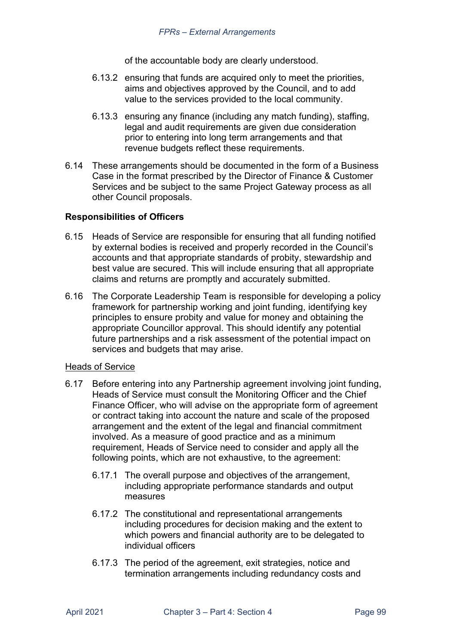of the accountable body are clearly understood.

- 6.13.2 ensuring that funds are acquired only to meet the priorities, aims and objectives approved by the Council, and to add value to the services provided to the local community.
- 6.13.3 ensuring any finance (including any match funding), staffing, legal and audit requirements are given due consideration prior to entering into long term arrangements and that revenue budgets reflect these requirements.
- 6.14 These arrangements should be documented in the form of a Business Case in the format prescribed by the Director of Finance & Customer Services and be subject to the same Project Gateway process as all other Council proposals.

## **Responsibilities of Officers**

- 6.15 Heads of Service are responsible for ensuring that all funding notified by external bodies is received and properly recorded in the Council's accounts and that appropriate standards of probity, stewardship and best value are secured. This will include ensuring that all appropriate claims and returns are promptly and accurately submitted.
- 6.16 The Corporate Leadership Team is responsible for developing a policy framework for partnership working and joint funding, identifying key principles to ensure probity and value for money and obtaining the appropriate Councillor approval. This should identify any potential future partnerships and a risk assessment of the potential impact on services and budgets that may arise.

#### Heads of Service

- 6.17 Before entering into any Partnership agreement involving joint funding, Heads of Service must consult the Monitoring Officer and the Chief Finance Officer, who will advise on the appropriate form of agreement or contract taking into account the nature and scale of the proposed arrangement and the extent of the legal and financial commitment involved. As a measure of good practice and as a minimum requirement, Heads of Service need to consider and apply all the following points, which are not exhaustive, to the agreement:
	- 6.17.1 The overall purpose and objectives of the arrangement, including appropriate performance standards and output measures
	- 6.17.2 The constitutional and representational arrangements including procedures for decision making and the extent to which powers and financial authority are to be delegated to individual officers
	- 6.17.3 The period of the agreement, exit strategies, notice and termination arrangements including redundancy costs and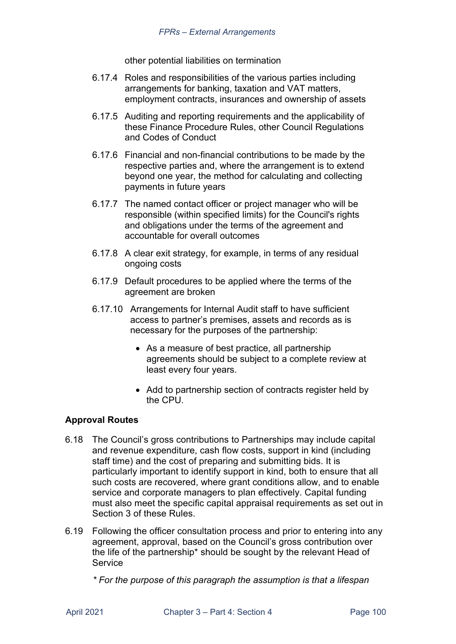other potential liabilities on termination

- 6.17.4 Roles and responsibilities of the various parties including arrangements for banking, taxation and VAT matters, employment contracts, insurances and ownership of assets
- 6.17.5 Auditing and reporting requirements and the applicability of these Finance Procedure Rules, other Council Regulations and Codes of Conduct
- 6.17.6 Financial and non-financial contributions to be made by the respective parties and, where the arrangement is to extend beyond one year, the method for calculating and collecting payments in future years
- 6.17.7 The named contact officer or project manager who will be responsible (within specified limits) for the Council's rights and obligations under the terms of the agreement and accountable for overall outcomes
- 6.17.8 A clear exit strategy, for example, in terms of any residual ongoing costs
- 6.17.9 Default procedures to be applied where the terms of the agreement are broken
- 6.17.10 Arrangements for Internal Audit staff to have sufficient access to partner's premises, assets and records as is necessary for the purposes of the partnership:
	- As a measure of best practice, all partnership agreements should be subject to a complete review at least every four years.
	- Add to partnership section of contracts register held by the CPU.

# **Approval Routes**

- 6.18 The Council's gross contributions to Partnerships may include capital and revenue expenditure, cash flow costs, support in kind (including staff time) and the cost of preparing and submitting bids. It is particularly important to identify support in kind, both to ensure that all such costs are recovered, where grant conditions allow, and to enable service and corporate managers to plan effectively. Capital funding must also meet the specific capital appraisal requirements as set out in Section 3 of these Rules.
- 6.19 Following the officer consultation process and prior to entering into any agreement, approval, based on the Council's gross contribution over the life of the partnership\* should be sought by the relevant Head of **Service** 
	- *\* For the purpose of this paragraph the assumption is that a lifespan*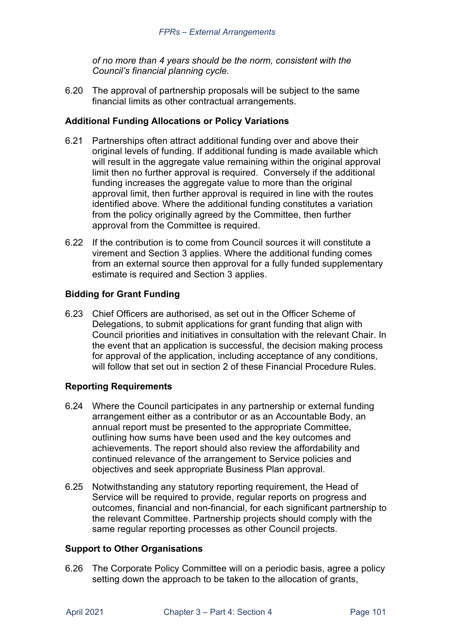*of no more than 4 years should be the norm, consistent with the Council's financial planning cycle.*

6.20 The approval of partnership proposals will be subject to the same financial limits as other contractual arrangements.

# **Additional Funding Allocations or Policy Variations**

- 6.21 Partnerships often attract additional funding over and above their original levels of funding. If additional funding is made available which will result in the aggregate value remaining within the original approval limit then no further approval is required. Conversely if the additional funding increases the aggregate value to more than the original approval limit, then further approval is required in line with the routes identified above. Where the additional funding constitutes a variation from the policy originally agreed by the Committee, then further approval from the Committee is required.
- 6.22 If the contribution is to come from Council sources it will constitute a virement and Section 3 applies. Where the additional funding comes from an external source then approval for a fully funded supplementary estimate is required and Section 3 applies.

# **Bidding for Grant Funding**

6.23 Chief Officers are authorised, as set out in the Officer Scheme of Delegations, to submit applications for grant funding that align with Council priorities and initiatives in consultation with the relevant Chair. In the event that an application is successful, the decision making process for approval of the application, including acceptance of any conditions, will follow that set out in section 2 of these Financial Procedure Rules.

## **Reporting Requirements**

- 6.24 Where the Council participates in any partnership or external funding arrangement either as a contributor or as an Accountable Body, an annual report must be presented to the appropriate Committee, outlining how sums have been used and the key outcomes and achievements. The report should also review the affordability and continued relevance of the arrangement to Service policies and objectives and seek appropriate Business Plan approval.
- 6.25 Notwithstanding any statutory reporting requirement, the Head of Service will be required to provide, regular reports on progress and outcomes, financial and non-financial, for each significant partnership to the relevant Committee. Partnership projects should comply with the same regular reporting processes as other Council projects.

# **Support to Other Organisations**

6.26 The Corporate Policy Committee will on a periodic basis, agree a policy setting down the approach to be taken to the allocation of grants,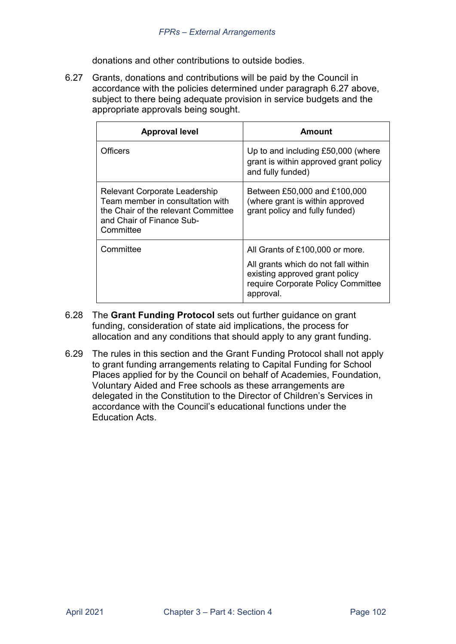donations and other contributions to outside bodies.

6.27 Grants, donations and contributions will be paid by the Council in accordance with the policies determined under paragraph 6.27 above, subject to there being adequate provision in service budgets and the appropriate approvals being sought.

| <b>Approval level</b>                                                                                                                              | Amount                                                                                                                   |
|----------------------------------------------------------------------------------------------------------------------------------------------------|--------------------------------------------------------------------------------------------------------------------------|
| <b>Officers</b>                                                                                                                                    | Up to and including £50,000 (where<br>grant is within approved grant policy<br>and fully funded)                         |
| Relevant Corporate Leadership<br>Team member in consultation with<br>the Chair of the relevant Committee<br>and Chair of Finance Sub-<br>Committee | Between £50,000 and £100,000<br>(where grant is within approved<br>grant policy and fully funded)                        |
| Committee                                                                                                                                          | All Grants of £100,000 or more.                                                                                          |
|                                                                                                                                                    | All grants which do not fall within<br>existing approved grant policy<br>require Corporate Policy Committee<br>approval. |

- 6.28 The **Grant Funding Protocol** sets out further guidance on grant funding, consideration of state aid implications, the process for allocation and any conditions that should apply to any grant funding.
- 6.29 The rules in this section and the Grant Funding Protocol shall not apply to grant funding arrangements relating to Capital Funding for School Places applied for by the Council on behalf of Academies, Foundation, Voluntary Aided and Free schools as these arrangements are delegated in the Constitution to the Director of Children's Services in accordance with the Council's educational functions under the Education Acts.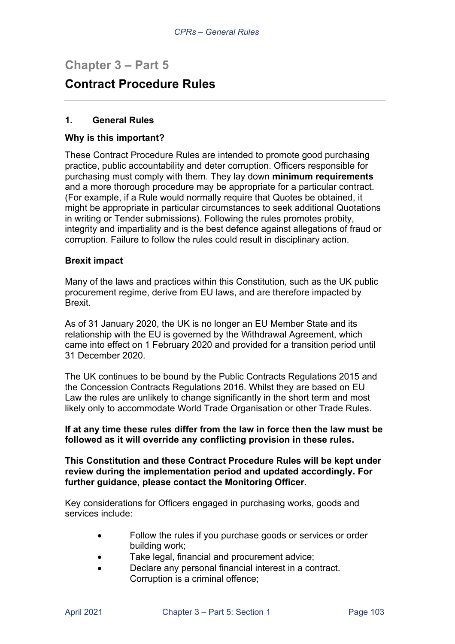# **Chapter 3 – Part 5**

# **Contract Procedure Rules**

# **1. General Rules**

# **Why is this important?**

These Contract Procedure Rules are intended to promote good purchasing practice, public accountability and deter corruption. Officers responsible for purchasing must comply with them. They lay down **minimum requirements** and a more thorough procedure may be appropriate for a particular contract. (For example, if a Rule would normally require that Quotes be obtained, it might be appropriate in particular circumstances to seek additional Quotations in writing or Tender submissions). Following the rules promotes probity, integrity and impartiality and is the best defence against allegations of fraud or corruption. Failure to follow the rules could result in disciplinary action.

# **Brexit impact**

Many of the laws and practices within this Constitution, such as the UK public procurement regime, derive from EU laws, and are therefore impacted by Brexit.

As of 31 January 2020, the UK is no longer an EU Member State and its relationship with the EU is governed by the Withdrawal Agreement, which came into effect on 1 February 2020 and provided for a transition period until 31 December 2020.

The UK continues to be bound by the Public Contracts Regulations 2015 and the Concession Contracts Regulations 2016. Whilst they are based on EU Law the rules are unlikely to change significantly in the short term and most likely only to accommodate World Trade Organisation or other Trade Rules.

# **If at any time these rules differ from the law in force then the law must be followed as it will override any conflicting provision in these rules.**

**This Constitution and these Contract Procedure Rules will be kept under review during the implementation period and updated accordingly. For further guidance, please contact the Monitoring Officer.**

Key considerations for Officers engaged in purchasing works, goods and services include:

- Follow the rules if you purchase goods or services or order building work;
- Take legal, financial and procurement advice;
- Declare any personal financial interest in a contract. Corruption is a criminal offence;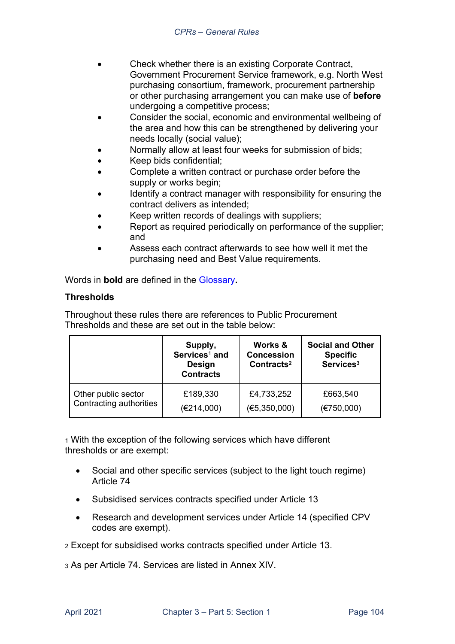- Check whether there is an existing Corporate Contract, Government Procurement Service framework, e.g. North West purchasing consortium, framework, procurement partnership or other purchasing arrangement you can make use of **before** undergoing a competitive process;
- Consider the social, economic and environmental wellbeing of the area and how this can be strengthened by delivering your needs locally (social value);
- Normally allow at least four weeks for submission of bids;
- Keep bids confidential;
- Complete a written contract or purchase order before the supply or works begin;
- Identify a contract manager with responsibility for ensuring the contract delivers as intended;
- Keep written records of dealings with suppliers;
- Report as required periodically on performance of the supplier; and
- Assess each contract afterwards to see how well it met the purchasing need and Best Value requirements.

Words in **bold** are defined in the Glossary**.**

# **Thresholds**

Throughout these rules there are references to Public Procurement Thresholds and these are set out in the table below:

|                         | Supply,<br>Services <sup>1</sup> and<br><b>Design</b><br><b>Contracts</b> | Works &<br><b>Concession</b><br>Contracts <sup>2</sup> | <b>Social and Other</b><br><b>Specific</b><br>Services <sup>3</sup> |
|-------------------------|---------------------------------------------------------------------------|--------------------------------------------------------|---------------------------------------------------------------------|
| Other public sector     | £189,330                                                                  | £4,733,252                                             | £663,540                                                            |
| Contracting authorities | (E214,000)                                                                | (E5, 350, 000)                                         | (E750,000)                                                          |

<sup>1</sup> With the exception of the following services which have different thresholds or are exempt:

- Social and other specific services (subject to the light touch regime) Article 74
- Subsidised services contracts specified under Article 13
- Research and development services under Article 14 (specified CPV codes are exempt).

<sup>2</sup> Except for subsidised works contracts specified under Article 13.

<sup>3</sup> As per Article 74. Services are listed in Annex XIV.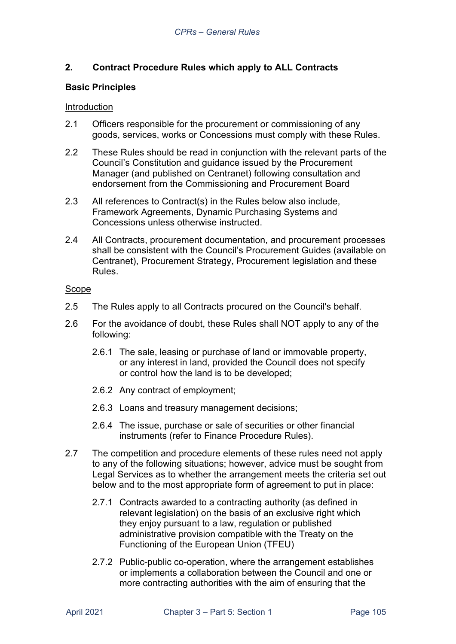# **2. Contract Procedure Rules which apply to ALL Contracts**

# **Basic Principles**

## Introduction

- 2.1 Officers responsible for the procurement or commissioning of any goods, services, works or Concessions must comply with these Rules.
- 2.2 These Rules should be read in conjunction with the relevant parts of the Council's Constitution and guidance issued by the Procurement Manager (and published on Centranet) following consultation and endorsement from the Commissioning and Procurement Board
- 2.3 All references to Contract(s) in the Rules below also include, Framework Agreements, Dynamic Purchasing Systems and Concessions unless otherwise instructed.
- 2.4 All Contracts, procurement documentation, and procurement processes shall be consistent with the Council's Procurement Guides (available on Centranet), Procurement Strategy, Procurement legislation and these Rules.

## Scope

- 2.5 The Rules apply to all Contracts procured on the Council's behalf.
- 2.6 For the avoidance of doubt, these Rules shall NOT apply to any of the following:
	- 2.6.1 The sale, leasing or purchase of land or immovable property, or any interest in land, provided the Council does not specify or control how the land is to be developed;
	- 2.6.2 Any contract of employment;
	- 2.6.3 Loans and treasury management decisions;
	- 2.6.4 The issue, purchase or sale of securities or other financial instruments (refer to Finance Procedure Rules).
- 2.7 The competition and procedure elements of these rules need not apply to any of the following situations; however, advice must be sought from Legal Services as to whether the arrangement meets the criteria set out below and to the most appropriate form of agreement to put in place:
	- 2.7.1 Contracts awarded to a contracting authority (as defined in relevant legislation) on the basis of an exclusive right which they enjoy pursuant to a law, regulation or published administrative provision compatible with the Treaty on the Functioning of the European Union (TFEU)
	- 2.7.2 Public-public co-operation, where the arrangement establishes or implements a collaboration between the Council and one or more contracting authorities with the aim of ensuring that the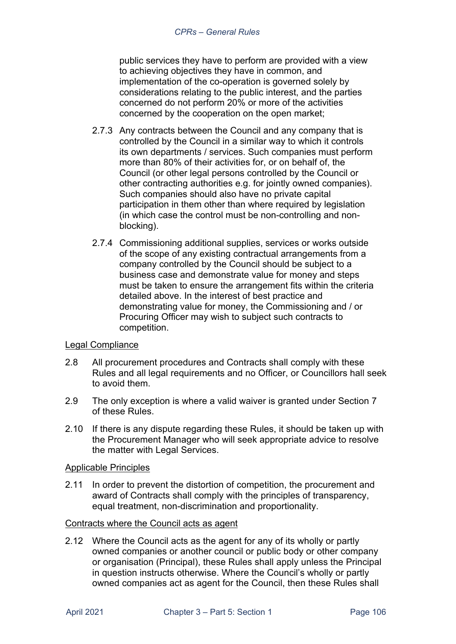public services they have to perform are provided with a view to achieving objectives they have in common, and implementation of the co-operation is governed solely by considerations relating to the public interest, and the parties concerned do not perform 20% or more of the activities concerned by the cooperation on the open market;

- 2.7.3 Any contracts between the Council and any company that is controlled by the Council in a similar way to which it controls its own departments / services. Such companies must perform more than 80% of their activities for, or on behalf of, the Council (or other legal persons controlled by the Council or other contracting authorities e.g. for jointly owned companies). Such companies should also have no private capital participation in them other than where required by legislation (in which case the control must be non-controlling and nonblocking).
- 2.7.4 Commissioning additional supplies, services or works outside of the scope of any existing contractual arrangements from a company controlled by the Council should be subject to a business case and demonstrate value for money and steps must be taken to ensure the arrangement fits within the criteria detailed above. In the interest of best practice and demonstrating value for money, the Commissioning and / or Procuring Officer may wish to subject such contracts to competition.

# Legal Compliance

- 2.8 All procurement procedures and Contracts shall comply with these Rules and all legal requirements and no Officer, or Councillors hall seek to avoid them.
- 2.9 The only exception is where a valid waiver is granted under Section 7 of these Rules.
- 2.10 If there is any dispute regarding these Rules, it should be taken up with the Procurement Manager who will seek appropriate advice to resolve the matter with Legal Services.

## Applicable Principles

2.11 In order to prevent the distortion of competition, the procurement and award of Contracts shall comply with the principles of transparency, equal treatment, non-discrimination and proportionality.

## Contracts where the Council acts as agent

2.12 Where the Council acts as the agent for any of its wholly or partly owned companies or another council or public body or other company or organisation (Principal), these Rules shall apply unless the Principal in question instructs otherwise. Where the Council's wholly or partly owned companies act as agent for the Council, then these Rules shall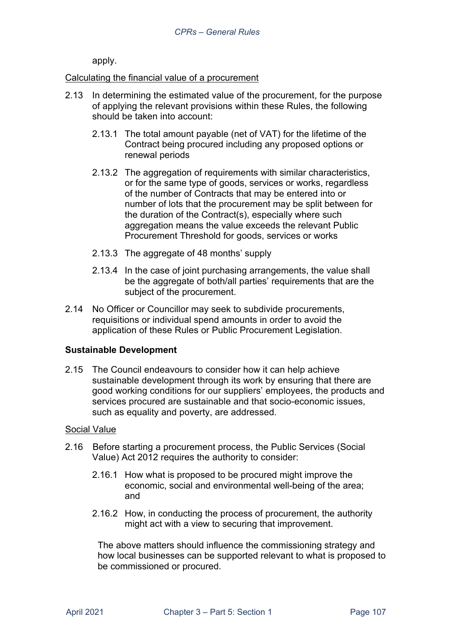apply.

# Calculating the financial value of a procurement

- 2.13 In determining the estimated value of the procurement, for the purpose of applying the relevant provisions within these Rules, the following should be taken into account:
	- 2.13.1 The total amount payable (net of VAT) for the lifetime of the Contract being procured including any proposed options or renewal periods
	- 2.13.2 The aggregation of requirements with similar characteristics, or for the same type of goods, services or works, regardless of the number of Contracts that may be entered into or number of lots that the procurement may be split between for the duration of the Contract(s), especially where such aggregation means the value exceeds the relevant Public Procurement Threshold for goods, services or works
	- 2.13.3 The aggregate of 48 months' supply
	- 2.13.4 In the case of joint purchasing arrangements, the value shall be the aggregate of both/all parties' requirements that are the subject of the procurement.
- 2.14 No Officer or Councillor may seek to subdivide procurements, requisitions or individual spend amounts in order to avoid the application of these Rules or Public Procurement Legislation.

# **Sustainable Development**

2.15 The Council endeavours to consider how it can help achieve sustainable development through its work by ensuring that there are good working conditions for our suppliers' employees, the products and services procured are sustainable and that socio-economic issues, such as equality and poverty, are addressed.

## Social Value

- 2.16 Before starting a procurement process, the Public Services (Social Value) Act 2012 requires the authority to consider:
	- 2.16.1 How what is proposed to be procured might improve the economic, social and environmental well-being of the area; and
	- 2.16.2 How, in conducting the process of procurement, the authority might act with a view to securing that improvement.

The above matters should influence the commissioning strategy and how local businesses can be supported relevant to what is proposed to be commissioned or procured.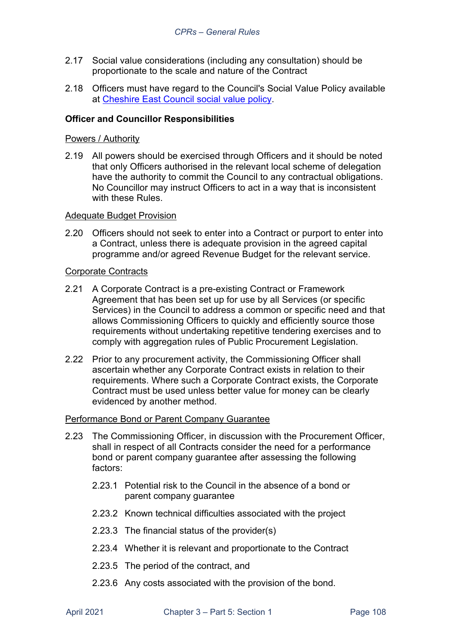- 2.17 Social value considerations (including any consultation) should be proportionate to the scale and nature of the Contract
- 2.18 Officers must have regard to the Council's Social Value Policy available at [Cheshire](http://www.cheshireeast.gov.uk/business/procurement/procurement_strategy.aspx) East Council social value policy.

# **Officer and Councillor Responsibilities**

## Powers / Authority

2.19 All powers should be exercised through Officers and it should be noted that only Officers authorised in the relevant local scheme of delegation have the authority to commit the Council to any contractual obligations. No Councillor may instruct Officers to act in a way that is inconsistent with these Rules.

#### Adequate Budget Provision

2.20 Officers should not seek to enter into a Contract or purport to enter into a Contract, unless there is adequate provision in the agreed capital programme and/or agreed Revenue Budget for the relevant service.

#### Corporate Contracts

- 2.21 A Corporate Contract is a pre-existing Contract or Framework Agreement that has been set up for use by all Services (or specific Services) in the Council to address a common or specific need and that allows Commissioning Officers to quickly and efficiently source those requirements without undertaking repetitive tendering exercises and to comply with aggregation rules of Public Procurement Legislation.
- 2.22 Prior to any procurement activity, the Commissioning Officer shall ascertain whether any Corporate Contract exists in relation to their requirements. Where such a Corporate Contract exists, the Corporate Contract must be used unless better value for money can be clearly evidenced by another method.

## Performance Bond or Parent Company Guarantee

- 2.23 The Commissioning Officer, in discussion with the Procurement Officer, shall in respect of all Contracts consider the need for a performance bond or parent company guarantee after assessing the following factors:
	- 2.23.1 Potential risk to the Council in the absence of a bond or parent company guarantee
	- 2.23.2 Known technical difficulties associated with the project
	- 2.23.3 The financial status of the provider(s)
	- 2.23.4 Whether it is relevant and proportionate to the Contract
	- 2.23.5 The period of the contract, and
	- 2.23.6 Any costs associated with the provision of the bond.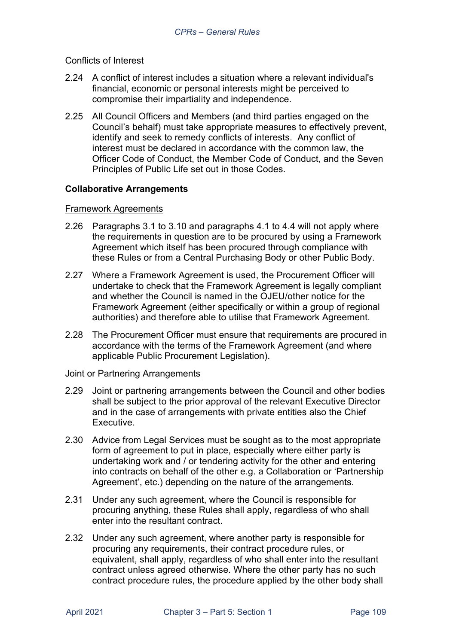# Conflicts of Interest

- 2.24 A conflict of interest includes a situation where a relevant individual's financial, economic or personal interests might be perceived to compromise their impartiality and independence.
- 2.25 All Council Officers and Members (and third parties engaged on the Council's behalf) must take appropriate measures to effectively prevent, identify and seek to remedy conflicts of interests. Any conflict of interest must be declared in accordance with the common law, the Officer Code of Conduct, the Member Code of Conduct, and the Seven Principles of Public Life set out in those Codes.

## **Collaborative Arrangements**

#### Framework Agreements

- 2.26 Paragraphs 3.1 to 3.10 and paragraphs 4.1 to 4.4 will not apply where the requirements in question are to be procured by using a Framework Agreement which itself has been procured through compliance with these Rules or from a Central Purchasing Body or other Public Body.
- 2.27 Where a Framework Agreement is used, the Procurement Officer will undertake to check that the Framework Agreement is legally compliant and whether the Council is named in the OJEU/other notice for the Framework Agreement (either specifically or within a group of regional authorities) and therefore able to utilise that Framework Agreement.
- 2.28 The Procurement Officer must ensure that requirements are procured in accordance with the terms of the Framework Agreement (and where applicable Public Procurement Legislation).

#### Joint or Partnering Arrangements

- 2.29 Joint or partnering arrangements between the Council and other bodies shall be subject to the prior approval of the relevant Executive Director and in the case of arrangements with private entities also the Chief Executive.
- 2.30 Advice from Legal Services must be sought as to the most appropriate form of agreement to put in place, especially where either party is undertaking work and / or tendering activity for the other and entering into contracts on behalf of the other e.g. a Collaboration or 'Partnership Agreement', etc.) depending on the nature of the arrangements.
- 2.31 Under any such agreement, where the Council is responsible for procuring anything, these Rules shall apply, regardless of who shall enter into the resultant contract.
- 2.32 Under any such agreement, where another party is responsible for procuring any requirements, their contract procedure rules, or equivalent, shall apply, regardless of who shall enter into the resultant contract unless agreed otherwise. Where the other party has no such contract procedure rules, the procedure applied by the other body shall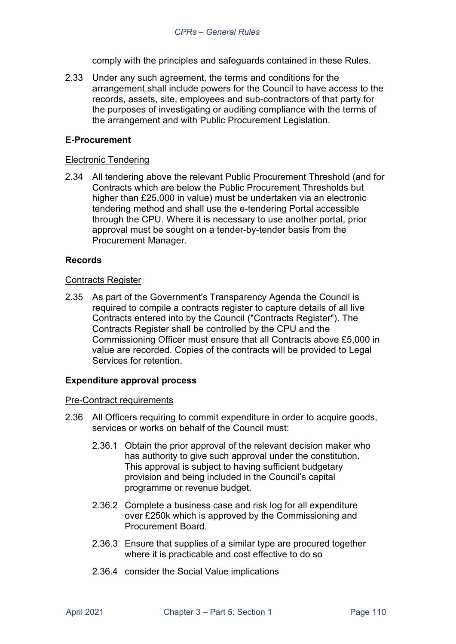comply with the principles and safeguards contained in these Rules.

2.33 Under any such agreement, the terms and conditions for the arrangement shall include powers for the Council to have access to the records, assets, site, employees and sub-contractors of that party for the purposes of investigating or auditing compliance with the terms of the arrangement and with Public Procurement Legislation.

## **E-Procurement**

#### Electronic Tendering

2.34 All tendering above the relevant Public Procurement Threshold (and for Contracts which are below the Public Procurement Thresholds but higher than £25,000 in value) must be undertaken via an electronic tendering method and shall use the e-tendering Portal accessible through the CPU. Where it is necessary to use another portal, prior approval must be sought on a tender-by-tender basis from the Procurement Manager.

## **Records**

#### Contracts Register

2.35 As part of the Government's Transparency Agenda the Council is required to compile a contracts register to capture details of all live Contracts entered into by the Council ("Contracts Register"). The Contracts Register shall be controlled by the CPU and the Commissioning Officer must ensure that all Contracts above £5,000 in value are recorded. Copies of the contracts will be provided to Legal Services for retention.

#### **Expenditure approval process**

#### Pre-Contract requirements

- 2.36 All Officers requiring to commit expenditure in order to acquire goods, services or works on behalf of the Council must:
	- 2.36.1 Obtain the prior approval of the relevant decision maker who has authority to give such approval under the constitution. This approval is subject to having sufficient budgetary provision and being included in the Council's capital programme or revenue budget.
	- 2.36.2 Complete a business case and risk log for all expenditure over £250k which is approved by the Commissioning and Procurement Board.
	- 2.36.3 Ensure that supplies of a similar type are procured together where it is practicable and cost effective to do so
	- 2.36.4 consider the Social Value implications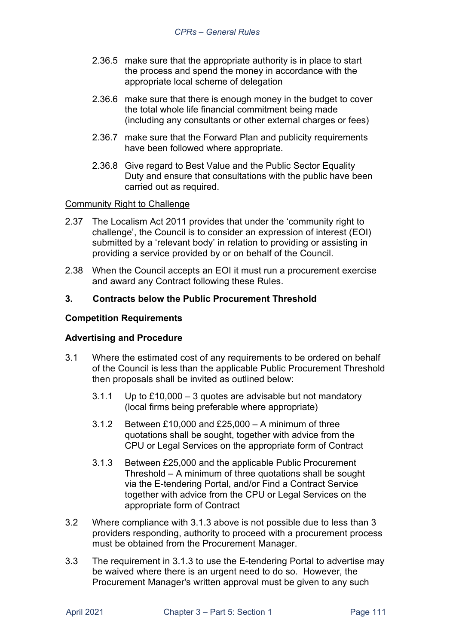- 2.36.5 make sure that the appropriate authority is in place to start the process and spend the money in accordance with the appropriate local scheme of delegation
- 2.36.6 make sure that there is enough money in the budget to cover the total whole life financial commitment being made (including any consultants or other external charges or fees)
- 2.36.7 make sure that the Forward Plan and publicity requirements have been followed where appropriate.
- 2.36.8 Give regard to Best Value and the Public Sector Equality Duty and ensure that consultations with the public have been carried out as required.

## Community Right to Challenge

- 2.37 The Localism Act 2011 provides that under the 'community right to challenge', the Council is to consider an expression of interest (EOI) submitted by a 'relevant body' in relation to providing or assisting in providing a service provided by or on behalf of the Council.
- 2.38 When the Council accepts an EOI it must run a procurement exercise and award any Contract following these Rules.

# **3. Contracts below the Public Procurement Threshold**

## **Competition Requirements**

# **Advertising and Procedure**

- 3.1 Where the estimated cost of any requirements to be ordered on behalf of the Council is less than the applicable Public Procurement Threshold then proposals shall be invited as outlined below:
	- 3.1.1 Up to £10,000 3 quotes are advisable but not mandatory (local firms being preferable where appropriate)
	- 3.1.2 Between £10,000 and £25,000 A minimum of three quotations shall be sought, together with advice from the CPU or Legal Services on the appropriate form of Contract
	- 3.1.3 Between £25,000 and the applicable Public Procurement Threshold – A minimum of three quotations shall be sought via the E-tendering Portal, and/or Find a Contract Service together with advice from the CPU or Legal Services on the appropriate form of Contract
- 3.2 Where compliance with 3.1.3 above is not possible due to less than 3 providers responding, authority to proceed with a procurement process must be obtained from the Procurement Manager.
- 3.3 The requirement in 3.1.3 to use the E-tendering Portal to advertise may be waived where there is an urgent need to do so. However, the Procurement Manager's written approval must be given to any such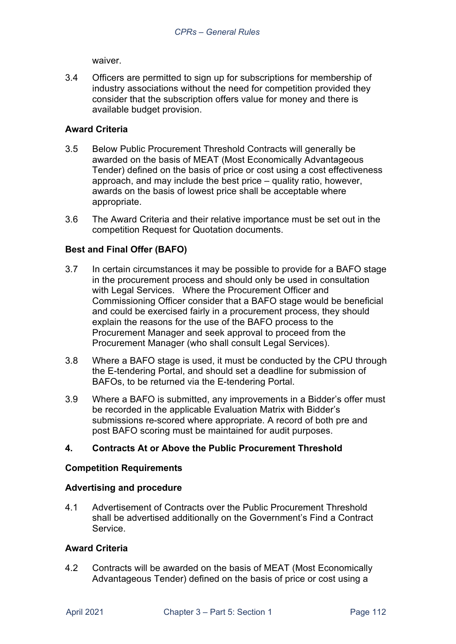waiver.

3.4 Officers are permitted to sign up for subscriptions for membership of industry associations without the need for competition provided they consider that the subscription offers value for money and there is available budget provision.

# **Award Criteria**

- 3.5 Below Public Procurement Threshold Contracts will generally be awarded on the basis of MEAT (Most Economically Advantageous Tender) defined on the basis of price or cost using a cost effectiveness approach, and may include the best price – quality ratio, however, awards on the basis of lowest price shall be acceptable where appropriate.
- 3.6 The Award Criteria and their relative importance must be set out in the competition Request for Quotation documents.

# **Best and Final Offer (BAFO)**

- 3.7 In certain circumstances it may be possible to provide for a BAFO stage in the procurement process and should only be used in consultation with Legal Services. Where the Procurement Officer and Commissioning Officer consider that a BAFO stage would be beneficial and could be exercised fairly in a procurement process, they should explain the reasons for the use of the BAFO process to the Procurement Manager and seek approval to proceed from the Procurement Manager (who shall consult Legal Services).
- 3.8 Where a BAFO stage is used, it must be conducted by the CPU through the E-tendering Portal, and should set a deadline for submission of BAFOs, to be returned via the E-tendering Portal.
- 3.9 Where a BAFO is submitted, any improvements in a Bidder's offer must be recorded in the applicable Evaluation Matrix with Bidder's submissions re-scored where appropriate. A record of both pre and post BAFO scoring must be maintained for audit purposes.

# **4. Contracts At or Above the Public Procurement Threshold**

#### **Competition Requirements**

#### **Advertising and procedure**

4.1 Advertisement of Contracts over the Public Procurement Threshold shall be advertised additionally on the Government's Find a Contract Service.

# **Award Criteria**

4.2 Contracts will be awarded on the basis of MEAT (Most Economically Advantageous Tender) defined on the basis of price or cost using a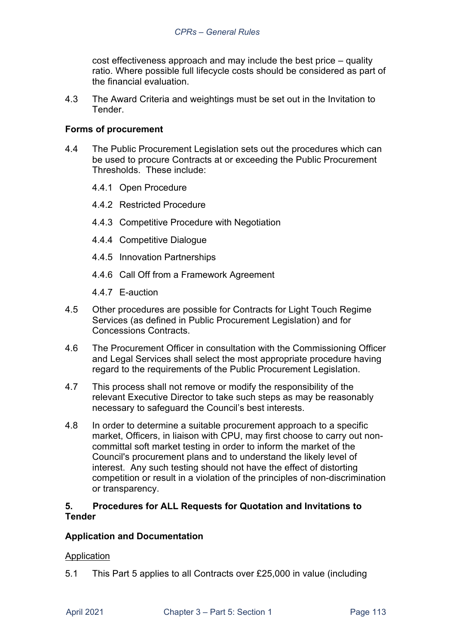cost effectiveness approach and may include the best price – quality ratio. Where possible full lifecycle costs should be considered as part of the financial evaluation.

4.3 The Award Criteria and weightings must be set out in the Invitation to Tender.

# **Forms of procurement**

- 4.4 The Public Procurement Legislation sets out the procedures which can be used to procure Contracts at or exceeding the Public Procurement Thresholds. These include:
	- 4.4.1 Open Procedure
	- 4.4.2 Restricted Procedure
	- 4.4.3 Competitive Procedure with Negotiation
	- 4.4.4 Competitive Dialogue
	- 4.4.5 Innovation Partnerships
	- 4.4.6 Call Off from a Framework Agreement
	- 4.4.7 E-auction
- 4.5 Other procedures are possible for Contracts for Light Touch Regime Services (as defined in Public Procurement Legislation) and for Concessions Contracts.
- 4.6 The Procurement Officer in consultation with the Commissioning Officer and Legal Services shall select the most appropriate procedure having regard to the requirements of the Public Procurement Legislation.
- 4.7 This process shall not remove or modify the responsibility of the relevant Executive Director to take such steps as may be reasonably necessary to safeguard the Council's best interests.
- 4.8 In order to determine a suitable procurement approach to a specific market, Officers, in liaison with CPU, may first choose to carry out noncommittal soft market testing in order to inform the market of the Council's procurement plans and to understand the likely level of interest. Any such testing should not have the effect of distorting competition or result in a violation of the principles of non-discrimination or transparency.

# **5. Procedures for ALL Requests for Quotation and Invitations to Tender**

# **Application and Documentation**

#### Application

5.1 This Part 5 applies to all Contracts over £25,000 in value (including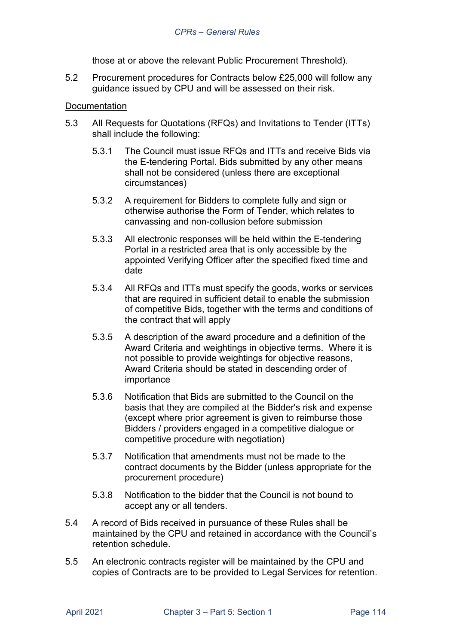those at or above the relevant Public Procurement Threshold).

5.2 Procurement procedures for Contracts below £25,000 will follow any guidance issued by CPU and will be assessed on their risk.

## Documentation

- 5.3 All Requests for Quotations (RFQs) and Invitations to Tender (ITTs) shall include the following:
	- 5.3.1 The Council must issue RFQs and ITTs and receive Bids via the E-tendering Portal. Bids submitted by any other means shall not be considered (unless there are exceptional circumstances)
	- 5.3.2 A requirement for Bidders to complete fully and sign or otherwise authorise the Form of Tender, which relates to canvassing and non-collusion before submission
	- 5.3.3 All electronic responses will be held within the E-tendering Portal in a restricted area that is only accessible by the appointed Verifying Officer after the specified fixed time and date
	- 5.3.4 All RFQs and ITTs must specify the goods, works or services that are required in sufficient detail to enable the submission of competitive Bids, together with the terms and conditions of the contract that will apply
	- 5.3.5 A description of the award procedure and a definition of the Award Criteria and weightings in objective terms. Where it is not possible to provide weightings for objective reasons, Award Criteria should be stated in descending order of importance
	- 5.3.6 Notification that Bids are submitted to the Council on the basis that they are compiled at the Bidder's risk and expense (except where prior agreement is given to reimburse those Bidders / providers engaged in a competitive dialogue or competitive procedure with negotiation)
	- 5.3.7 Notification that amendments must not be made to the contract documents by the Bidder (unless appropriate for the procurement procedure)
	- 5.3.8 Notification to the bidder that the Council is not bound to accept any or all tenders.
- 5.4 A record of Bids received in pursuance of these Rules shall be maintained by the CPU and retained in accordance with the Council's retention schedule.
- 5.5 An electronic contracts register will be maintained by the CPU and copies of Contracts are to be provided to Legal Services for retention.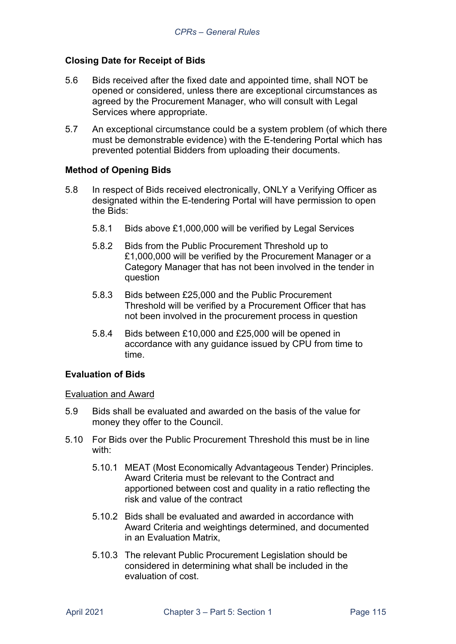# **Closing Date for Receipt of Bids**

- 5.6 Bids received after the fixed date and appointed time, shall NOT be opened or considered, unless there are exceptional circumstances as agreed by the Procurement Manager, who will consult with Legal Services where appropriate.
- 5.7 An exceptional circumstance could be a system problem (of which there must be demonstrable evidence) with the E-tendering Portal which has prevented potential Bidders from uploading their documents.

# **Method of Opening Bids**

- 5.8 In respect of Bids received electronically, ONLY a Verifying Officer as designated within the E-tendering Portal will have permission to open the Bids:
	- 5.8.1 Bids above £1,000,000 will be verified by Legal Services
	- 5.8.2 Bids from the Public Procurement Threshold up to £1,000,000 will be verified by the Procurement Manager or a Category Manager that has not been involved in the tender in question
	- 5.8.3 Bids between £25,000 and the Public Procurement Threshold will be verified by a Procurement Officer that has not been involved in the procurement process in question
	- 5.8.4 Bids between £10,000 and £25,000 will be opened in accordance with any guidance issued by CPU from time to time.

# **Evaluation of Bids**

# Evaluation and Award

- 5.9 Bids shall be evaluated and awarded on the basis of the value for money they offer to the Council.
- 5.10 For Bids over the Public Procurement Threshold this must be in line with:
	- 5.10.1 MEAT (Most Economically Advantageous Tender) Principles. Award Criteria must be relevant to the Contract and apportioned between cost and quality in a ratio reflecting the risk and value of the contract
	- 5.10.2 Bids shall be evaluated and awarded in accordance with Award Criteria and weightings determined, and documented in an Evaluation Matrix,
	- 5.10.3 The relevant Public Procurement Legislation should be considered in determining what shall be included in the evaluation of cost.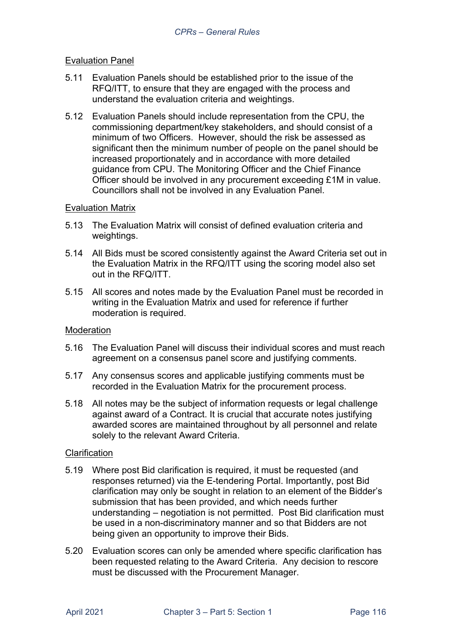## Evaluation Panel

- 5.11 Evaluation Panels should be established prior to the issue of the RFQ/ITT, to ensure that they are engaged with the process and understand the evaluation criteria and weightings.
- 5.12 Evaluation Panels should include representation from the CPU, the commissioning department/key stakeholders, and should consist of a minimum of two Officers. However, should the risk be assessed as significant then the minimum number of people on the panel should be increased proportionately and in accordance with more detailed guidance from CPU. The Monitoring Officer and the Chief Finance Officer should be involved in any procurement exceeding £1M in value. Councillors shall not be involved in any Evaluation Panel.

#### Evaluation Matrix

- 5.13 The Evaluation Matrix will consist of defined evaluation criteria and weightings.
- 5.14 All Bids must be scored consistently against the Award Criteria set out in the Evaluation Matrix in the RFQ/ITT using the scoring model also set out in the RFQ/ITT.
- 5.15 All scores and notes made by the Evaluation Panel must be recorded in writing in the Evaluation Matrix and used for reference if further moderation is required.

#### Moderation

- 5.16 The Evaluation Panel will discuss their individual scores and must reach agreement on a consensus panel score and justifying comments.
- 5.17 Any consensus scores and applicable justifying comments must be recorded in the Evaluation Matrix for the procurement process.
- 5.18 All notes may be the subject of information requests or legal challenge against award of a Contract. It is crucial that accurate notes justifying awarded scores are maintained throughout by all personnel and relate solely to the relevant Award Criteria.

# **Clarification**

- 5.19 Where post Bid clarification is required, it must be requested (and responses returned) via the E-tendering Portal. Importantly, post Bid clarification may only be sought in relation to an element of the Bidder's submission that has been provided, and which needs further understanding – negotiation is not permitted. Post Bid clarification must be used in a non-discriminatory manner and so that Bidders are not being given an opportunity to improve their Bids.
- 5.20 Evaluation scores can only be amended where specific clarification has been requested relating to the Award Criteria. Any decision to rescore must be discussed with the Procurement Manager.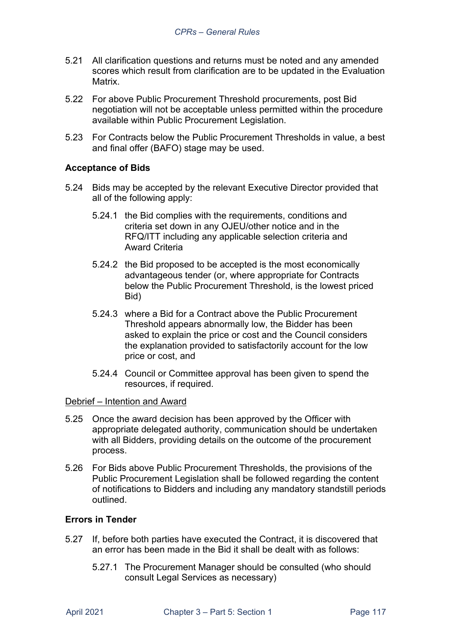- 5.21 All clarification questions and returns must be noted and any amended scores which result from clarification are to be updated in the Evaluation **Matrix**
- 5.22 For above Public Procurement Threshold procurements, post Bid negotiation will not be acceptable unless permitted within the procedure available within Public Procurement Legislation.
- 5.23 For Contracts below the Public Procurement Thresholds in value, a best and final offer (BAFO) stage may be used.

# **Acceptance of Bids**

- 5.24 Bids may be accepted by the relevant Executive Director provided that all of the following apply:
	- 5.24.1 the Bid complies with the requirements, conditions and criteria set down in any OJEU/other notice and in the RFQ/ITT including any applicable selection criteria and Award Criteria
	- 5.24.2 the Bid proposed to be accepted is the most economically advantageous tender (or, where appropriate for Contracts below the Public Procurement Threshold, is the lowest priced Bid)
	- 5.24.3 where a Bid for a Contract above the Public Procurement Threshold appears abnormally low, the Bidder has been asked to explain the price or cost and the Council considers the explanation provided to satisfactorily account for the low price or cost, and
	- 5.24.4 Council or Committee approval has been given to spend the resources, if required.

#### Debrief – Intention and Award

- 5.25 Once the award decision has been approved by the Officer with appropriate delegated authority, communication should be undertaken with all Bidders, providing details on the outcome of the procurement process.
- 5.26 For Bids above Public Procurement Thresholds, the provisions of the Public Procurement Legislation shall be followed regarding the content of notifications to Bidders and including any mandatory standstill periods outlined.

# **Errors in Tender**

- 5.27 If, before both parties have executed the Contract, it is discovered that an error has been made in the Bid it shall be dealt with as follows:
	- 5.27.1 The Procurement Manager should be consulted (who should consult Legal Services as necessary)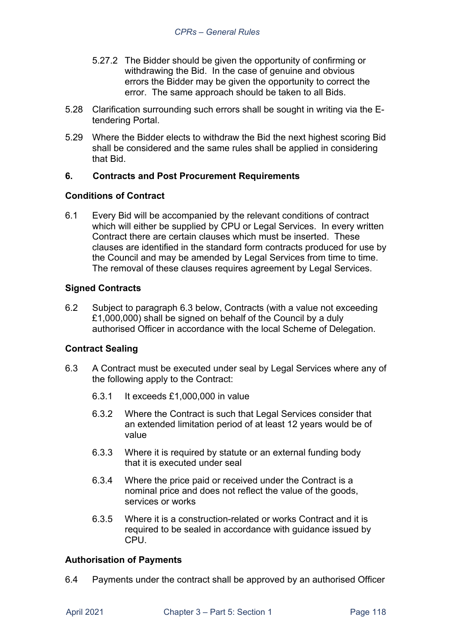- 5.27.2 The Bidder should be given the opportunity of confirming or withdrawing the Bid. In the case of genuine and obvious errors the Bidder may be given the opportunity to correct the error. The same approach should be taken to all Bids.
- 5.28 Clarification surrounding such errors shall be sought in writing via the Etendering Portal.
- 5.29 Where the Bidder elects to withdraw the Bid the next highest scoring Bid shall be considered and the same rules shall be applied in considering that Bid.

# **6. Contracts and Post Procurement Requirements**

## **Conditions of Contract**

6.1 Every Bid will be accompanied by the relevant conditions of contract which will either be supplied by CPU or Legal Services. In every written Contract there are certain clauses which must be inserted. These clauses are identified in the standard form contracts produced for use by the Council and may be amended by Legal Services from time to time. The removal of these clauses requires agreement by Legal Services.

# **Signed Contracts**

6.2 Subject to paragraph 6.3 below, Contracts (with a value not exceeding £1,000,000) shall be signed on behalf of the Council by a duly authorised Officer in accordance with the local Scheme of Delegation.

# **Contract Sealing**

- 6.3 A Contract must be executed under seal by Legal Services where any of the following apply to the Contract:
	- 6.3.1 It exceeds £1,000,000 in value
	- 6.3.2 Where the Contract is such that Legal Services consider that an extended limitation period of at least 12 years would be of value
	- 6.3.3 Where it is required by statute or an external funding body that it is executed under seal
	- 6.3.4 Where the price paid or received under the Contract is a nominal price and does not reflect the value of the goods, services or works
	- 6.3.5 Where it is a construction-related or works Contract and it is required to be sealed in accordance with guidance issued by CPU.

# **Authorisation of Payments**

6.4 Payments under the contract shall be approved by an authorised Officer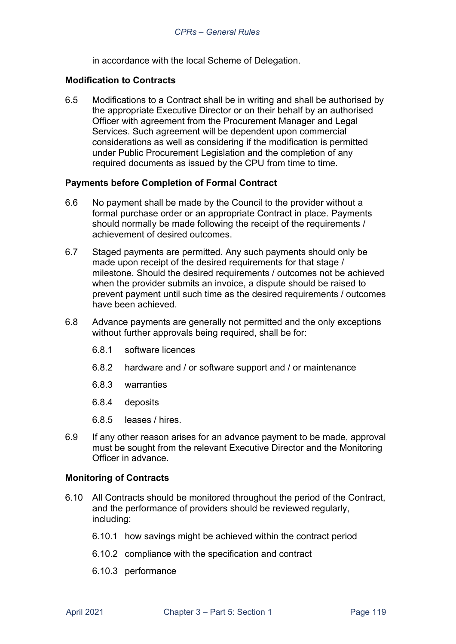in accordance with the local Scheme of Delegation.

#### **Modification to Contracts**

6.5 Modifications to a Contract shall be in writing and shall be authorised by the appropriate Executive Director or on their behalf by an authorised Officer with agreement from the Procurement Manager and Legal Services. Such agreement will be dependent upon commercial considerations as well as considering if the modification is permitted under Public Procurement Legislation and the completion of any required documents as issued by the CPU from time to time.

## **Payments before Completion of Formal Contract**

- 6.6 No payment shall be made by the Council to the provider without a formal purchase order or an appropriate Contract in place. Payments should normally be made following the receipt of the requirements / achievement of desired outcomes.
- 6.7 Staged payments are permitted. Any such payments should only be made upon receipt of the desired requirements for that stage / milestone. Should the desired requirements / outcomes not be achieved when the provider submits an invoice, a dispute should be raised to prevent payment until such time as the desired requirements / outcomes have been achieved.
- 6.8 Advance payments are generally not permitted and the only exceptions without further approvals being required, shall be for:
	- 6.8.1 software licences
	- 6.8.2 hardware and / or software support and / or maintenance
	- 6.8.3 warranties
	- 6.8.4 deposits
	- 6.8.5 leases / hires.
- 6.9 If any other reason arises for an advance payment to be made, approval must be sought from the relevant Executive Director and the Monitoring Officer in advance.

#### **Monitoring of Contracts**

- 6.10 All Contracts should be monitored throughout the period of the Contract, and the performance of providers should be reviewed regularly, including:
	- 6.10.1 how savings might be achieved within the contract period
	- 6.10.2 compliance with the specification and contract
	- 6.10.3 performance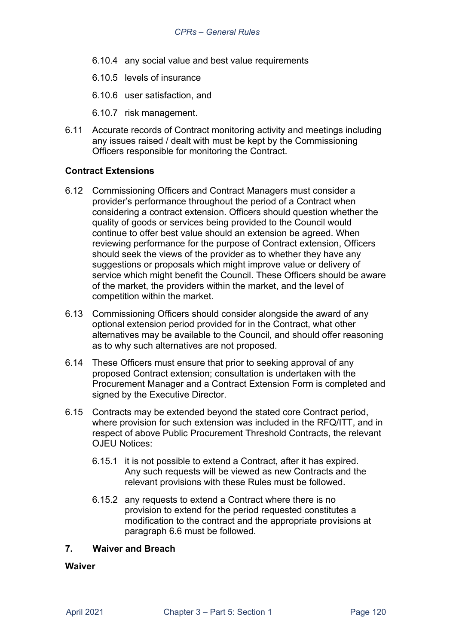- 6.10.4 any social value and best value requirements
- 6.10.5 levels of insurance
- 6.10.6 user satisfaction, and
- 6.10.7 risk management.
- 6.11 Accurate records of Contract monitoring activity and meetings including any issues raised / dealt with must be kept by the Commissioning Officers responsible for monitoring the Contract.

## **Contract Extensions**

- 6.12 Commissioning Officers and Contract Managers must consider a provider's performance throughout the period of a Contract when considering a contract extension. Officers should question whether the quality of goods or services being provided to the Council would continue to offer best value should an extension be agreed. When reviewing performance for the purpose of Contract extension, Officers should seek the views of the provider as to whether they have any suggestions or proposals which might improve value or delivery of service which might benefit the Council. These Officers should be aware of the market, the providers within the market, and the level of competition within the market.
- 6.13 Commissioning Officers should consider alongside the award of any optional extension period provided for in the Contract, what other alternatives may be available to the Council, and should offer reasoning as to why such alternatives are not proposed.
- 6.14 These Officers must ensure that prior to seeking approval of any proposed Contract extension; consultation is undertaken with the Procurement Manager and a Contract Extension Form is completed and signed by the Executive Director.
- 6.15 Contracts may be extended beyond the stated core Contract period, where provision for such extension was included in the RFQ/ITT, and in respect of above Public Procurement Threshold Contracts, the relevant OJEU Notices:
	- 6.15.1 it is not possible to extend a Contract, after it has expired. Any such requests will be viewed as new Contracts and the relevant provisions with these Rules must be followed.
	- 6.15.2 any requests to extend a Contract where there is no provision to extend for the period requested constitutes a modification to the contract and the appropriate provisions at paragraph 6.6 must be followed.

# **7. Waiver and Breach**

#### **Waiver**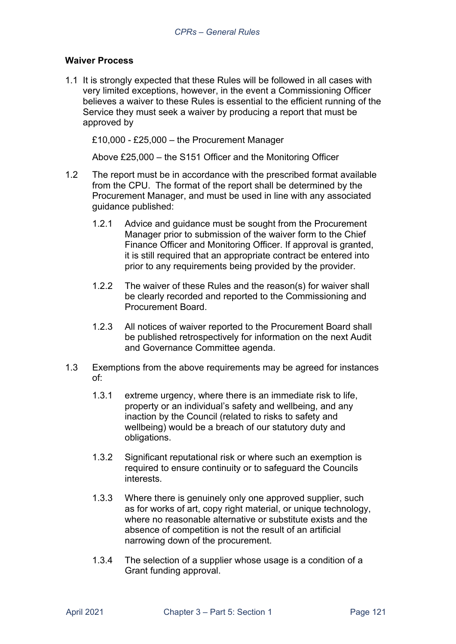# **Waiver Process**

1.1 It is strongly expected that these Rules will be followed in all cases with very limited exceptions, however, in the event a Commissioning Officer believes a waiver to these Rules is essential to the efficient running of the Service they must seek a waiver by producing a report that must be approved by

£10,000 - £25,000 – the Procurement Manager

Above £25,000 – the S151 Officer and the Monitoring Officer

- 1.2 The report must be in accordance with the prescribed format available from the CPU. The format of the report shall be determined by the Procurement Manager, and must be used in line with any associated guidance published:
	- 1.2.1 Advice and guidance must be sought from the Procurement Manager prior to submission of the waiver form to the Chief Finance Officer and Monitoring Officer. If approval is granted, it is still required that an appropriate contract be entered into prior to any requirements being provided by the provider.
	- 1.2.2 The waiver of these Rules and the reason(s) for waiver shall be clearly recorded and reported to the Commissioning and Procurement Board.
	- 1.2.3 All notices of waiver reported to the Procurement Board shall be published retrospectively for information on the next Audit and Governance Committee agenda.
- 1.3 Exemptions from the above requirements may be agreed for instances of:
	- 1.3.1 extreme urgency, where there is an immediate risk to life, property or an individual's safety and wellbeing, and any inaction by the Council (related to risks to safety and wellbeing) would be a breach of our statutory duty and obligations.
	- 1.3.2 Significant reputational risk or where such an exemption is required to ensure continuity or to safeguard the Councils interests.
	- 1.3.3 Where there is genuinely only one approved supplier, such as for works of art, copy right material, or unique technology, where no reasonable alternative or substitute exists and the absence of competition is not the result of an artificial narrowing down of the procurement.
	- 1.3.4 The selection of a supplier whose usage is a condition of a Grant funding approval.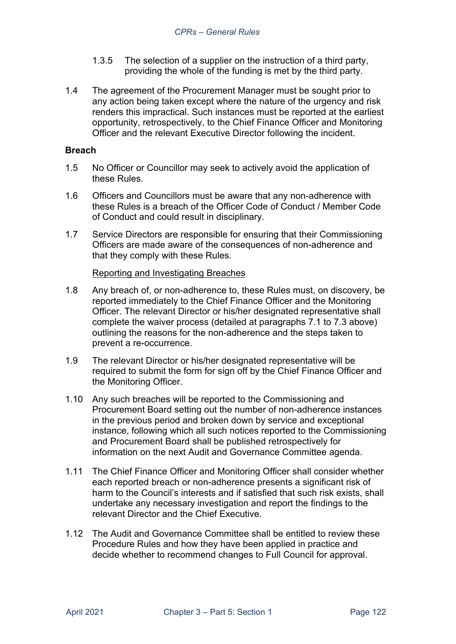- 1.3.5 The selection of a supplier on the instruction of a third party, providing the whole of the funding is met by the third party.
- 1.4 The agreement of the Procurement Manager must be sought prior to any action being taken except where the nature of the urgency and risk renders this impractical. Such instances must be reported at the earliest opportunity, retrospectively, to the Chief Finance Officer and Monitoring Officer and the relevant Executive Director following the incident.

## **Breach**

- 1.5 No Officer or Councillor may seek to actively avoid the application of these Rules.
- 1.6 Officers and Councillors must be aware that any non-adherence with these Rules is a breach of the Officer Code of Conduct / Member Code of Conduct and could result in disciplinary.
- 1.7 Service Directors are responsible for ensuring that their Commissioning Officers are made aware of the consequences of non-adherence and that they comply with these Rules.

#### Reporting and Investigating Breaches

- 1.8 Any breach of, or non-adherence to, these Rules must, on discovery, be reported immediately to the Chief Finance Officer and the Monitoring Officer. The relevant Director or his/her designated representative shall complete the waiver process (detailed at paragraphs 7.1 to 7.3 above) outlining the reasons for the non-adherence and the steps taken to prevent a re-occurrence.
- 1.9 The relevant Director or his/her designated representative will be required to submit the form for sign off by the Chief Finance Officer and the Monitoring Officer.
- 1.10 Any such breaches will be reported to the Commissioning and Procurement Board setting out the number of non-adherence instances in the previous period and broken down by service and exceptional instance, following which all such notices reported to the Commissioning and Procurement Board shall be published retrospectively for information on the next Audit and Governance Committee agenda.
- 1.11 The Chief Finance Officer and Monitoring Officer shall consider whether each reported breach or non-adherence presents a significant risk of harm to the Council's interests and if satisfied that such risk exists, shall undertake any necessary investigation and report the findings to the relevant Director and the Chief Executive.
- 1.12 The Audit and Governance Committee shall be entitled to review these Procedure Rules and how they have been applied in practice and decide whether to recommend changes to Full Council for approval.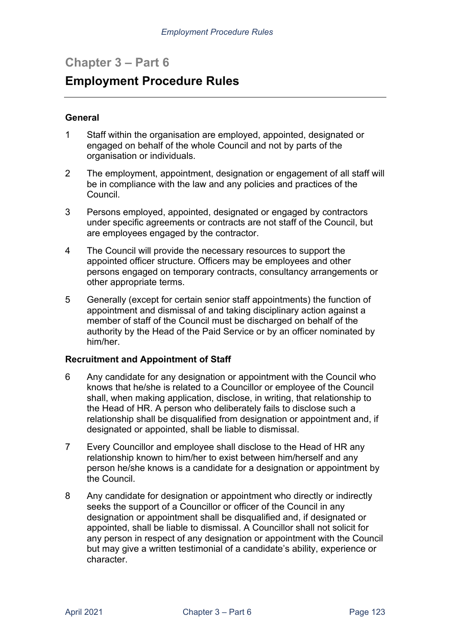# **Chapter 3 – Part 6**

# **Employment Procedure Rules**

## **General**

- 1 Staff within the organisation are employed, appointed, designated or engaged on behalf of the whole Council and not by parts of the organisation or individuals.
- 2 The employment, appointment, designation or engagement of all staff will be in compliance with the law and any policies and practices of the Council.
- 3 Persons employed, appointed, designated or engaged by contractors under specific agreements or contracts are not staff of the Council, but are employees engaged by the contractor.
- 4 The Council will provide the necessary resources to support the appointed officer structure. Officers may be employees and other persons engaged on temporary contracts, consultancy arrangements or other appropriate terms.
- 5 Generally (except for certain senior staff appointments) the function of appointment and dismissal of and taking disciplinary action against a member of staff of the Council must be discharged on behalf of the authority by the Head of the Paid Service or by an officer nominated by him/her.

# **Recruitment and Appointment of Staff**

- 6 Any candidate for any designation or appointment with the Council who knows that he/she is related to a Councillor or employee of the Council shall, when making application, disclose, in writing, that relationship to the Head of HR. A person who deliberately fails to disclose such a relationship shall be disqualified from designation or appointment and, if designated or appointed, shall be liable to dismissal.
- 7 Every Councillor and employee shall disclose to the Head of HR any relationship known to him/her to exist between him/herself and any person he/she knows is a candidate for a designation or appointment by the Council.
- 8 Any candidate for designation or appointment who directly or indirectly seeks the support of a Councillor or officer of the Council in any designation or appointment shall be disqualified and, if designated or appointed, shall be liable to dismissal. A Councillor shall not solicit for any person in respect of any designation or appointment with the Council but may give a written testimonial of a candidate's ability, experience or character.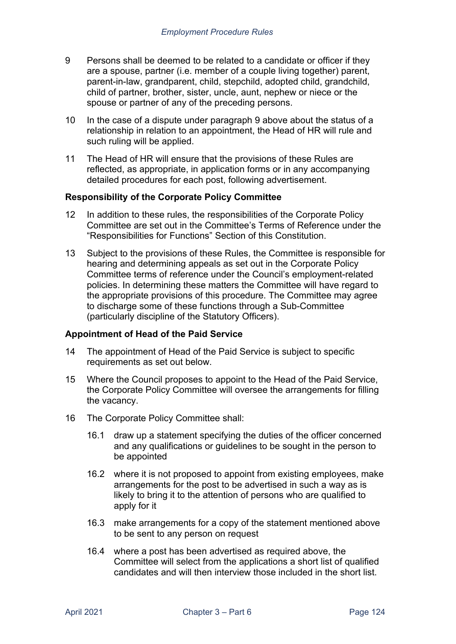- 9 Persons shall be deemed to be related to a candidate or officer if they are a spouse, partner (i.e. member of a couple living together) parent, parent-in-law, grandparent, child, stepchild, adopted child, grandchild, child of partner, brother, sister, uncle, aunt, nephew or niece or the spouse or partner of any of the preceding persons.
- 10 In the case of a dispute under paragraph 9 above about the status of a relationship in relation to an appointment, the Head of HR will rule and such ruling will be applied.
- 11 The Head of HR will ensure that the provisions of these Rules are reflected, as appropriate, in application forms or in any accompanying detailed procedures for each post, following advertisement.

## **Responsibility of the Corporate Policy Committee**

- 12 In addition to these rules, the responsibilities of the Corporate Policy Committee are set out in the Committee's Terms of Reference under the "Responsibilities for Functions" Section of this Constitution.
- 13 Subject to the provisions of these Rules, the Committee is responsible for hearing and determining appeals as set out in the Corporate Policy Committee terms of reference under the Council's employment-related policies. In determining these matters the Committee will have regard to the appropriate provisions of this procedure. The Committee may agree to discharge some of these functions through a Sub-Committee (particularly discipline of the Statutory Officers).

#### **Appointment of Head of the Paid Service**

- 14 The appointment of Head of the Paid Service is subject to specific requirements as set out below.
- 15 Where the Council proposes to appoint to the Head of the Paid Service, the Corporate Policy Committee will oversee the arrangements for filling the vacancy.
- 16 The Corporate Policy Committee shall:
	- 16.1 draw up a statement specifying the duties of the officer concerned and any qualifications or guidelines to be sought in the person to be appointed
	- 16.2 where it is not proposed to appoint from existing employees, make arrangements for the post to be advertised in such a way as is likely to bring it to the attention of persons who are qualified to apply for it
	- 16.3 make arrangements for a copy of the statement mentioned above to be sent to any person on request
	- 16.4 where a post has been advertised as required above, the Committee will select from the applications a short list of qualified candidates and will then interview those included in the short list.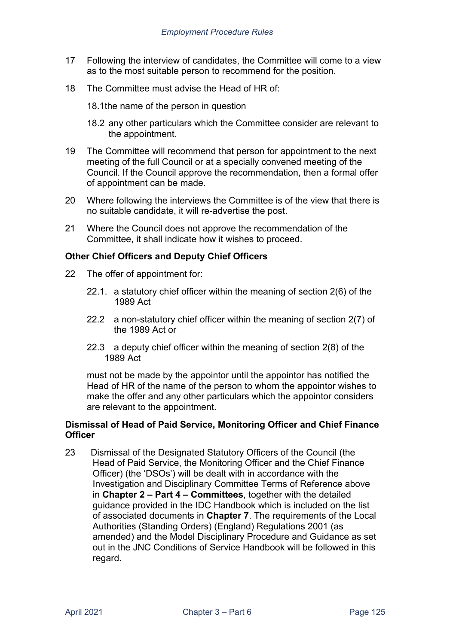- 17 Following the interview of candidates, the Committee will come to a view as to the most suitable person to recommend for the position.
- 18 The Committee must advise the Head of HR of:
	- 18.1the name of the person in question
	- 18.2 any other particulars which the Committee consider are relevant to the appointment.
- 19 The Committee will recommend that person for appointment to the next meeting of the full Council or at a specially convened meeting of the Council. If the Council approve the recommendation, then a formal offer of appointment can be made.
- 20 Where following the interviews the Committee is of the view that there is no suitable candidate, it will re-advertise the post.
- 21 Where the Council does not approve the recommendation of the Committee, it shall indicate how it wishes to proceed.

#### **Other Chief Officers and Deputy Chief Officers**

- 22 The offer of appointment for:
	- 22.1. a statutory chief officer within the meaning of section 2(6) of the 1989 Act
	- 22.2 a non-statutory chief officer within the meaning of section 2(7) of the 1989 Act or
	- 22.3 a deputy chief officer within the meaning of section 2(8) of the 1989 Act

must not be made by the appointor until the appointor has notified the Head of HR of the name of the person to whom the appointor wishes to make the offer and any other particulars which the appointor considers are relevant to the appointment.

# **Dismissal of Head of Paid Service, Monitoring Officer and Chief Finance Officer**

23 Dismissal of the Designated Statutory Officers of the Council (the Head of Paid Service, the Monitoring Officer and the Chief Finance Officer) (the 'DSOs') will be dealt with in accordance with the Investigation and Disciplinary Committee Terms of Reference above in **Chapter 2 – Part 4 – Committees**, together with the detailed guidance provided in the IDC Handbook which is included on the list of associated documents in **Chapter 7**. The requirements of the Local Authorities (Standing Orders) (England) Regulations 2001 (as amended) and the Model Disciplinary Procedure and Guidance as set out in the JNC Conditions of Service Handbook will be followed in this regard.